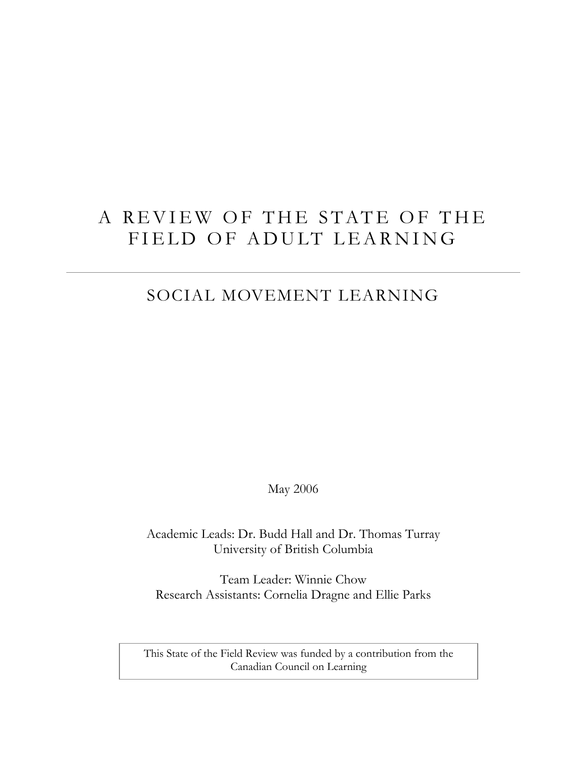# A REVIEW OF THE STATE OF THE FIELD OF ADULT LEARNING

## SOCIAL MOVEMENT LEARNING

May 2006

Academic Leads: Dr. Budd Hall and Dr. Thomas Turray University of British Columbia

Team Leader: Winnie Chow Research Assistants: Cornelia Dragne and Ellie Parks

This State of the Field Review was funded by a contribution from the Canadian Council on Learning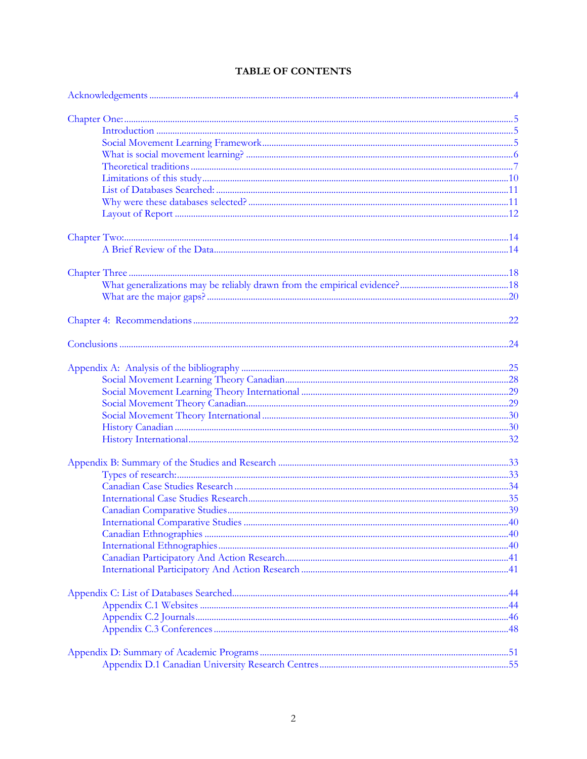### TABLE OF CONTENTS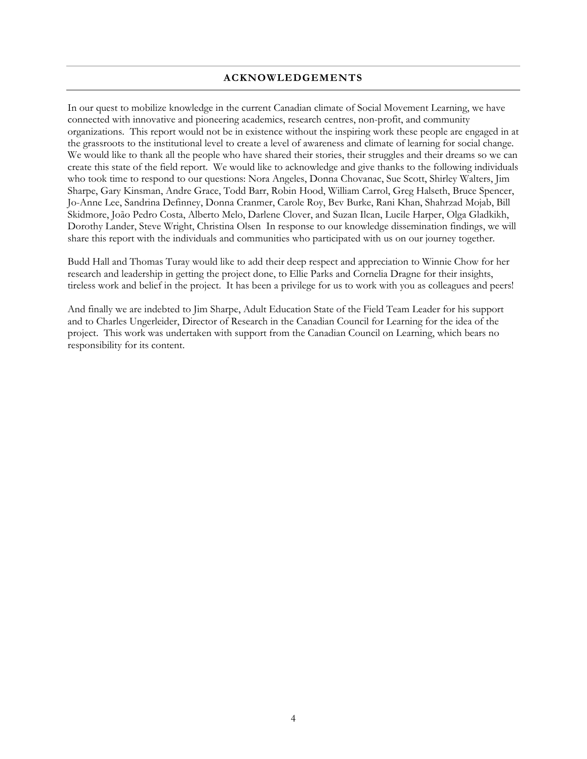#### **ACKNOWLEDGEMENTS**

<span id="page-3-0"></span>In our quest to mobilize knowledge in the current Canadian climate of Social Movement Learning, we have connected with innovative and pioneering academics, research centres, non-profit, and community organizations. This report would not be in existence without the inspiring work these people are engaged in at the grassroots to the institutional level to create a level of awareness and climate of learning for social change. We would like to thank all the people who have shared their stories, their struggles and their dreams so we can create this state of the field report. We would like to acknowledge and give thanks to the following individuals who took time to respond to our questions: Nora Angeles, Donna Chovanac, Sue Scott, Shirley Walters, Jim Sharpe, Gary Kinsman, Andre Grace, Todd Barr, Robin Hood, William Carrol, Greg Halseth, Bruce Spencer, Jo-Anne Lee, Sandrina Definney, Donna Cranmer, Carole Roy, Bev Burke, Rani Khan, Shahrzad Mojab, Bill Skidmore, João Pedro Costa, Alberto Melo, Darlene Clover, and Suzan Ilcan, Lucile Harper, Olga Gladkikh, Dorothy Lander, Steve Wright, Christina Olsen In response to our knowledge dissemination findings, we will share this report with the individuals and communities who participated with us on our journey together.

Budd Hall and Thomas Turay would like to add their deep respect and appreciation to Winnie Chow for her research and leadership in getting the project done, to Ellie Parks and Cornelia Dragne for their insights, tireless work and belief in the project. It has been a privilege for us to work with you as colleagues and peers!

And finally we are indebted to Jim Sharpe, Adult Education State of the Field Team Leader for his support and to Charles Ungerleider, Director of Research in the Canadian Council for Learning for the idea of the project. This work was undertaken with support from the Canadian Council on Learning, which bears no responsibility for its content.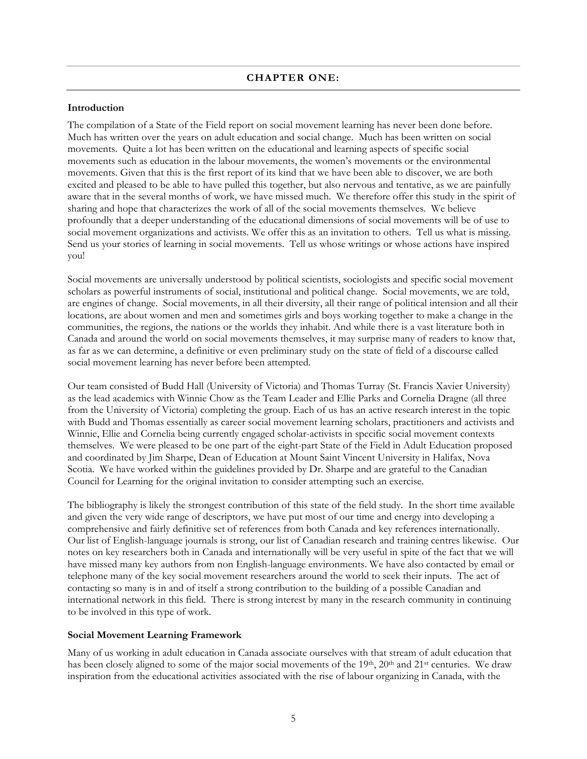#### <span id="page-4-0"></span>**Introduction**

The compilation of a State of the Field report on social movement learning has never been done before. Much has written over the years on adult education and social change. Much has been written on social movements. Quite a lot has been written on the educational and learning aspects of specific social movements such as education in the labour movements, the women's movements or the environmental movements. Given that this is the first report of its kind that we have been able to discover, we are both excited and pleased to be able to have pulled this together, but also nervous and tentative, as we are painfully aware that in the several months of work, we have missed much. We therefore offer this study in the spirit of sharing and hope that characterizes the work of all of the social movements themselves. We believe profoundly that a deeper understanding of the educational dimensions of social movements will be of use to social movement organizations and activists. We offer this as an invitation to others. Tell us what is missing. Send us your stories of learning in social movements. Tell us whose writings or whose actions have inspired you!

Social movements are universally understood by political scientists, sociologists and specific social movement scholars as powerful instruments of social, institutional and political change. Social movements, we are told, are engines of change. Social movements, in all their diversity, all their range of political intension and all their locations, are about women and men and sometimes girls and boys working together to make a change in the communities, the regions, the nations or the worlds they inhabit. And while there is a vast literature both in Canada and around the world on social movements themselves, it may surprise many of readers to know that, as far as we can determine, a definitive or even preliminary study on the state of field of a discourse called social movement learning has never before been attempted.

Our team consisted of Budd Hall (University of Victoria) and Thomas Turray (St. Francis Xavier University) as the lead academics with Winnie Chow as the Team Leader and Ellie Parks and Cornelia Dragne (all three from the University of Victoria) completing the group. Each of us has an active research interest in the topic with Budd and Thomas essentially as career social movement learning scholars, practitioners and activists and Winnie, Ellie and Cornelia being currently engaged scholar-activists in specific social movement contexts themselves. We were pleased to be one part of the eight-part State of the Field in Adult Education proposed and coordinated by Jim Sharpe, Dean of Education at Mount Saint Vincent University in Halifax, Nova Scotia. We have worked within the guidelines provided by Dr. Sharpe and are grateful to the Canadian Council for Learning for the original invitation to consider attempting such an exercise.

The bibliography is likely the strongest contribution of this state of the field study. In the short time available and given the very wide range of descriptors, we have put most of our time and energy into developing a comprehensive and fairly definitive set of references from both Canada and key references internationally. Our list of English-language journals is strong, our list of Canadian research and training centres likewise. Our notes on key researchers both in Canada and internationally will be very useful in spite of the fact that we will have missed many key authors from non English-language environments. We have also contacted by email or telephone many of the key social movement researchers around the world to seek their inputs. The act of contacting so many is in and of itself a strong contribution to the building of a possible Canadian and international network in this field. There is strong interest by many in the research community in continuing to be involved in this type of work.

#### **Social Movement Learning Framework**

Many of us working in adult education in Canada associate ourselves with that stream of adult education that has been closely aligned to some of the major social movements of the 19th, 20th and 21st centuries. We draw inspiration from the educational activities associated with the rise of labour organizing in Canada, with the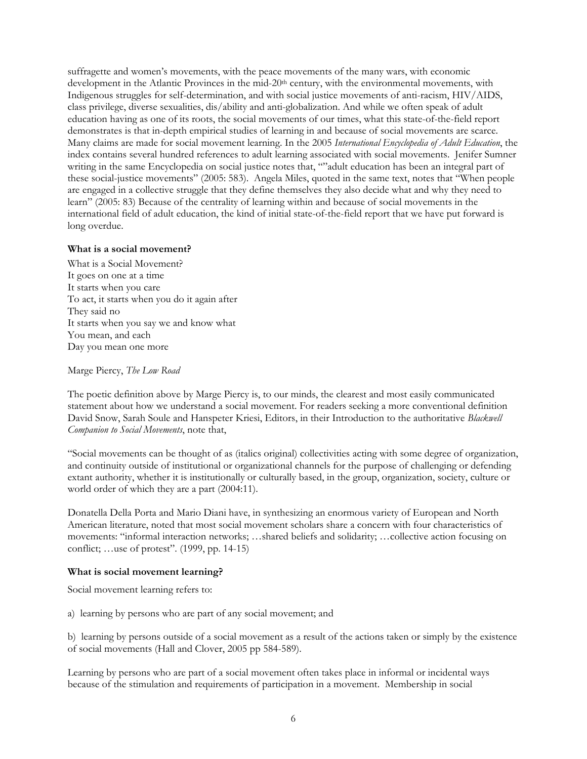<span id="page-5-0"></span>suffragette and women's movements, with the peace movements of the many wars, with economic development in the Atlantic Provinces in the mid-20<sup>th</sup> century, with the environmental movements, with Indigenous struggles for self-determination, and with social justice movements of anti-racism, HIV/AIDS, class privilege, diverse sexualities, dis/ability and anti-globalization. And while we often speak of adult education having as one of its roots, the social movements of our times, what this state-of-the-field report demonstrates is that in-depth empirical studies of learning in and because of social movements are scarce. Many claims are made for social movement learning. In the 2005 *International Encyclopedia of Adult Education*, the index contains several hundred references to adult learning associated with social movements. Jenifer Sumner writing in the same Encyclopedia on social justice notes that, ""adult education has been an integral part of these social-justice movements" (2005: 583). Angela Miles, quoted in the same text, notes that "When people are engaged in a collective struggle that they define themselves they also decide what and why they need to learn" (2005: 83) Because of the centrality of learning within and because of social movements in the international field of adult education, the kind of initial state-of-the-field report that we have put forward is long overdue.

#### **What is a social movement?**

What is a Social Movement? It goes on one at a time It starts when you care To act, it starts when you do it again after They said no It starts when you say we and know what You mean, and each Day you mean one more

Marge Piercy, *The Low Road* 

The poetic definition above by Marge Piercy is, to our minds, the clearest and most easily communicated statement about how we understand a social movement. For readers seeking a more conventional definition David Snow, Sarah Soule and Hanspeter Kriesi, Editors, in their Introduction to the authoritative *Blackwell Companion to Social Movements*, note that,

"Social movements can be thought of as (italics original) collectivities acting with some degree of organization, and continuity outside of institutional or organizational channels for the purpose of challenging or defending extant authority, whether it is institutionally or culturally based, in the group, organization, society, culture or world order of which they are a part (2004:11).

Donatella Della Porta and Mario Diani have, in synthesizing an enormous variety of European and North American literature, noted that most social movement scholars share a concern with four characteristics of movements: "informal interaction networks; …shared beliefs and solidarity; …collective action focusing on conflict; …use of protest". (1999, pp. 14-15)

#### **What is social movement learning?**

Social movement learning refers to:

a) learning by persons who are part of any social movement; and

b) learning by persons outside of a social movement as a result of the actions taken or simply by the existence of social movements (Hall and Clover, 2005 pp 584-589).

Learning by persons who are part of a social movement often takes place in informal or incidental ways because of the stimulation and requirements of participation in a movement. Membership in social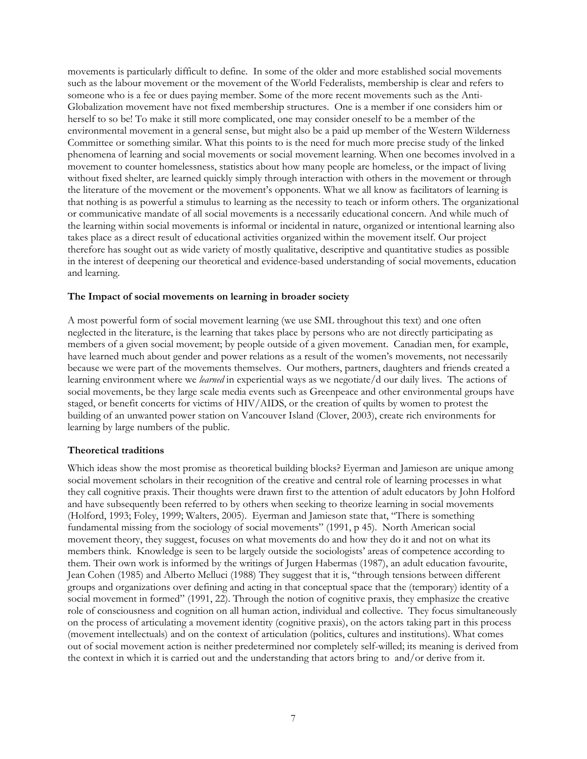<span id="page-6-0"></span>movements is particularly difficult to define. In some of the older and more established social movements such as the labour movement or the movement of the World Federalists, membership is clear and refers to someone who is a fee or dues paying member. Some of the more recent movements such as the Anti-Globalization movement have not fixed membership structures. One is a member if one considers him or herself to so be! To make it still more complicated, one may consider oneself to be a member of the environmental movement in a general sense, but might also be a paid up member of the Western Wilderness Committee or something similar. What this points to is the need for much more precise study of the linked phenomena of learning and social movements or social movement learning. When one becomes involved in a movement to counter homelessness, statistics about how many people are homeless, or the impact of living without fixed shelter, are learned quickly simply through interaction with others in the movement or through the literature of the movement or the movement's opponents. What we all know as facilitators of learning is that nothing is as powerful a stimulus to learning as the necessity to teach or inform others. The organizational or communicative mandate of all social movements is a necessarily educational concern. And while much of the learning within social movements is informal or incidental in nature, organized or intentional learning also takes place as a direct result of educational activities organized within the movement itself. Our project therefore has sought out as wide variety of mostly qualitative, descriptive and quantitative studies as possible in the interest of deepening our theoretical and evidence-based understanding of social movements, education and learning.

#### **The Impact of social movements on learning in broader society**

A most powerful form of social movement learning (we use SML throughout this text) and one often neglected in the literature, is the learning that takes place by persons who are not directly participating as members of a given social movement; by people outside of a given movement. Canadian men, for example, have learned much about gender and power relations as a result of the women's movements, not necessarily because we were part of the movements themselves. Our mothers, partners, daughters and friends created a learning environment where we *learned* in experiential ways as we negotiate/d our daily lives. The actions of social movements, be they large scale media events such as Greenpeace and other environmental groups have staged, or benefit concerts for victims of HIV/AIDS, or the creation of quilts by women to protest the building of an unwanted power station on Vancouver Island (Clover, 2003), create rich environments for learning by large numbers of the public.

#### **Theoretical traditions**

Which ideas show the most promise as theoretical building blocks? Eyerman and Jamieson are unique among social movement scholars in their recognition of the creative and central role of learning processes in what they call cognitive praxis. Their thoughts were drawn first to the attention of adult educators by John Holford and have subsequently been referred to by others when seeking to theorize learning in social movements (Holford, 1993; Foley, 1999; Walters, 2005). Eyerman and Jamieson state that, "There is something fundamental missing from the sociology of social movements" (1991, p 45). North American social movement theory, they suggest, focuses on what movements do and how they do it and not on what its members think. Knowledge is seen to be largely outside the sociologists' areas of competence according to them. Their own work is informed by the writings of Jurgen Habermas (1987), an adult education favourite, Jean Cohen (1985) and Alberto Melluci (1988) They suggest that it is, "through tensions between different groups and organizations over defining and acting in that conceptual space that the (temporary) identity of a social movement in formed" (1991, 22). Through the notion of cognitive praxis, they emphasize the creative role of consciousness and cognition on all human action, individual and collective. They focus simultaneously on the process of articulating a movement identity (cognitive praxis), on the actors taking part in this process (movement intellectuals) and on the context of articulation (politics, cultures and institutions). What comes out of social movement action is neither predetermined nor completely self-willed; its meaning is derived from the context in which it is carried out and the understanding that actors bring to and/or derive from it.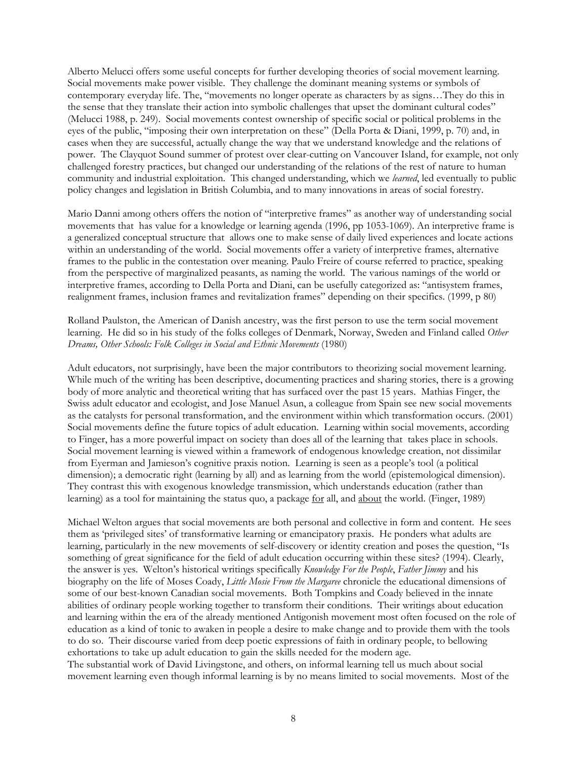Alberto Melucci offers some useful concepts for further developing theories of social movement learning. Social movements make power visible. They challenge the dominant meaning systems or symbols of contemporary everyday life. The, "movements no longer operate as characters by as signs…They do this in the sense that they translate their action into symbolic challenges that upset the dominant cultural codes" (Melucci 1988, p. 249). Social movements contest ownership of specific social or political problems in the eyes of the public, "imposing their own interpretation on these" (Della Porta & Diani, 1999, p. 70) and, in cases when they are successful, actually change the way that we understand knowledge and the relations of power. The Clayquot Sound summer of protest over clear-cutting on Vancouver Island, for example, not only challenged forestry practices, but changed our understanding of the relations of the rest of nature to human community and industrial exploitation. This changed understanding, which we *learned*, led eventually to public policy changes and legislation in British Columbia, and to many innovations in areas of social forestry.

Mario Danni among others offers the notion of "interpretive frames" as another way of understanding social movements that has value for a knowledge or learning agenda (1996, pp 1053-1069). An interpretive frame is a generalized conceptual structure that allows one to make sense of daily lived experiences and locate actions within an understanding of the world. Social movements offer a variety of interpretive frames, alternative frames to the public in the contestation over meaning. Paulo Freire of course referred to practice, speaking from the perspective of marginalized peasants, as naming the world. The various namings of the world or interpretive frames, according to Della Porta and Diani, can be usefully categorized as: "antisystem frames, realignment frames, inclusion frames and revitalization frames" depending on their specifics. (1999, p 80)

Rolland Paulston, the American of Danish ancestry, was the first person to use the term social movement learning. He did so in his study of the folks colleges of Denmark, Norway, Sweden and Finland called *Other Dreams, Other Schools: Folk Colleges in Social and Ethnic Movements* (1980)

Adult educators, not surprisingly, have been the major contributors to theorizing social movement learning. While much of the writing has been descriptive, documenting practices and sharing stories, there is a growing body of more analytic and theoretical writing that has surfaced over the past 15 years. Mathias Finger, the Swiss adult educator and ecologist, and Jose Manuel Asun, a colleague from Spain see new social movements as the catalysts for personal transformation, and the environment within which transformation occurs. (2001) Social movements define the future topics of adult education. Learning within social movements, according to Finger, has a more powerful impact on society than does all of the learning that takes place in schools. Social movement learning is viewed within a framework of endogenous knowledge creation, not dissimilar from Eyerman and Jamieson's cognitive praxis notion. Learning is seen as a people's tool (a political dimension); a democratic right (learning by all) and as learning from the world (epistemological dimension). They contrast this with exogenous knowledge transmission, which understands education (rather than learning) as a tool for maintaining the status quo, a package for all, and about the world. (Finger, 1989)

Michael Welton argues that social movements are both personal and collective in form and content. He sees them as 'privileged sites' of transformative learning or emancipatory praxis. He ponders what adults are learning, particularly in the new movements of self-discovery or identity creation and poses the question, "Is something of great significance for the field of adult education occurring within these sites? (1994). Clearly, the answer is yes. Welton's historical writings specifically *Knowledge For the People*, *Father Jimmy* and his biography on the life of Moses Coady, *Little Mosie From the Margaree* chronicle the educational dimensions of some of our best-known Canadian social movements. Both Tompkins and Coady believed in the innate abilities of ordinary people working together to transform their conditions. Their writings about education and learning within the era of the already mentioned Antigonish movement most often focused on the role of education as a kind of tonic to awaken in people a desire to make change and to provide them with the tools to do so. Their discourse varied from deep poetic expressions of faith in ordinary people, to bellowing exhortations to take up adult education to gain the skills needed for the modern age. The substantial work of David Livingstone, and others, on informal learning tell us much about social movement learning even though informal learning is by no means limited to social movements. Most of the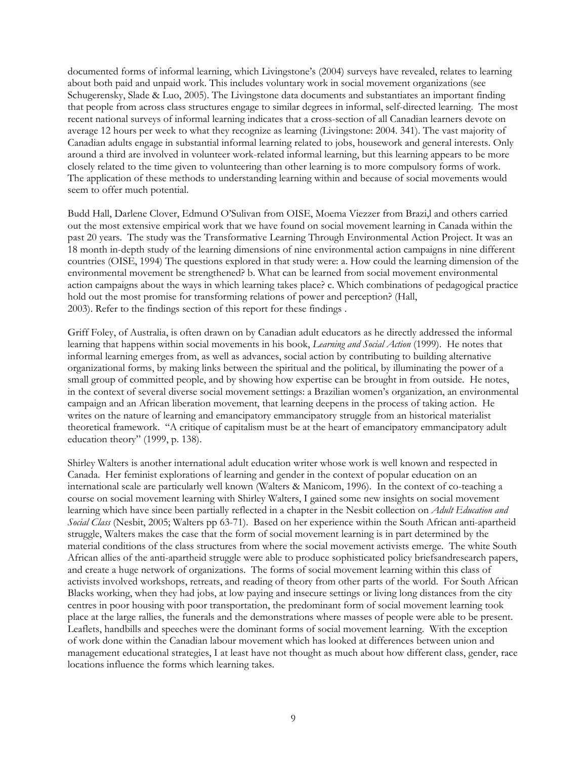documented forms of informal learning, which Livingstone's (2004) surveys have revealed, relates to learning about both paid and unpaid work. This includes voluntary work in social movement organizations (see Schugerensky, Slade & Luo, 2005). The Livingstone data documents and substantiates an important finding that people from across class structures engage to similar degrees in informal, self-directed learning. The most recent national surveys of informal learning indicates that a cross-section of all Canadian learners devote on average 12 hours per week to what they recognize as learning (Livingstone: 2004. 341). The vast majority of Canadian adults engage in substantial informal learning related to jobs, housework and general interests. Only around a third are involved in volunteer work-related informal learning, but this learning appears to be more closely related to the time given to volunteering than other learning is to more compulsory forms of work. The application of these methods to understanding learning within and because of social movements would seem to offer much potential.

Budd Hall, Darlene Clover, Edmund O'Sulivan from OISE, Moema Viezzer from Brazi,l and others carried out the most extensive empirical work that we have found on social movement learning in Canada within the past 20 years. The study was the Transformative Learning Through Environmental Action Project. It was an 18 month in-depth study of the learning dimensions of nine environmental action campaigns in nine different countries (OISE, 1994) The questions explored in that study were: a. How could the learning dimension of the environmental movement be strengthened? b. What can be learned from social movement environmental action campaigns about the ways in which learning takes place? c. Which combinations of pedagogical practice hold out the most promise for transforming relations of power and perception? (Hall, 2003). Refer to the findings section of this report for these findings .

Griff Foley, of Australia, is often drawn on by Canadian adult educators as he directly addressed the informal learning that happens within social movements in his book, *Learning and Social Action* (1999). He notes that informal learning emerges from, as well as advances, social action by contributing to building alternative organizational forms, by making links between the spiritual and the political, by illuminating the power of a small group of committed people, and by showing how expertise can be brought in from outside. He notes, in the context of several diverse social movement settings: a Brazilian women's organization, an environmental campaign and an African liberation movement, that learning deepens in the process of taking action. He writes on the nature of learning and emancipatory emmancipatory struggle from an historical materialist theoretical framework. "A critique of capitalism must be at the heart of emancipatory emmancipatory adult education theory" (1999, p. 138).

Shirley Walters is another international adult education writer whose work is well known and respected in Canada. Her feminist explorations of learning and gender in the context of popular education on an international scale are particularly well known (Walters & Manicom, 1996). In the context of co-teaching a course on social movement learning with Shirley Walters, I gained some new insights on social movement learning which have since been partially reflected in a chapter in the Nesbit collection on *Adult Education and Social Class* (Nesbit, 2005; Walters pp 63-71). Based on her experience within the South African anti-apartheid struggle, Walters makes the case that the form of social movement learning is in part determined by the material conditions of the class structures from where the social movement activists emerge. The white South African allies of the anti-apartheid struggle were able to produce sophisticated policy briefsandresearch papers, and create a huge network of organizations. The forms of social movement learning within this class of activists involved workshops, retreats, and reading of theory from other parts of the world. For South African Blacks working, when they had jobs, at low paying and insecure settings or living long distances from the city centres in poor housing with poor transportation, the predominant form of social movement learning took place at the large rallies, the funerals and the demonstrations where masses of people were able to be present. Leaflets, handbills and speeches were the dominant forms of social movement learning. With the exception of work done within the Canadian labour movement which has looked at differences between union and management educational strategies, I at least have not thought as much about how different class, gender, race locations influence the forms which learning takes.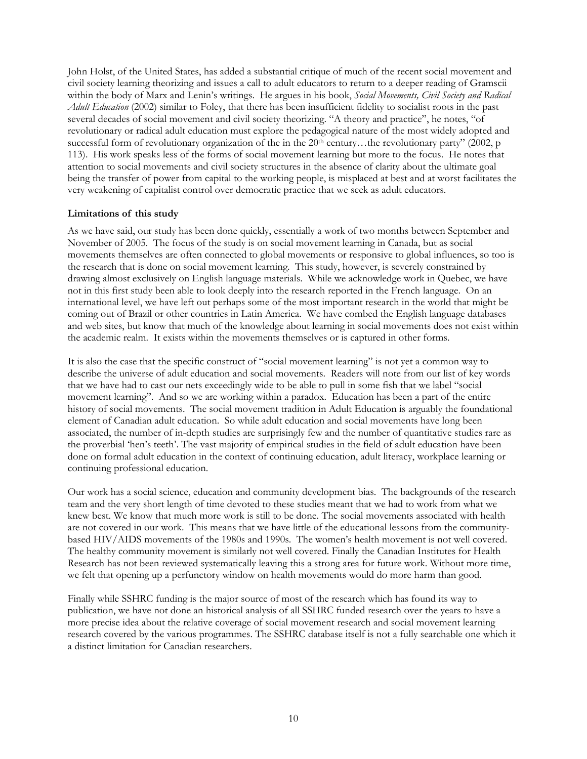<span id="page-9-0"></span>John Holst, of the United States, has added a substantial critique of much of the recent social movement and civil society learning theorizing and issues a call to adult educators to return to a deeper reading of Gramscii within the body of Marx and Lenin's writings. He argues in his book, *Social Movements, Civil Society and Radical Adult Education* (2002) similar to Foley, that there has been insufficient fidelity to socialist roots in the past several decades of social movement and civil society theorizing. "A theory and practice", he notes, "of revolutionary or radical adult education must explore the pedagogical nature of the most widely adopted and successful form of revolutionary organization of the in the 20<sup>th</sup> century…the revolutionary party" (2002, p 113). His work speaks less of the forms of social movement learning but more to the focus. He notes that attention to social movements and civil society structures in the absence of clarity about the ultimate goal being the transfer of power from capital to the working people, is misplaced at best and at worst facilitates the very weakening of capitalist control over democratic practice that we seek as adult educators.

#### **Limitations of this study**

As we have said, our study has been done quickly, essentially a work of two months between September and November of 2005. The focus of the study is on social movement learning in Canada, but as social movements themselves are often connected to global movements or responsive to global influences, so too is the research that is done on social movement learning. This study, however, is severely constrained by drawing almost exclusively on English language materials. While we acknowledge work in Quebec, we have not in this first study been able to look deeply into the research reported in the French language. On an international level, we have left out perhaps some of the most important research in the world that might be coming out of Brazil or other countries in Latin America. We have combed the English language databases and web sites, but know that much of the knowledge about learning in social movements does not exist within the academic realm. It exists within the movements themselves or is captured in other forms.

It is also the case that the specific construct of "social movement learning" is not yet a common way to describe the universe of adult education and social movements. Readers will note from our list of key words that we have had to cast our nets exceedingly wide to be able to pull in some fish that we label "social movement learning". And so we are working within a paradox. Education has been a part of the entire history of social movements. The social movement tradition in Adult Education is arguably the foundational element of Canadian adult education. So while adult education and social movements have long been associated, the number of in-depth studies are surprisingly few and the number of quantitative studies rare as the proverbial 'hen's teeth'. The vast majority of empirical studies in the field of adult education have been done on formal adult education in the context of continuing education, adult literacy, workplace learning or continuing professional education.

Our work has a social science, education and community development bias. The backgrounds of the research team and the very short length of time devoted to these studies meant that we had to work from what we knew best. We know that much more work is still to be done. The social movements associated with health are not covered in our work. This means that we have little of the educational lessons from the communitybased HIV/AIDS movements of the 1980s and 1990s. The women's health movement is not well covered. The healthy community movement is similarly not well covered. Finally the Canadian Institutes for Health Research has not been reviewed systematically leaving this a strong area for future work. Without more time, we felt that opening up a perfunctory window on health movements would do more harm than good.

Finally while SSHRC funding is the major source of most of the research which has found its way to publication, we have not done an historical analysis of all SSHRC funded research over the years to have a more precise idea about the relative coverage of social movement research and social movement learning research covered by the various programmes. The SSHRC database itself is not a fully searchable one which it a distinct limitation for Canadian researchers.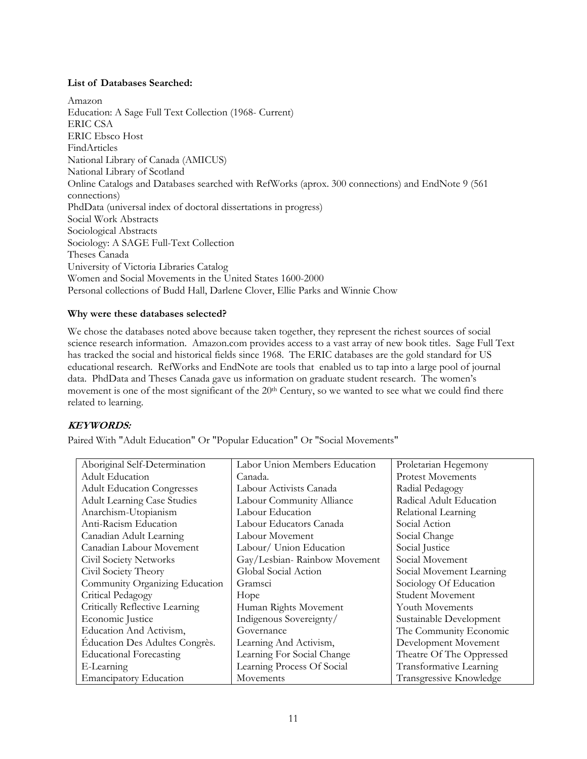#### <span id="page-10-0"></span>**List of Databases Searched:**

Amazon Education: A Sage Full Text Collection (1968- Current) ERIC CSA ERIC Ebsco Host FindArticles National Library of Canada (AMICUS) National Library of Scotland Online Catalogs and Databases searched with RefWorks (aprox. 300 connections) and EndNote 9 (561 connections) PhdData (universal index of doctoral dissertations in progress) Social Work Abstracts Sociological Abstracts Sociology: A SAGE Full-Text Collection Theses Canada University of Victoria Libraries Catalog Women and Social Movements in the United States 1600-2000 Personal collections of Budd Hall, Darlene Clover, Ellie Parks and Winnie Chow

#### **Why were these databases selected?**

We chose the databases noted above because taken together, they represent the richest sources of social science research information. Amazon.com provides access to a vast array of new book titles. Sage Full Text has tracked the social and historical fields since 1968. The ERIC databases are the gold standard for US educational research. RefWorks and EndNote are tools that enabled us to tap into a large pool of journal data. PhdData and Theses Canada gave us information on graduate student research. The women's movement is one of the most significant of the 20<sup>th</sup> Century, so we wanted to see what we could find there related to learning.

#### **KEYWORDS:**

Paired With "Adult Education" Or "Popular Education" Or "Social Movements"

| Aboriginal Self-Determination      | Labor Union Members Education | Proletarian Hegemony     |
|------------------------------------|-------------------------------|--------------------------|
| Adult Education                    | Canada.                       | <b>Protest Movements</b> |
| <b>Adult Education Congresses</b>  | Labour Activists Canada       | Radial Pedagogy          |
| <b>Adult Learning Case Studies</b> | Labour Community Alliance     | Radical Adult Education  |
| Anarchism-Utopianism               | Labour Education              | Relational Learning      |
| Anti-Racism Education              | Labour Educators Canada       | Social Action            |
| Canadian Adult Learning            | Labour Movement               | Social Change            |
| Canadian Labour Movement           | Labour/ Union Education       | Social Justice           |
| Civil Society Networks             | Gay/Lesbian-Rainbow Movement  | Social Movement          |
| Civil Society Theory               | Global Social Action          | Social Movement Learning |
| Community Organizing Education     | Gramsci                       | Sociology Of Education   |
| Critical Pedagogy                  | Hope                          | <b>Student Movement</b>  |
| Critically Reflective Learning     | Human Rights Movement         | Youth Movements          |
| Economic Justice                   | Indigenous Sovereignty/       | Sustainable Development  |
| Education And Activism,            | Governance                    | The Community Economic   |
| Education Des Adultes Congrès.     | Learning And Activism,        | Development Movement     |
| <b>Educational Forecasting</b>     | Learning For Social Change    | Theatre Of The Oppressed |
| E-Learning                         | Learning Process Of Social    | Transformative Learning  |
| <b>Emancipatory Education</b>      | Movements                     | Transgressive Knowledge  |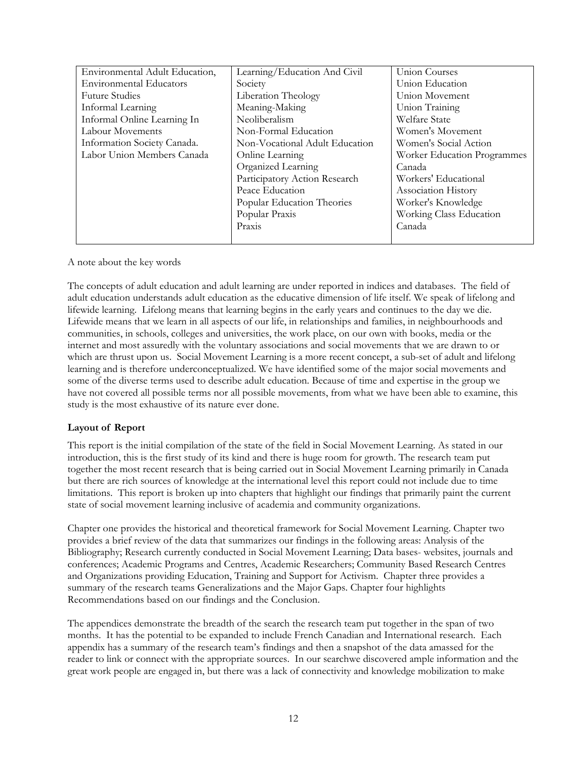<span id="page-11-0"></span>

| Environmental Adult Education, | Learning/Education And Civil   | Union Courses                      |
|--------------------------------|--------------------------------|------------------------------------|
| <b>Environmental Educators</b> | Society                        | Union Education                    |
| <b>Future Studies</b>          | Liberation Theology            | Union Movement                     |
| Informal Learning              | Meaning-Making                 | Union Training                     |
| Informal Online Learning In    | Neoliberalism                  | Welfare State                      |
| Labour Movements               | Non-Formal Education           | Women's Movement                   |
| Information Society Canada.    | Non-Vocational Adult Education | Women's Social Action              |
| Labor Union Members Canada     | Online Learning                | <b>Worker Education Programmes</b> |
|                                | Organized Learning             | Canada                             |
|                                | Participatory Action Research  | Workers' Educational               |
|                                | Peace Education                | <b>Association History</b>         |
|                                | Popular Education Theories     | Worker's Knowledge                 |
|                                | Popular Praxis                 | Working Class Education            |
|                                | Praxis                         | Canada                             |
|                                |                                |                                    |

A note about the key words

The concepts of adult education and adult learning are under reported in indices and databases. The field of adult education understands adult education as the educative dimension of life itself. We speak of lifelong and lifewide learning. Lifelong means that learning begins in the early years and continues to the day we die. Lifewide means that we learn in all aspects of our life, in relationships and families, in neighbourhoods and communities, in schools, colleges and universities, the work place, on our own with books, media or the internet and most assuredly with the voluntary associations and social movements that we are drawn to or which are thrust upon us. Social Movement Learning is a more recent concept, a sub-set of adult and lifelong learning and is therefore underconceptualized. We have identified some of the major social movements and some of the diverse terms used to describe adult education. Because of time and expertise in the group we have not covered all possible terms nor all possible movements, from what we have been able to examine, this study is the most exhaustive of its nature ever done.

#### **Layout of Report**

This report is the initial compilation of the state of the field in Social Movement Learning. As stated in our introduction, this is the first study of its kind and there is huge room for growth. The research team put together the most recent research that is being carried out in Social Movement Learning primarily in Canada but there are rich sources of knowledge at the international level this report could not include due to time limitations. This report is broken up into chapters that highlight our findings that primarily paint the current state of social movement learning inclusive of academia and community organizations.

Chapter one provides the historical and theoretical framework for Social Movement Learning. Chapter two provides a brief review of the data that summarizes our findings in the following areas: Analysis of the Bibliography; Research currently conducted in Social Movement Learning; Data bases- websites, journals and conferences; Academic Programs and Centres, Academic Researchers; Community Based Research Centres and Organizations providing Education, Training and Support for Activism. Chapter three provides a summary of the research teams Generalizations and the Major Gaps. Chapter four highlights Recommendations based on our findings and the Conclusion.

The appendices demonstrate the breadth of the search the research team put together in the span of two months. It has the potential to be expanded to include French Canadian and International research. Each appendix has a summary of the research team's findings and then a snapshot of the data amassed for the reader to link or connect with the appropriate sources. In our searchwe discovered ample information and the great work people are engaged in, but there was a lack of connectivity and knowledge mobilization to make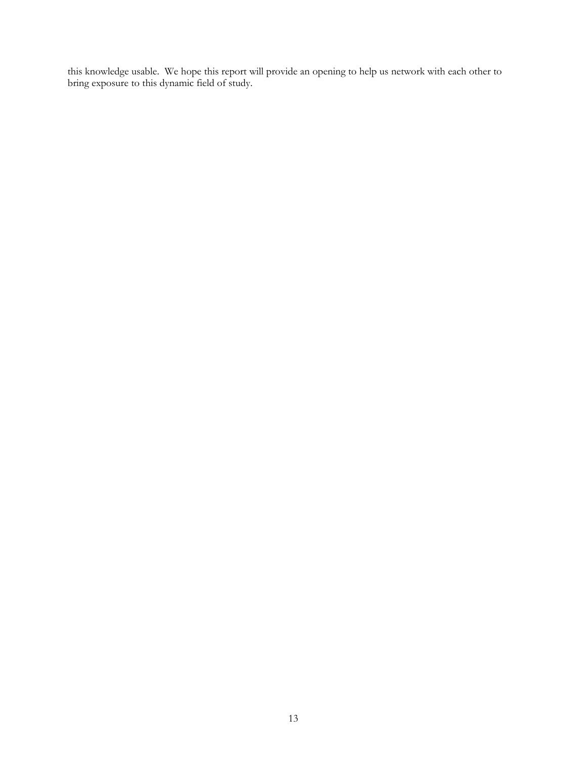this knowledge usable. We hope this report will provide an opening to help us network with each other to bring exposure to this dynamic field of study.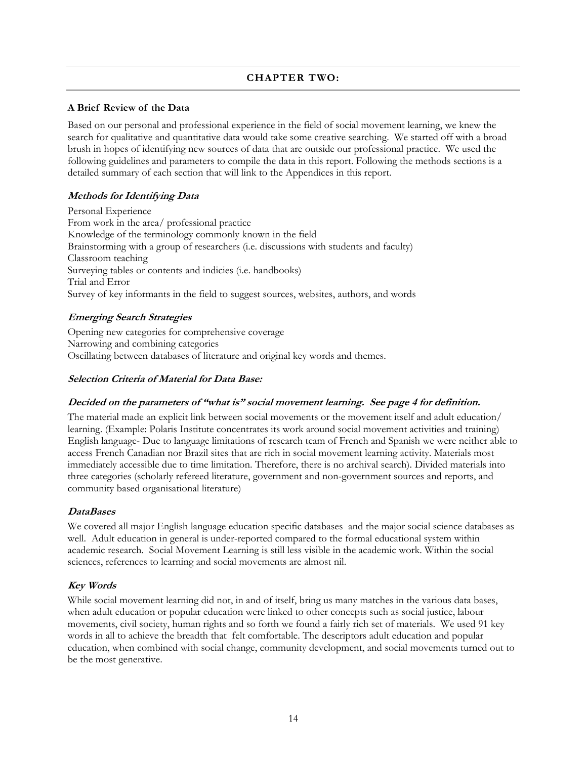#### **CHAPTER TWO:**

#### <span id="page-13-0"></span>**A Brief Review of the Data**

Based on our personal and professional experience in the field of social movement learning, we knew the search for qualitative and quantitative data would take some creative searching. We started off with a broad brush in hopes of identifying new sources of data that are outside our professional practice. We used the following guidelines and parameters to compile the data in this report. Following the methods sections is a detailed summary of each section that will link to the Appendices in this report.

#### **Methods for Identifying Data**

Personal Experience From work in the area/ professional practice Knowledge of the terminology commonly known in the field Brainstorming with a group of researchers (i.e. discussions with students and faculty) Classroom teaching Surveying tables or contents and indicies (i.e. handbooks) Trial and Error Survey of key informants in the field to suggest sources, websites, authors, and words

#### **Emerging Search Strategies**

Opening new categories for comprehensive coverage Narrowing and combining categories Oscillating between databases of literature and original key words and themes.

#### **Selection Criteria of Material for Data Base:**

#### **Decided on the parameters of "what is" social movement learning. See page 4 for definition.**

The material made an explicit link between social movements or the movement itself and adult education/ learning. (Example: Polaris Institute concentrates its work around social movement activities and training) English language- Due to language limitations of research team of French and Spanish we were neither able to access French Canadian nor Brazil sites that are rich in social movement learning activity. Materials most immediately accessible due to time limitation. Therefore, there is no archival search). Divided materials into three categories (scholarly refereed literature, government and non-government sources and reports, and community based organisational literature)

#### **DataBases**

We covered all major English language education specific databases and the major social science databases as well. Adult education in general is under-reported compared to the formal educational system within academic research. Social Movement Learning is still less visible in the academic work. Within the social sciences, references to learning and social movements are almost nil.

#### **Key Words**

While social movement learning did not, in and of itself, bring us many matches in the various data bases, when adult education or popular education were linked to other concepts such as social justice, labour movements, civil society, human rights and so forth we found a fairly rich set of materials. We used 91 key words in all to achieve the breadth that felt comfortable. The descriptors adult education and popular education, when combined with social change, community development, and social movements turned out to be the most generative.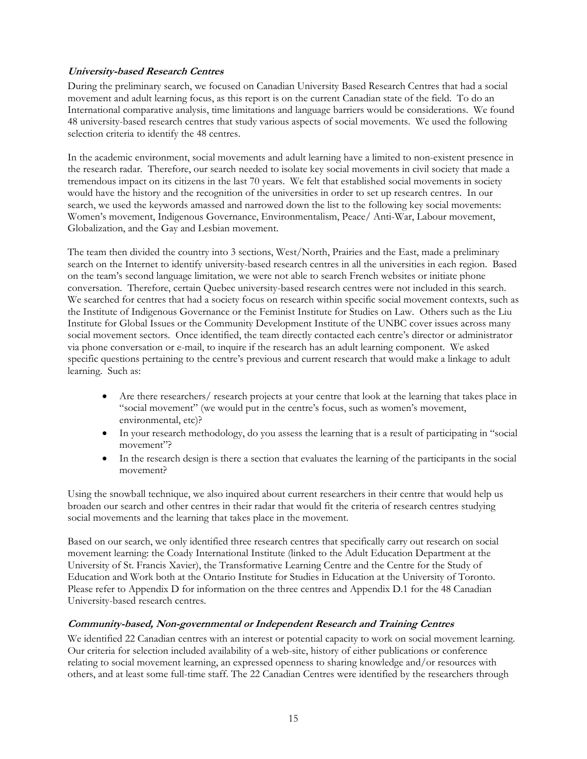#### **University-based Research Centres**

During the preliminary search, we focused on Canadian University Based Research Centres that had a social movement and adult learning focus, as this report is on the current Canadian state of the field. To do an International comparative analysis, time limitations and language barriers would be considerations. We found 48 university-based research centres that study various aspects of social movements. We used the following selection criteria to identify the 48 centres.

In the academic environment, social movements and adult learning have a limited to non-existent presence in the research radar. Therefore, our search needed to isolate key social movements in civil society that made a tremendous impact on its citizens in the last 70 years. We felt that established social movements in society would have the history and the recognition of the universities in order to set up research centres. In our search, we used the keywords amassed and narrowed down the list to the following key social movements: Women's movement, Indigenous Governance, Environmentalism, Peace/ Anti-War, Labour movement, Globalization, and the Gay and Lesbian movement.

The team then divided the country into 3 sections, West/North, Prairies and the East, made a preliminary search on the Internet to identify university-based research centres in all the universities in each region. Based on the team's second language limitation, we were not able to search French websites or initiate phone conversation. Therefore, certain Quebec university-based research centres were not included in this search. We searched for centres that had a society focus on research within specific social movement contexts, such as the Institute of Indigenous Governance or the Feminist Institute for Studies on Law. Others such as the Liu Institute for Global Issues or the Community Development Institute of the UNBC cover issues across many social movement sectors. Once identified, the team directly contacted each centre's director or administrator via phone conversation or e-mail, to inquire if the research has an adult learning component. We asked specific questions pertaining to the centre's previous and current research that would make a linkage to adult learning. Such as:

- Are there researchers/ research projects at your centre that look at the learning that takes place in "social movement" (we would put in the centre's focus, such as women's movement, environmental, etc)?
- In your research methodology, do you assess the learning that is a result of participating in "social movement"?
- In the research design is there a section that evaluates the learning of the participants in the social movement?

Using the snowball technique, we also inquired about current researchers in their centre that would help us broaden our search and other centres in their radar that would fit the criteria of research centres studying social movements and the learning that takes place in the movement.

Based on our search, we only identified three research centres that specifically carry out research on social movement learning: the Coady International Institute (linked to the Adult Education Department at the University of St. Francis Xavier), the Transformative Learning Centre and the Centre for the Study of Education and Work both at the Ontario Institute for Studies in Education at the University of Toronto. Please refer to Appendix D for information on the three centres and Appendix D.1 for the 48 Canadian University-based research centres.

#### **Community-based, Non-governmental or Independent Research and Training Centres**

We identified 22 Canadian centres with an interest or potential capacity to work on social movement learning. Our criteria for selection included availability of a web-site, history of either publications or conference relating to social movement learning, an expressed openness to sharing knowledge and/or resources with others, and at least some full-time staff. The 22 Canadian Centres were identified by the researchers through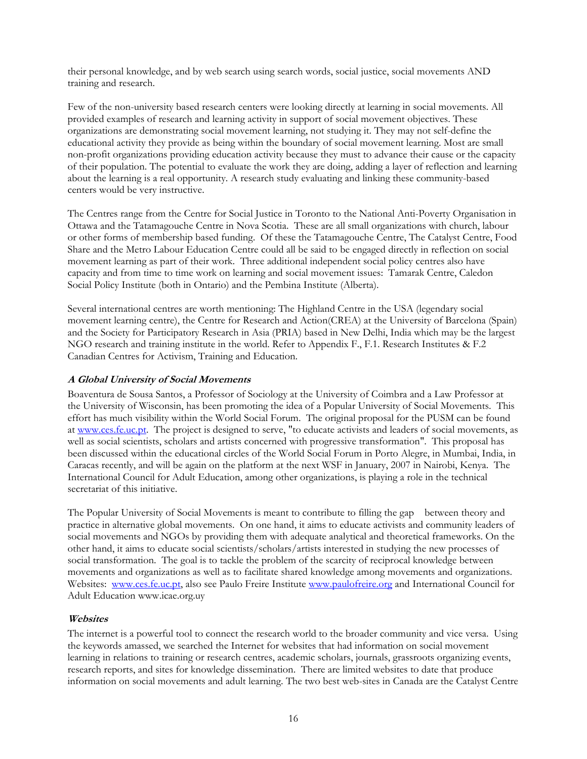their personal knowledge, and by web search using search words, social justice, social movements AND training and research.

Few of the non-university based research centers were looking directly at learning in social movements. All provided examples of research and learning activity in support of social movement objectives. These organizations are demonstrating social movement learning, not studying it. They may not self-define the educational activity they provide as being within the boundary of social movement learning. Most are small non-profit organizations providing education activity because they must to advance their cause or the capacity of their population. The potential to evaluate the work they are doing, adding a layer of reflection and learning about the learning is a real opportunity. A research study evaluating and linking these community-based centers would be very instructive.

The Centres range from the Centre for Social Justice in Toronto to the National Anti-Poverty Organisation in Ottawa and the Tatamagouche Centre in Nova Scotia. These are all small organizations with church, labour or other forms of membership based funding. Of these the Tatamagouche Centre, The Catalyst Centre, Food Share and the Metro Labour Education Centre could all be said to be engaged directly in reflection on social movement learning as part of their work. Three additional independent social policy centres also have capacity and from time to time work on learning and social movement issues: Tamarak Centre, Caledon Social Policy Institute (both in Ontario) and the Pembina Institute (Alberta).

Several international centres are worth mentioning: The Highland Centre in the USA (legendary social movement learning centre), the Centre for Research and Action(CREA) at the University of Barcelona (Spain) and the Society for Participatory Research in Asia (PRIA) based in New Delhi, India which may be the largest NGO research and training institute in the world. Refer to Appendix F., F.1. Research Institutes & F.2 Canadian Centres for Activism, Training and Education.

#### **A Global University of Social Movements**

Boaventura de Sousa Santos, a Professor of Sociology at the University of Coimbra and a Law Professor at the University of Wisconsin, has been promoting the idea of a Popular University of Social Movements. This effort has much visibility within the World Social Forum. The original proposal for the PUSM can be found at www.ces.fe.uc.pt. The project is designed to serve, "to educate activists and leaders of social movements, as well as social scientists, scholars and artists concerned with progressive transformation". This proposal has been discussed within the educational circles of the World Social Forum in Porto Alegre, in Mumbai, India, in Caracas recently, and will be again on the platform at the next WSF in January, 2007 in Nairobi, Kenya. The International Council for Adult Education, among other organizations, is playing a role in the technical secretariat of this initiative.

The Popular University of Social Movements is meant to contribute to filling the gap between theory and practice in alternative global movements. On one hand, it aims to educate activists and community leaders of social movements and NGOs by providing them with adequate analytical and theoretical frameworks. On the other hand, it aims to educate social scientists/scholars/artists interested in studying the new processes of social transformation. The goal is to tackle the problem of the scarcity of reciprocal knowledge between movements and organizations as well as to facilitate shared knowledge among movements and organizations. Websites: www.ces.fe.uc.pt, also see Paulo Freire Institute www.paulofreire.org and International Council for Adult Education www.icae.org.uy

#### **Websites**

The internet is a powerful tool to connect the research world to the broader community and vice versa. Using the keywords amassed, we searched the Internet for websites that had information on social movement learning in relations to training or research centres, academic scholars, journals, grassroots organizing events, research reports, and sites for knowledge dissemination. There are limited websites to date that produce information on social movements and adult learning. The two best web-sites in Canada are the Catalyst Centre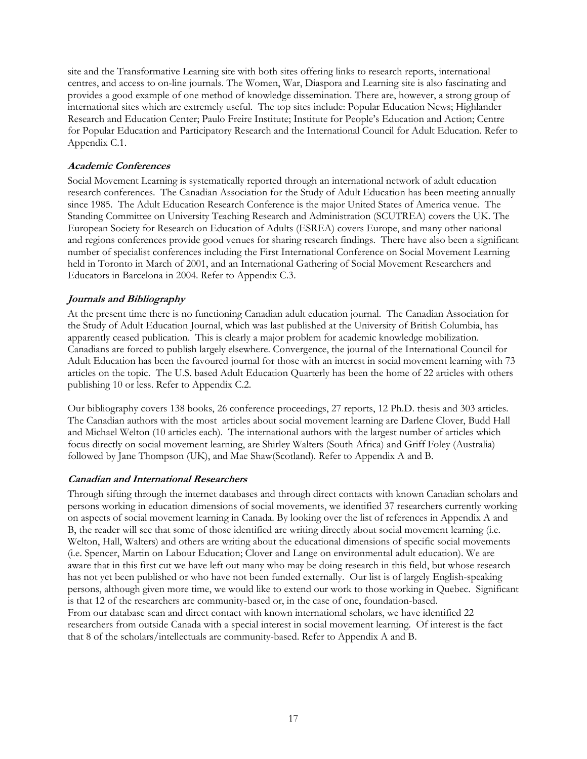site and the Transformative Learning site with both sites offering links to research reports, international centres, and access to on-line journals. The Women, War, Diaspora and Learning site is also fascinating and provides a good example of one method of knowledge dissemination. There are, however, a strong group of international sites which are extremely useful. The top sites include: Popular Education News; Highlander Research and Education Center; Paulo Freire Institute; Institute for People's Education and Action; Centre for Popular Education and Participatory Research and the International Council for Adult Education. Refer to Appendix C.1.

#### **Academic Conferences**

Social Movement Learning is systematically reported through an international network of adult education research conferences. The Canadian Association for the Study of Adult Education has been meeting annually since 1985. The Adult Education Research Conference is the major United States of America venue. The Standing Committee on University Teaching Research and Administration (SCUTREA) covers the UK. The European Society for Research on Education of Adults (ESREA) covers Europe, and many other national and regions conferences provide good venues for sharing research findings. There have also been a significant number of specialist conferences including the First International Conference on Social Movement Learning held in Toronto in March of 2001, and an International Gathering of Social Movement Researchers and Educators in Barcelona in 2004. Refer to Appendix C.3.

#### **Journals and Bibliography**

At the present time there is no functioning Canadian adult education journal. The Canadian Association for the Study of Adult Education Journal, which was last published at the University of British Columbia, has apparently ceased publication. This is clearly a major problem for academic knowledge mobilization. Canadians are forced to publish largely elsewhere. Convergence, the journal of the International Council for Adult Education has been the favoured journal for those with an interest in social movement learning with 73 articles on the topic. The U.S. based Adult Education Quarterly has been the home of 22 articles with others publishing 10 or less. Refer to Appendix C.2.

Our bibliography covers 138 books, 26 conference proceedings, 27 reports, 12 Ph.D. thesis and 303 articles. The Canadian authors with the most articles about social movement learning are Darlene Clover, Budd Hall and Michael Welton (10 articles each). The international authors with the largest number of articles which focus directly on social movement learning, are Shirley Walters (South Africa) and Griff Foley (Australia) followed by Jane Thompson (UK), and Mae Shaw(Scotland). Refer to Appendix A and B.

#### **Canadian and International Researchers**

Through sifting through the internet databases and through direct contacts with known Canadian scholars and persons working in education dimensions of social movements, we identified 37 researchers currently working on aspects of social movement learning in Canada. By looking over the list of references in Appendix A and B, the reader will see that some of those identified are writing directly about social movement learning (i.e. Welton, Hall, Walters) and others are writing about the educational dimensions of specific social movements (i.e. Spencer, Martin on Labour Education; Clover and Lange on environmental adult education). We are aware that in this first cut we have left out many who may be doing research in this field, but whose research has not yet been published or who have not been funded externally. Our list is of largely English-speaking persons, although given more time, we would like to extend our work to those working in Quebec. Significant is that 12 of the researchers are community-based or, in the case of one, foundation-based. From our database scan and direct contact with known international scholars, we have identified 22 researchers from outside Canada with a special interest in social movement learning. Of interest is the fact that 8 of the scholars/intellectuals are community-based. Refer to Appendix A and B.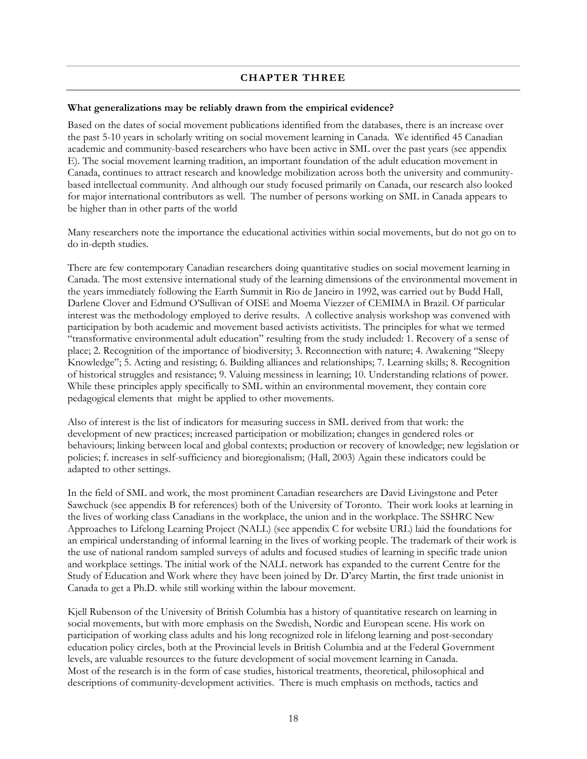#### **CHAPTER THREE**

#### <span id="page-17-0"></span>**What generalizations may be reliably drawn from the empirical evidence?**

Based on the dates of social movement publications identified from the databases, there is an increase over the past 5-10 years in scholarly writing on social movement learning in Canada. We identified 45 Canadian academic and community-based researchers who have been active in SML over the past years (see appendix E). The social movement learning tradition, an important foundation of the adult education movement in Canada, continues to attract research and knowledge mobilization across both the university and communitybased intellectual community. And although our study focused primarily on Canada, our research also looked for major international contributors as well. The number of persons working on SML in Canada appears to be higher than in other parts of the world

Many researchers note the importance the educational activities within social movements, but do not go on to do in-depth studies.

There are few contemporary Canadian researchers doing quantitative studies on social movement learning in Canada. The most extensive international study of the learning dimensions of the environmental movement in the years immediately following the Earth Summit in Rio de Janeiro in 1992, was carried out by Budd Hall, Darlene Clover and Edmund O'Sullivan of OISE and Moema Viezzer of CEMIMA in Brazil. Of particular interest was the methodology employed to derive results. A collective analysis workshop was convened with participation by both academic and movement based activists activitists. The principles for what we termed "transformative environmental adult education" resulting from the study included: 1. Recovery of a sense of place; 2. Recognition of the importance of biodiversity; 3. Reconnection with nature; 4. Awakening "Sleepy Knowledge"; 5. Acting and resisting; 6. Building alliances and relationships; 7. Learning skills; 8. Recognition of historical struggles and resistance; 9. Valuing messiness in learning; 10. Understanding relations of power. While these principles apply specifically to SML within an environmental movement, they contain core pedagogical elements that might be applied to other movements.

Also of interest is the list of indicators for measuring success in SML derived from that work: the development of new practices; increased participation or mobilization; changes in gendered roles or behaviours; linking between local and global contexts; production or recovery of knowledge; new legislation or policies; f. increases in self-sufficiency and bioregionalism; (Hall, 2003) Again these indicators could be adapted to other settings.

In the field of SML and work, the most prominent Canadian researchers are David Livingstone and Peter Sawchuck (see appendix B for references) both of the University of Toronto. Their work looks at learning in the lives of working class Canadians in the workplace, the union and in the workplace. The SSHRC New Approaches to Lifelong Learning Project (NALL) (see appendix C for website URL) laid the foundations for an empirical understanding of informal learning in the lives of working people. The trademark of their work is the use of national random sampled surveys of adults and focused studies of learning in specific trade union and workplace settings. The initial work of the NALL network has expanded to the current Centre for the Study of Education and Work where they have been joined by Dr. D'arcy Martin, the first trade unionist in Canada to get a Ph.D. while still working within the labour movement.

Kjell Rubenson of the University of British Columbia has a history of quantitative research on learning in social movements, but with more emphasis on the Swedish, Nordic and European scene. His work on participation of working class adults and his long recognized role in lifelong learning and post-secondary education policy circles, both at the Provincial levels in British Columbia and at the Federal Government levels, are valuable resources to the future development of social movement learning in Canada. Most of the research is in the form of case studies, historical treatments, theoretical, philosophical and descriptions of community-development activities. There is much emphasis on methods, tactics and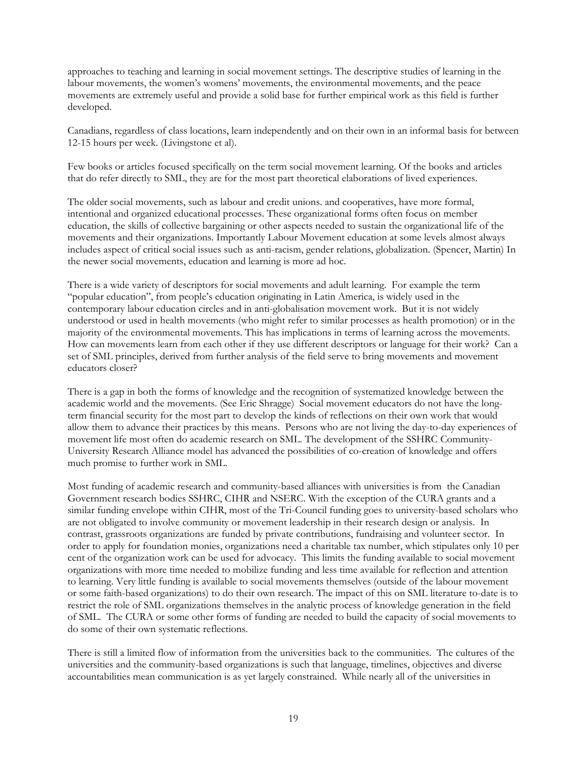approaches to teaching and learning in social movement settings. The descriptive studies of learning in the labour movements, the women's womens' movements, the environmental movements, and the peace movements are extremely useful and provide a solid base for further empirical work as this field is further developed.

Canadians, regardless of class locations, learn independently and on their own in an informal basis for between 12-15 hours per week. (Livingstone et al).

Few books or articles focused specifically on the term social movement learning. Of the books and articles that do refer directly to SML, they are for the most part theoretical elaborations of lived experiences.

The older social movements, such as labour and credit unions. and cooperatives, have more formal, intentional and organized educational processes. These organizational forms often focus on member education, the skills of collective bargaining or other aspects needed to sustain the organizational life of the movements and their organizations. Importantly Labour Movement education at some levels almost always includes aspect of critical social issues such as anti-racism, gender relations, globalization. (Spencer, Martin) In the newer social movements, education and learning is more ad hoc.

There is a wide variety of descriptors for social movements and adult learning. For example the term "popular education", from people's education originating in Latin America, is widely used in the contemporary labour education circles and in anti-globalisation movement work. But it is not widely understood or used in health movements (who might refer to similar processes as health promotion) or in the majority of the environmental movements. This has implications in terms of learning across the movements. How can movements learn from each other if they use different descriptors or language for their work? Can a set of SML principles, derived from further analysis of the field serve to bring movements and movement educators closer?

There is a gap in both the forms of knowledge and the recognition of systematized knowledge between the academic world and the movements. (See Eric Shragge) Social movement educators do not have the longterm financial security for the most part to develop the kinds of reflections on their own work that would allow them to advance their practices by this means. Persons who are not living the day-to-day experiences of movement life most often do academic research on SML. The development of the SSHRC Community-University Research Alliance model has advanced the possibilities of co-creation of knowledge and offers much promise to further work in SML.

Most funding of academic research and community-based alliances with universities is from the Canadian Government research bodies SSHRC, CIHR and NSERC. With the exception of the CURA grants and a similar funding envelope within CIHR, most of the Tri-Council funding goes to university-based scholars who are not obligated to involve community or movement leadership in their research design or analysis. In contrast, grassroots organizations are funded by private contributions, fundraising and volunteer sector. In order to apply for foundation monies, organizations need a charitable tax number, which stipulates only 10 per cent of the organization work can be used for advocacy. This limits the funding available to social movement organizations with more time needed to mobilize funding and less time available for reflection and attention to learning. Very little funding is available to social movements themselves (outside of the labour movement or some faith-based organizations) to do their own research. The impact of this on SML literature to-date is to restrict the role of SML organizations themselves in the analytic process of knowledge generation in the field of SML. The CURA or some other forms of funding are needed to build the capacity of social movements to do some of their own systematic reflections.

There is still a limited flow of information from the universities back to the communities. The cultures of the universities and the community-based organizations is such that language, timelines, objectives and diverse accountabilities mean communication is as yet largely constrained. While nearly all of the universities in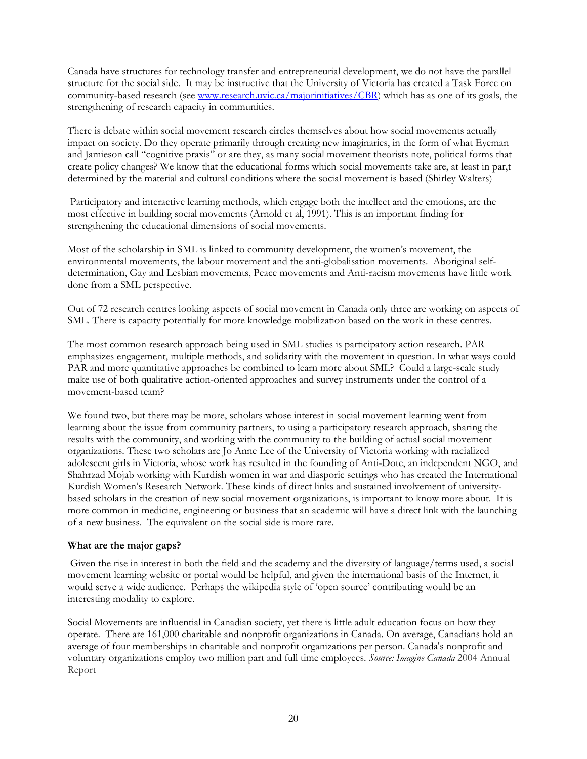<span id="page-19-0"></span>Canada have structures for technology transfer and entrepreneurial development, we do not have the parallel structure for the social side. It may be instructive that the University of Victoria has created a Task Force on community-based research (see www.research.uvic.ca/majorinitiatives/CBR) which has as one of its goals, the strengthening of research capacity in communities.

There is debate within social movement research circles themselves about how social movements actually impact on society. Do they operate primarily through creating new imaginaries, in the form of what Eyeman and Jamieson call "cognitive praxis" or are they, as many social movement theorists note, political forms that create policy changes? We know that the educational forms which social movements take are, at least in par,t determined by the material and cultural conditions where the social movement is based (Shirley Walters)

 Participatory and interactive learning methods, which engage both the intellect and the emotions, are the most effective in building social movements (Arnold et al, 1991). This is an important finding for strengthening the educational dimensions of social movements.

Most of the scholarship in SML is linked to community development, the women's movement, the environmental movements, the labour movement and the anti-globalisation movements. Aboriginal selfdetermination, Gay and Lesbian movements, Peace movements and Anti-racism movements have little work done from a SML perspective.

Out of 72 research centres looking aspects of social movement in Canada only three are working on aspects of SML. There is capacity potentially for more knowledge mobilization based on the work in these centres.

The most common research approach being used in SML studies is participatory action research. PAR emphasizes engagement, multiple methods, and solidarity with the movement in question. In what ways could PAR and more quantitative approaches be combined to learn more about SML? Could a large-scale study make use of both qualitative action-oriented approaches and survey instruments under the control of a movement-based team?

We found two, but there may be more, scholars whose interest in social movement learning went from learning about the issue from community partners, to using a participatory research approach, sharing the results with the community, and working with the community to the building of actual social movement organizations. These two scholars are Jo Anne Lee of the University of Victoria working with racialized adolescent girls in Victoria, whose work has resulted in the founding of Anti-Dote, an independent NGO, and Shahrzad Mojab working with Kurdish women in war and diasporic settings who has created the International Kurdish Women's Research Network. These kinds of direct links and sustained involvement of universitybased scholars in the creation of new social movement organizations, is important to know more about. It is more common in medicine, engineering or business that an academic will have a direct link with the launching of a new business. The equivalent on the social side is more rare.

#### **What are the major gaps?**

Given the rise in interest in both the field and the academy and the diversity of language/terms used, a social movement learning website or portal would be helpful, and given the international basis of the Internet, it would serve a wide audience. Perhaps the wikipedia style of 'open source' contributing would be an interesting modality to explore.

Social Movements are influential in Canadian society, yet there is little adult education focus on how they operate. There are 161,000 charitable and nonprofit organizations in Canada. On average, Canadians hold an average of four memberships in charitable and nonprofit organizations per person. Canada's nonprofit and voluntary organizations employ two million part and full time employees. *Source: Imagine Canada* 2004 Annual Report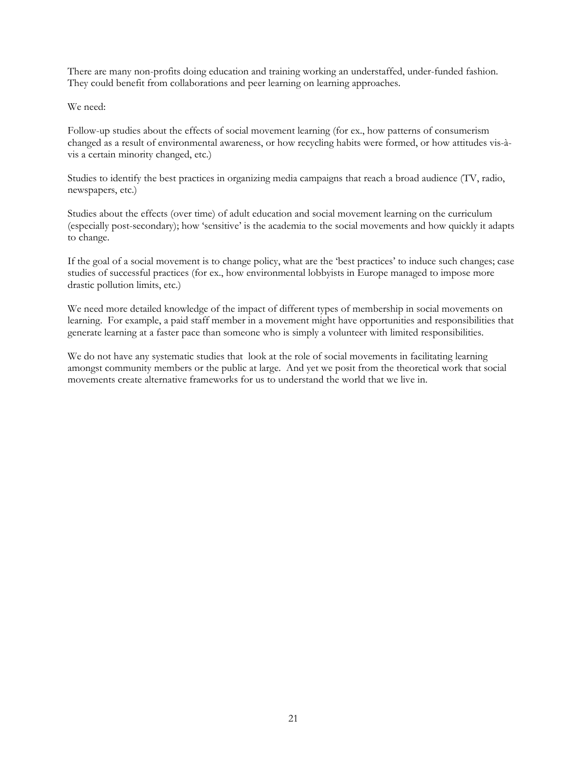There are many non-profits doing education and training working an understaffed, under-funded fashion. They could benefit from collaborations and peer learning on learning approaches.

We need:

Follow-up studies about the effects of social movement learning (for ex., how patterns of consumerism changed as a result of environmental awareness, or how recycling habits were formed, or how attitudes vis-àvis a certain minority changed, etc.)

Studies to identify the best practices in organizing media campaigns that reach a broad audience (TV, radio, newspapers, etc.)

Studies about the effects (over time) of adult education and social movement learning on the curriculum (especially post-secondary); how 'sensitive' is the academia to the social movements and how quickly it adapts to change.

If the goal of a social movement is to change policy, what are the 'best practices' to induce such changes; case studies of successful practices (for ex., how environmental lobbyists in Europe managed to impose more drastic pollution limits, etc.)

We need more detailed knowledge of the impact of different types of membership in social movements on learning. For example, a paid staff member in a movement might have opportunities and responsibilities that generate learning at a faster pace than someone who is simply a volunteer with limited responsibilities.

We do not have any systematic studies that look at the role of social movements in facilitating learning amongst community members or the public at large. And yet we posit from the theoretical work that social movements create alternative frameworks for us to understand the world that we live in.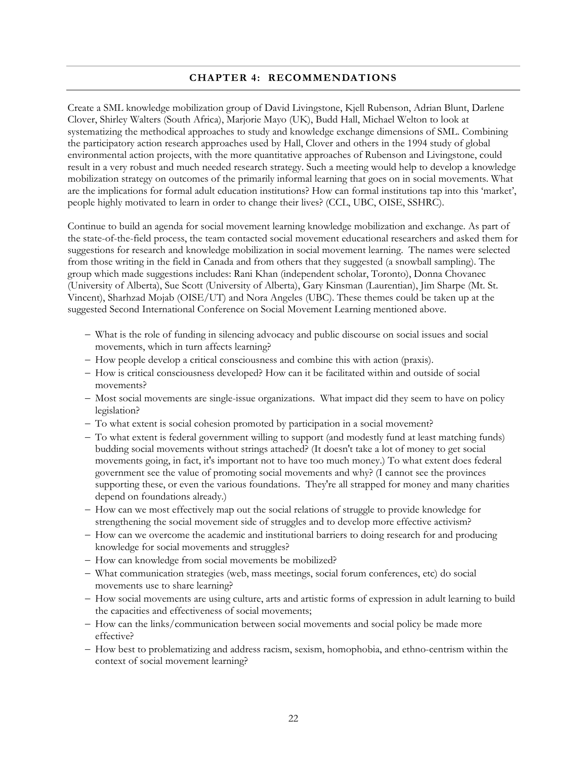#### **CHAPTER 4: RECOMMENDATIONS**

<span id="page-21-0"></span>Create a SML knowledge mobilization group of David Livingstone, Kjell Rubenson, Adrian Blunt, Darlene Clover, Shirley Walters (South Africa), Marjorie Mayo (UK), Budd Hall, Michael Welton to look at systematizing the methodical approaches to study and knowledge exchange dimensions of SML. Combining the participatory action research approaches used by Hall, Clover and others in the 1994 study of global environmental action projects, with the more quantitative approaches of Rubenson and Livingstone, could result in a very robust and much needed research strategy. Such a meeting would help to develop a knowledge mobilization strategy on outcomes of the primarily informal learning that goes on in social movements. What are the implications for formal adult education institutions? How can formal institutions tap into this 'market', people highly motivated to learn in order to change their lives? (CCL, UBC, OISE, SSHRC).

Continue to build an agenda for social movement learning knowledge mobilization and exchange. As part of the state-of-the-field process, the team contacted social movement educational researchers and asked them for suggestions for research and knowledge mobilization in social movement learning. The names were selected from those writing in the field in Canada and from others that they suggested (a snowball sampling). The group which made suggestions includes: Rani Khan (independent scholar, Toronto), Donna Chovanec (University of Alberta), Sue Scott (University of Alberta), Gary Kinsman (Laurentian), Jim Sharpe (Mt. St. Vincent), Sharhzad Mojab (OISE/UT) and Nora Angeles (UBC). These themes could be taken up at the suggested Second International Conference on Social Movement Learning mentioned above.

- − What is the role of funding in silencing advocacy and public discourse on social issues and social movements, which in turn affects learning?
- − How people develop a critical consciousness and combine this with action (praxis).
- − How is critical consciousness developed? How can it be facilitated within and outside of social movements?
- − Most social movements are single-issue organizations. What impact did they seem to have on policy legislation?
- − To what extent is social cohesion promoted by participation in a social movement?
- − To what extent is federal government willing to support (and modestly fund at least matching funds) budding social movements without strings attached? (It doesn't take a lot of money to get social movements going, in fact, it's important not to have too much money.) To what extent does federal government see the value of promoting social movements and why? (I cannot see the provinces supporting these, or even the various foundations. They're all strapped for money and many charities depend on foundations already.)
- − How can we most effectively map out the social relations of struggle to provide knowledge for strengthening the social movement side of struggles and to develop more effective activism?
- − How can we overcome the academic and institutional barriers to doing research for and producing knowledge for social movements and struggles?
- − How can knowledge from social movements be mobilized?
- − What communication strategies (web, mass meetings, social forum conferences, etc) do social movements use to share learning?
- − How social movements are using culture, arts and artistic forms of expression in adult learning to build the capacities and effectiveness of social movements;
- − How can the links/communication between social movements and social policy be made more effective?
- − How best to problematizing and address racism, sexism, homophobia, and ethno-centrism within the context of social movement learning?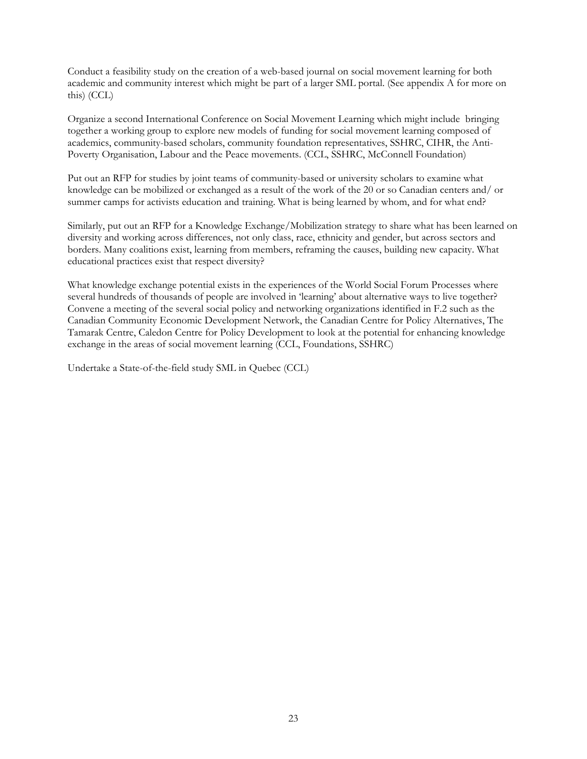Conduct a feasibility study on the creation of a web-based journal on social movement learning for both academic and community interest which might be part of a larger SML portal. (See appendix A for more on this) (CCL)

Organize a second International Conference on Social Movement Learning which might include bringing together a working group to explore new models of funding for social movement learning composed of academics, community-based scholars, community foundation representatives, SSHRC, CIHR, the Anti-Poverty Organisation, Labour and the Peace movements. (CCL, SSHRC, McConnell Foundation)

Put out an RFP for studies by joint teams of community-based or university scholars to examine what knowledge can be mobilized or exchanged as a result of the work of the 20 or so Canadian centers and/ or summer camps for activists education and training. What is being learned by whom, and for what end?

Similarly, put out an RFP for a Knowledge Exchange/Mobilization strategy to share what has been learned on diversity and working across differences, not only class, race, ethnicity and gender, but across sectors and borders. Many coalitions exist, learning from members, reframing the causes, building new capacity. What educational practices exist that respect diversity?

What knowledge exchange potential exists in the experiences of the World Social Forum Processes where several hundreds of thousands of people are involved in 'learning' about alternative ways to live together? Convene a meeting of the several social policy and networking organizations identified in F.2 such as the Canadian Community Economic Development Network, the Canadian Centre for Policy Alternatives, The Tamarak Centre, Caledon Centre for Policy Development to look at the potential for enhancing knowledge exchange in the areas of social movement learning (CCL, Foundations, SSHRC)

Undertake a State-of-the-field study SML in Quebec (CCL)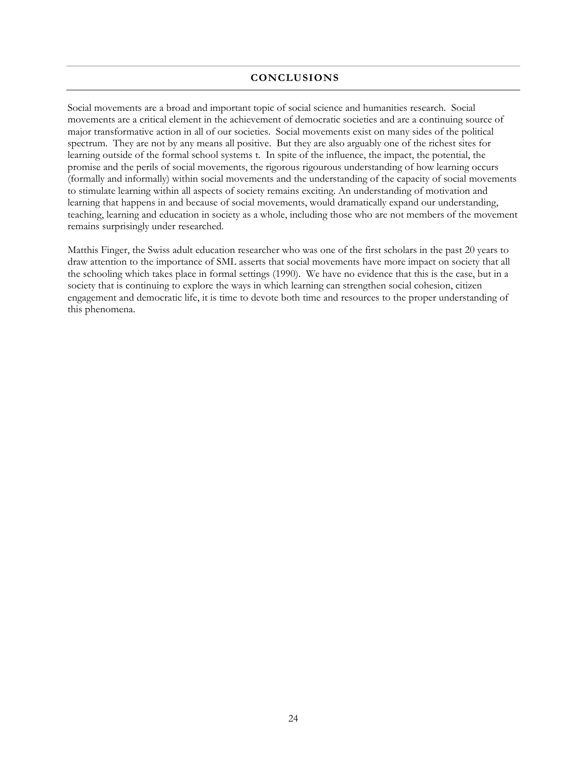#### **CONCLUSIONS**

<span id="page-23-0"></span>Social movements are a broad and important topic of social science and humanities research. Social movements are a critical element in the achievement of democratic societies and are a continuing source of major transformative action in all of our societies. Social movements exist on many sides of the political spectrum. They are not by any means all positive. But they are also arguably one of the richest sites for learning outside of the formal school systems t. In spite of the influence, the impact, the potential, the promise and the perils of social movements, the rigorous rigourous understanding of how learning occurs (formally and informally) within social movements and the understanding of the capacity of social movements to stimulate learning within all aspects of society remains exciting. An understanding of motivation and learning that happens in and because of social movements, would dramatically expand our understanding, teaching, learning and education in society as a whole, including those who are not members of the movement remains surprisingly under researched.

Matthis Finger, the Swiss adult education researcher who was one of the first scholars in the past 20 years to draw attention to the importance of SML asserts that social movements have more impact on society that all the schooling which takes place in formal settings (1990). We have no evidence that this is the case, but in a society that is continuing to explore the ways in which learning can strengthen social cohesion, citizen engagement and democratic life, it is time to devote both time and resources to the proper understanding of this phenomena.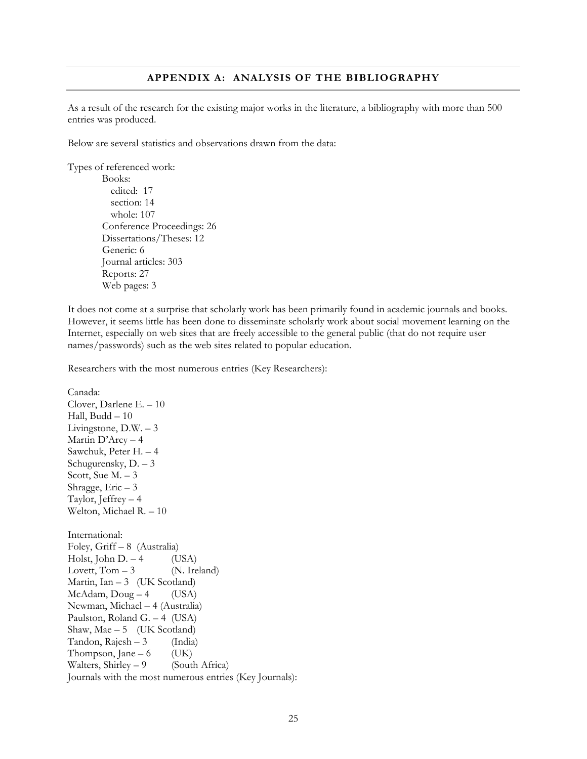#### **APPENDIX A: ANALYSIS OF THE BIBLIOGRAPHY**

<span id="page-24-0"></span>As a result of the research for the existing major works in the literature, a bibliography with more than 500 entries was produced.

Below are several statistics and observations drawn from the data:

Types of referenced work:

Canada:

```
Books: 
  edited: 17 
  section: 14 
  whole: 107 
Conference Proceedings: 26 
Dissertations/Theses: 12 
Generic: 6 
Journal articles: 303 
Reports: 27 
Web pages: 3
```
It does not come at a surprise that scholarly work has been primarily found in academic journals and books. However, it seems little has been done to disseminate scholarly work about social movement learning on the Internet, especially on web sites that are freely accessible to the general public (that do not require user names/passwords) such as the web sites related to popular education.

Researchers with the most numerous entries (Key Researchers):

Clover, Darlene E. – 10 Hall, Budd – 10 Livingstone, D.W. – 3 Martin D'Arcy – 4 Sawchuk, Peter H. – 4 Schugurensky, D. – 3 Scott, Sue  $M - 3$ Shragge,  $Eric - 3$ Taylor, Jeffrey – 4 Welton, Michael R. – 10 International: Foley, Griff – 8 (Australia) Holst, John D.  $-4$  (USA) Lovett,  $Tom - 3$  (N. Ireland) Martin, Ian  $-3$  (UK Scotland)  $McAdam, Doug - 4$  (USA) Newman, Michael – 4 (Australia) Paulston, Roland G. – 4 (USA) Shaw, Mae  $-5$  (UK Scotland) Tandon,  $Rajesh - 3$  (India) Thompson, Jane – 6  $(UK)$ Walters, Shirley  $-9$  (South Africa) Journals with the most numerous entries (Key Journals):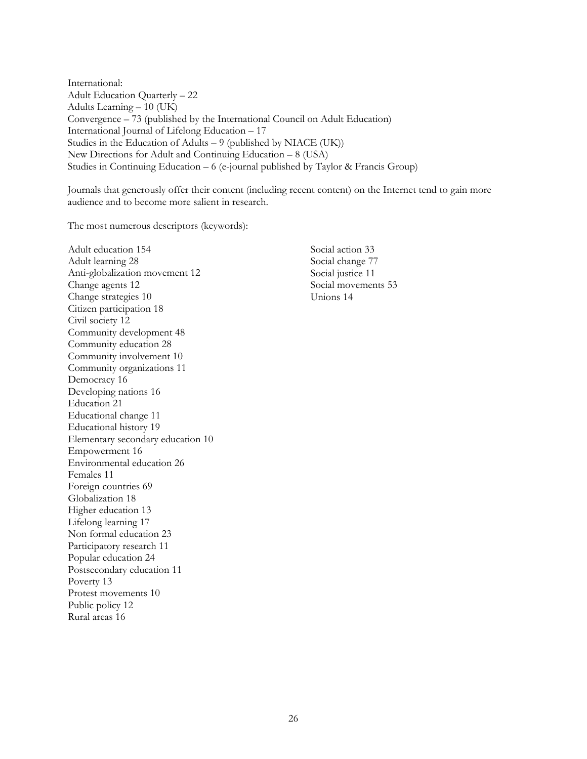International: Adult Education Quarterly – 22 Adults Learning – 10 (UK) Convergence – 73 (published by the International Council on Adult Education) International Journal of Lifelong Education – 17 Studies in the Education of Adults – 9 (published by NIACE (UK)) New Directions for Adult and Continuing Education – 8 (USA) Studies in Continuing Education – 6 (e-journal published by Taylor & Francis Group)

Journals that generously offer their content (including recent content) on the Internet tend to gain more audience and to become more salient in research.

The most numerous descriptors (keywords):

Adult education 154 Adult learning 28 Anti-globalization movement 12 Change agents 12 Change strategies 10 Citizen participation 18 Civil society 12 Community development 48 Community education 28 Community involvement 10 Community organizations 11 Democracy 16 Developing nations 16 Education 21 Educational change 11 Educational history 19 Elementary secondary education 10 Empowerment 16 Environmental education 26 Females 11 Foreign countries 69 Globalization 18 Higher education 13 Lifelong learning 17 Non formal education 23 Participatory research 11 Popular education 24 Postsecondary education 11 Poverty 13 Protest movements 10 Public policy 12 Rural areas 16

Social action 33 Social change 77 Social justice 11 Social movements 53 Unions 14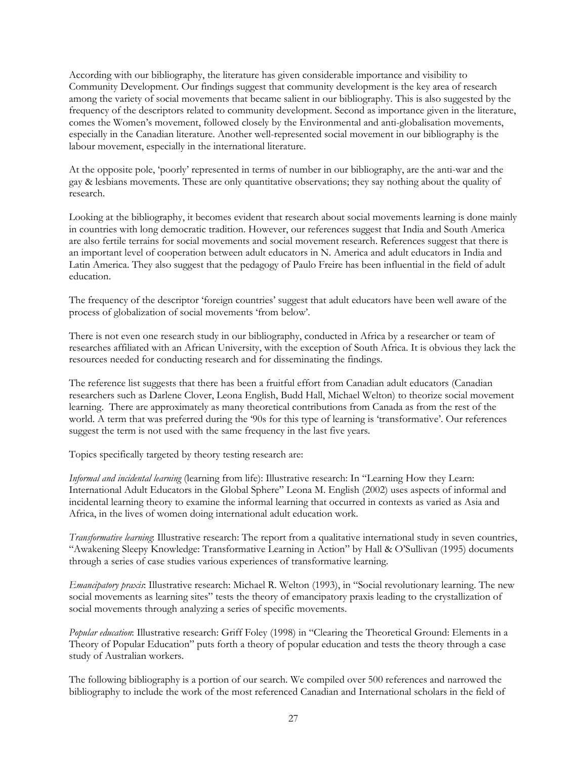According with our bibliography, the literature has given considerable importance and visibility to Community Development. Our findings suggest that community development is the key area of research among the variety of social movements that became salient in our bibliography. This is also suggested by the frequency of the descriptors related to community development. Second as importance given in the literature, comes the Women's movement, followed closely by the Environmental and anti-globalisation movements, especially in the Canadian literature. Another well-represented social movement in our bibliography is the labour movement, especially in the international literature.

At the opposite pole, 'poorly' represented in terms of number in our bibliography, are the anti-war and the gay & lesbians movements. These are only quantitative observations; they say nothing about the quality of research.

Looking at the bibliography, it becomes evident that research about social movements learning is done mainly in countries with long democratic tradition. However, our references suggest that India and South America are also fertile terrains for social movements and social movement research. References suggest that there is an important level of cooperation between adult educators in N. America and adult educators in India and Latin America. They also suggest that the pedagogy of Paulo Freire has been influential in the field of adult education.

The frequency of the descriptor 'foreign countries' suggest that adult educators have been well aware of the process of globalization of social movements 'from below'.

There is not even one research study in our bibliography, conducted in Africa by a researcher or team of researches affiliated with an African University, with the exception of South Africa. It is obvious they lack the resources needed for conducting research and for disseminating the findings.

The reference list suggests that there has been a fruitful effort from Canadian adult educators (Canadian researchers such as Darlene Clover, Leona English, Budd Hall, Michael Welton) to theorize social movement learning. There are approximately as many theoretical contributions from Canada as from the rest of the world. A term that was preferred during the '90s for this type of learning is 'transformative'. Our references suggest the term is not used with the same frequency in the last five years.

Topics specifically targeted by theory testing research are:

*Informal and incidental learning* (learning from life): Illustrative research: In "Learning How they Learn: International Adult Educators in the Global Sphere" Leona M. English (2002) uses aspects of informal and incidental learning theory to examine the informal learning that occurred in contexts as varied as Asia and Africa, in the lives of women doing international adult education work.

*Transformative learning*: Illustrative research: The report from a qualitative international study in seven countries, "Awakening Sleepy Knowledge: Transformative Learning in Action" by Hall & O'Sullivan (1995) documents through a series of case studies various experiences of transformative learning.

*Emancipatory praxis*: Illustrative research: Michael R. Welton (1993), in "Social revolutionary learning. The new social movements as learning sites" tests the theory of emancipatory praxis leading to the crystallization of social movements through analyzing a series of specific movements.

*Popular education*: Illustrative research: Griff Foley (1998) in "Clearing the Theoretical Ground: Elements in a Theory of Popular Education" puts forth a theory of popular education and tests the theory through a case study of Australian workers.

The following bibliography is a portion of our search. We compiled over 500 references and narrowed the bibliography to include the work of the most referenced Canadian and International scholars in the field of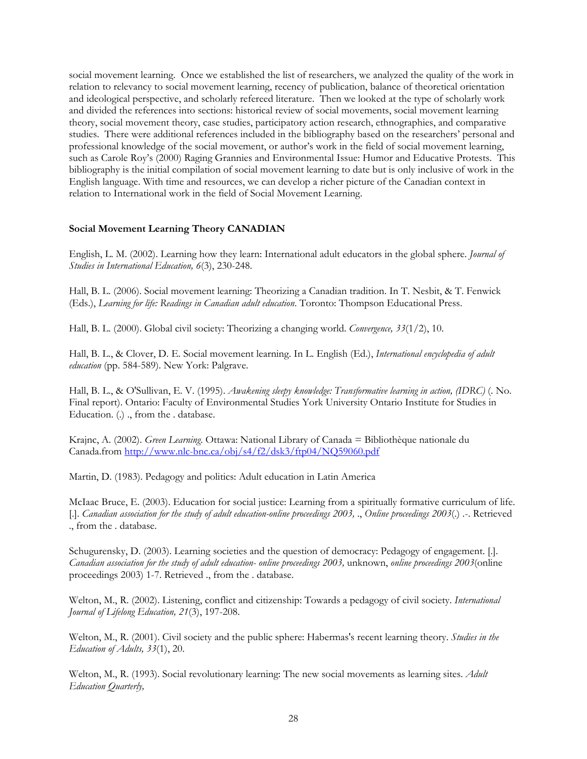<span id="page-27-0"></span>social movement learning. Once we established the list of researchers, we analyzed the quality of the work in relation to relevancy to social movement learning, recency of publication, balance of theoretical orientation and ideological perspective, and scholarly refereed literature. Then we looked at the type of scholarly work and divided the references into sections: historical review of social movements, social movement learning theory, social movement theory, case studies, participatory action research, ethnographies, and comparative studies. There were additional references included in the bibliography based on the researchers' personal and professional knowledge of the social movement, or author's work in the field of social movement learning, such as Carole Roy's (2000) Raging Grannies and Environmental Issue: Humor and Educative Protests. This bibliography is the initial compilation of social movement learning to date but is only inclusive of work in the English language. With time and resources, we can develop a richer picture of the Canadian context in relation to International work in the field of Social Movement Learning.

#### **Social Movement Learning Theory CANADIAN**

English, L. M. (2002). Learning how they learn: International adult educators in the global sphere. *Journal of Studies in International Education, 6*(3), 230-248.

Hall, B. L. (2006). Social movement learning: Theorizing a Canadian tradition. In T. Nesbit, & T. Fenwick (Eds.), *Learning for life: Readings in Canadian adult education*. Toronto: Thompson Educational Press.

Hall, B. L. (2000). Global civil society: Theorizing a changing world. *Convergence, 33*(1/2), 10.

Hall, B. L., & Clover, D. E. Social movement learning. In L. English (Ed.), *International encyclopedia of adult education* (pp. 584-589). New York: Palgrave.

Hall, B. L., & O'Sullivan, E. V. (1995). *Awakening sleepy knowledge: Transformative learning in action, (IDRC)* (. No. Final report). Ontario: Faculty of Environmental Studies York University Ontario Institute for Studies in Education. (.) ., from the . database.

Krajnc, A. (2002). *Green Learning*. Ottawa: National Library of Canada = Bibliothèque nationale du Canada.from http://www.nlc-bnc.ca/obj/s4/f2/dsk3/ftp04/NQ59060.pdf

Martin, D. (1983). Pedagogy and politics: Adult education in Latin America

McIaac Bruce, E. (2003). Education for social justice: Learning from a spiritually formative curriculum of life. [.]. *Canadian association for the study of adult education-online proceedings 2003,* ., *Online proceedings 2003*(.) .-. Retrieved ., from the . database.

Schugurensky, D. (2003). Learning societies and the question of democracy: Pedagogy of engagement. [.]. *Canadian association for the study of adult education- online proceedings 2003,* unknown, *online proceedings 2003*(online proceedings 2003) 1-7. Retrieved ., from the . database.

Welton, M., R. (2002). Listening, conflict and citizenship: Towards a pedagogy of civil society. *International Journal of Lifelong Education, 21*(3), 197-208.

Welton, M., R. (2001). Civil society and the public sphere: Habermas's recent learning theory. *Studies in the Education of Adults, 33*(1), 20.

Welton, M., R. (1993). Social revolutionary learning: The new social movements as learning sites. *Adult Education Quarterly,*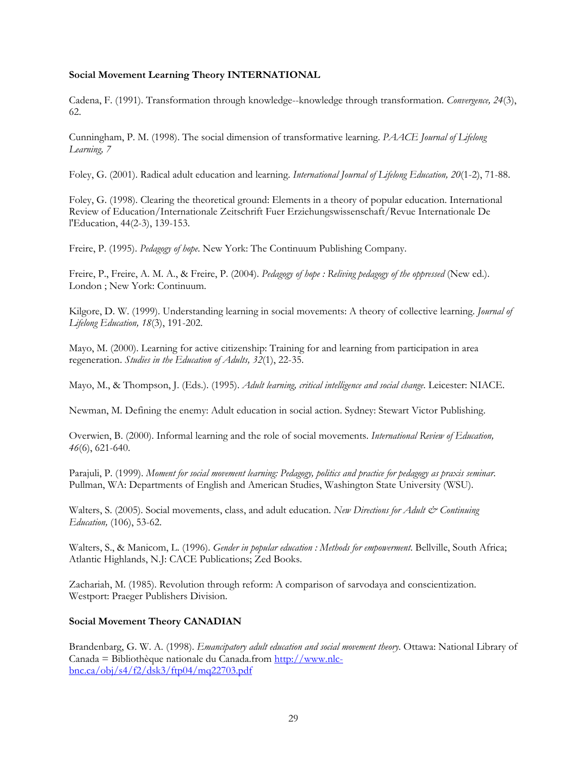#### <span id="page-28-0"></span>**Social Movement Learning Theory INTERNATIONAL**

Cadena, F. (1991). Transformation through knowledge--knowledge through transformation. *Convergence, 24*(3), 62.

Cunningham, P. M. (1998). The social dimension of transformative learning. *PAACE Journal of Lifelong Learning, 7*

Foley, G. (2001). Radical adult education and learning. *International Journal of Lifelong Education, 20*(1-2), 71-88.

Foley, G. (1998). Clearing the theoretical ground: Elements in a theory of popular education. International Review of Education/Internationale Zeitschrift Fuer Erziehungswissenschaft/Revue Internationale De l'Education, 44(2-3), 139-153.

Freire, P. (1995). *Pedagogy of hope*. New York: The Continuum Publishing Company.

Freire, P., Freire, A. M. A., & Freire, P. (2004). *Pedagogy of hope : Reliving pedagogy of the oppressed* (New ed.). London ; New York: Continuum.

Kilgore, D. W. (1999). Understanding learning in social movements: A theory of collective learning. *Journal of Lifelong Education, 18*(3), 191-202.

Mayo, M. (2000). Learning for active citizenship: Training for and learning from participation in area regeneration. *Studies in the Education of Adults, 32*(1), 22-35.

Mayo, M., & Thompson, J. (Eds.). (1995). *Adult learning, critical intelligence and social change*. Leicester: NIACE.

Newman, M. Defining the enemy: Adult education in social action. Sydney: Stewart Victor Publishing.

Overwien, B. (2000). Informal learning and the role of social movements. *International Review of Education, 46*(6), 621-640.

Parajuli, P. (1999). *Moment for social movement learning: Pedagogy, politics and practice for pedagogy as praxis seminar*. Pullman, WA: Departments of English and American Studies, Washington State University (WSU).

Walters, S. (2005). Social movements, class, and adult education. New Directions for Adult & Continuing *Education,* (106), 53-62.

Walters, S., & Manicom, L. (1996). *Gender in popular education : Methods for empowerment*. Bellville, South Africa; Atlantic Highlands, N.J: CACE Publications; Zed Books.

Zachariah, M. (1985). Revolution through reform: A comparison of sarvodaya and conscientization. Westport: Praeger Publishers Division.

#### **Social Movement Theory CANADIAN**

Brandenbarg, G. W. A. (1998). *Emancipatory adult education and social movement theory*. Ottawa: National Library of Canada = Bibliothèque nationale du Canada.from http://www.nlcbnc.ca/obj/s4/f2/dsk3/ftp04/mq22703.pdf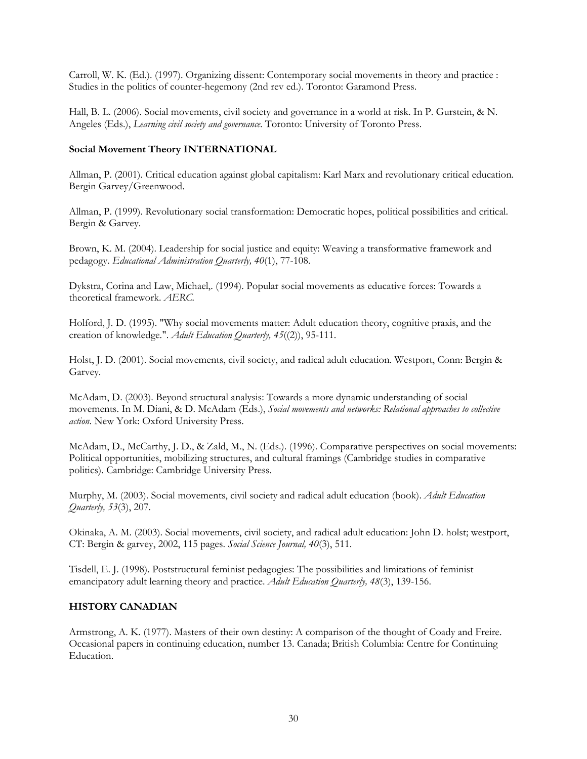<span id="page-29-0"></span>Carroll, W. K. (Ed.). (1997). Organizing dissent: Contemporary social movements in theory and practice : Studies in the politics of counter-hegemony (2nd rev ed.). Toronto: Garamond Press.

Hall, B. L. (2006). Social movements, civil society and governance in a world at risk. In P. Gurstein, & N. Angeles (Eds.), *Learning civil society and governance*. Toronto: University of Toronto Press.

#### **Social Movement Theory INTERNATIONAL**

Allman, P. (2001). Critical education against global capitalism: Karl Marx and revolutionary critical education. Bergin Garvey/Greenwood.

Allman, P. (1999). Revolutionary social transformation: Democratic hopes, political possibilities and critical. Bergin & Garvey.

Brown, K. M. (2004). Leadership for social justice and equity: Weaving a transformative framework and pedagogy. *Educational Administration Quarterly, 40*(1), 77-108.

Dykstra, Corina and Law, Michael,. (1994). Popular social movements as educative forces: Towards a theoretical framework. *AERC.*

Holford, J. D. (1995). "Why social movements matter: Adult education theory, cognitive praxis, and the creation of knowledge.". *Adult Education Quarterly, 45*((2)), 95-111.

Holst, J. D. (2001). Social movements, civil society, and radical adult education. Westport, Conn: Bergin & Garvey.

McAdam, D. (2003). Beyond structural analysis: Towards a more dynamic understanding of social movements. In M. Diani, & D. McAdam (Eds.), *Social movements and networks: Relational approaches to collective action*. New York: Oxford University Press.

McAdam, D., McCarthy, J. D., & Zald, M., N. (Eds.). (1996). Comparative perspectives on social movements: Political opportunities, mobilizing structures, and cultural framings (Cambridge studies in comparative politics). Cambridge: Cambridge University Press.

Murphy, M. (2003). Social movements, civil society and radical adult education (book). *Adult Education Quarterly, 53*(3), 207.

Okinaka, A. M. (2003). Social movements, civil society, and radical adult education: John D. holst; westport, CT: Bergin & garvey, 2002, 115 pages. *Social Science Journal, 40*(3), 511.

Tisdell, E. J. (1998). Poststructural feminist pedagogies: The possibilities and limitations of feminist emancipatory adult learning theory and practice. *Adult Education Quarterly, 48*(3), 139-156.

#### **HISTORY CANADIAN**

Armstrong, A. K. (1977). Masters of their own destiny: A comparison of the thought of Coady and Freire. Occasional papers in continuing education, number 13. Canada; British Columbia: Centre for Continuing Education.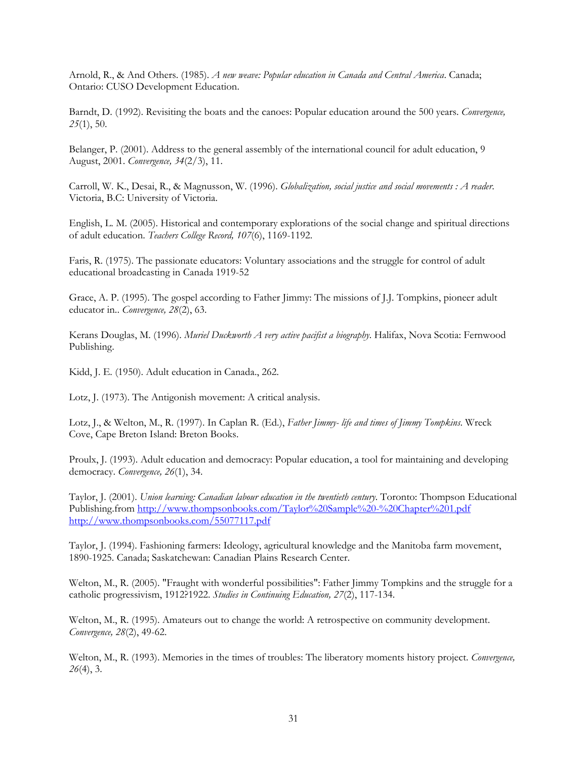Arnold, R., & And Others. (1985). *A new weave: Popular education in Canada and Central America*. Canada; Ontario: CUSO Development Education.

Barndt, D. (1992). Revisiting the boats and the canoes: Popular education around the 500 years. *Convergence, 25*(1), 50.

Belanger, P. (2001). Address to the general assembly of the international council for adult education, 9 August, 2001. *Convergence, 34*(2/3), 11.

Carroll, W. K., Desai, R., & Magnusson, W. (1996). *Globalization, social justice and social movements : A reader*. Victoria, B.C: University of Victoria.

English, L. M. (2005). Historical and contemporary explorations of the social change and spiritual directions of adult education. *Teachers College Record, 107*(6), 1169-1192.

Faris, R. (1975). The passionate educators: Voluntary associations and the struggle for control of adult educational broadcasting in Canada 1919-52

Grace, A. P. (1995). The gospel according to Father Jimmy: The missions of J.J. Tompkins, pioneer adult educator in.. *Convergence, 28*(2), 63.

Kerans Douglas, M. (1996). *Muriel Duckworth A very active pacifist a biography*. Halifax, Nova Scotia: Fernwood Publishing.

Kidd, J. E. (1950). Adult education in Canada., 262.

Lotz, J. (1973). The Antigonish movement: A critical analysis.

Lotz, J., & Welton, M., R. (1997). In Caplan R. (Ed.), *Father Jimmy- life and times of Jimmy Tompkins*. Wreck Cove, Cape Breton Island: Breton Books.

Proulx, J. (1993). Adult education and democracy: Popular education, a tool for maintaining and developing democracy. *Convergence, 26*(1), 34.

Taylor, J. (2001). *Union learning: Canadian labour education in the twentieth century*. Toronto: Thompson Educational Publishing.from http://www.thompsonbooks.com/Taylor%20Sample%20-%20Chapter%201.pdf http://www.thompsonbooks.com/55077117.pdf

Taylor, J. (1994). Fashioning farmers: Ideology, agricultural knowledge and the Manitoba farm movement, 1890-1925. Canada; Saskatchewan: Canadian Plains Research Center.

Welton, M., R. (2005). "Fraught with wonderful possibilities": Father Jimmy Tompkins and the struggle for a catholic progressivism, 1912?1922. *Studies in Continuing Education, 27*(2), 117-134.

Welton, M., R. (1995). Amateurs out to change the world: A retrospective on community development. *Convergence, 28*(2), 49-62.

Welton, M., R. (1993). Memories in the times of troubles: The liberatory moments history project. *Convergence, 26*(4), 3.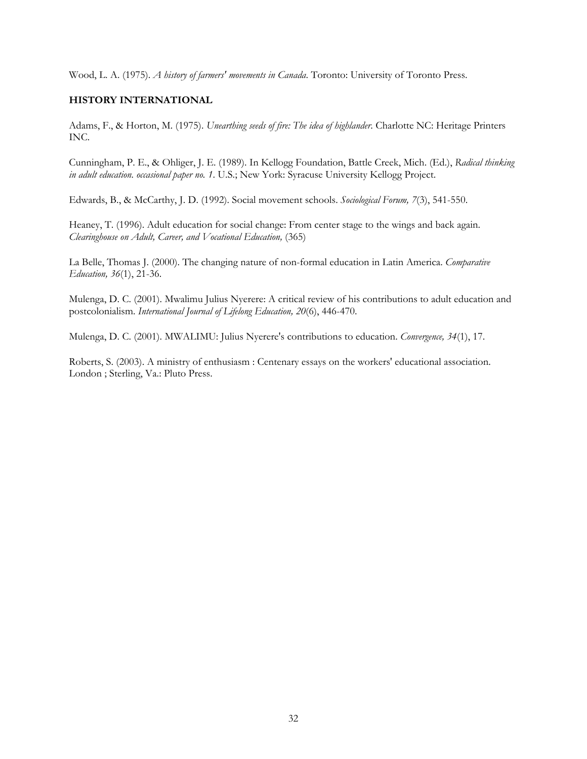<span id="page-31-0"></span>Wood, L. A. (1975). *A history of farmers' movements in Canada*. Toronto: University of Toronto Press.

#### **HISTORY INTERNATIONAL**

Adams, F., & Horton, M. (1975). *Unearthing seeds of fire: The idea of highlander*. Charlotte NC: Heritage Printers INC.

Cunningham, P. E., & Ohliger, J. E. (1989). In Kellogg Foundation, Battle Creek, Mich. (Ed.), *Radical thinking in adult education. occasional paper no. 1*. U.S.; New York: Syracuse University Kellogg Project.

Edwards, B., & McCarthy, J. D. (1992). Social movement schools. *Sociological Forum, 7*(3), 541-550.

Heaney, T. (1996). Adult education for social change: From center stage to the wings and back again. *Clearinghouse on Adult, Career, and Vocational Education,* (365)

La Belle, Thomas J. (2000). The changing nature of non-formal education in Latin America. *Comparative Education, 36*(1), 21-36.

Mulenga, D. C. (2001). Mwalimu Julius Nyerere: A critical review of his contributions to adult education and postcolonialism. *International Journal of Lifelong Education, 20*(6), 446-470.

Mulenga, D. C. (2001). MWALIMU: Julius Nyerere's contributions to education. *Convergence, 34*(1), 17.

Roberts, S. (2003). A ministry of enthusiasm : Centenary essays on the workers' educational association. London ; Sterling, Va.: Pluto Press.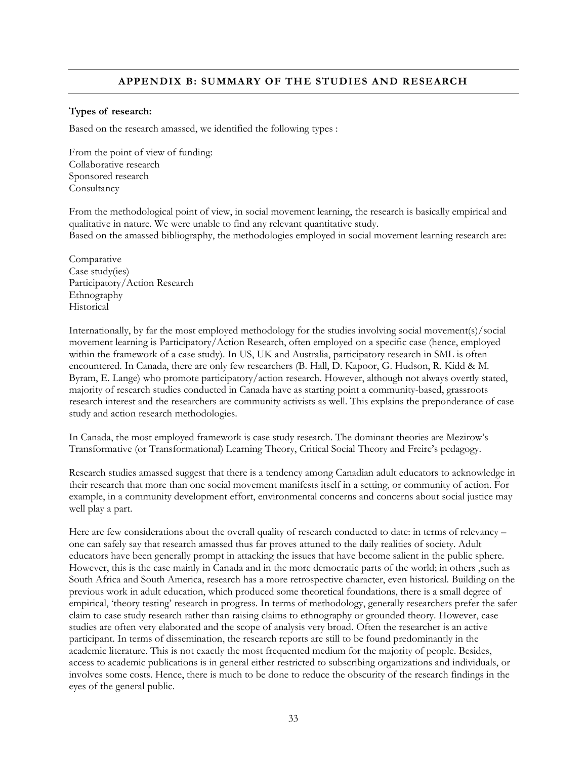#### **APPENDIX B: SUMMARY OF THE STUDIES AND RESEARCH**

#### <span id="page-32-0"></span>**Types of research:**

Based on the research amassed, we identified the following types :

From the point of view of funding: Collaborative research Sponsored research Consultancy

From the methodological point of view, in social movement learning, the research is basically empirical and qualitative in nature. We were unable to find any relevant quantitative study. Based on the amassed bibliography, the methodologies employed in social movement learning research are:

Comparative Case study(ies) Participatory/Action Research Ethnography Historical

Internationally, by far the most employed methodology for the studies involving social movement(s)/social movement learning is Participatory/Action Research, often employed on a specific case (hence, employed within the framework of a case study). In US, UK and Australia, participatory research in SML is often encountered. In Canada, there are only few researchers (B. Hall, D. Kapoor, G. Hudson, R. Kidd & M. Byram, E. Lange) who promote participatory/action research. However, although not always overtly stated, majority of research studies conducted in Canada have as starting point a community-based, grassroots research interest and the researchers are community activists as well. This explains the preponderance of case study and action research methodologies.

In Canada, the most employed framework is case study research. The dominant theories are Mezirow's Transformative (or Transformational) Learning Theory, Critical Social Theory and Freire's pedagogy.

Research studies amassed suggest that there is a tendency among Canadian adult educators to acknowledge in their research that more than one social movement manifests itself in a setting, or community of action. For example, in a community development effort, environmental concerns and concerns about social justice may well play a part.

Here are few considerations about the overall quality of research conducted to date: in terms of relevancy one can safely say that research amassed thus far proves attuned to the daily realities of society. Adult educators have been generally prompt in attacking the issues that have become salient in the public sphere. However, this is the case mainly in Canada and in the more democratic parts of the world; in others ,such as South Africa and South America, research has a more retrospective character, even historical. Building on the previous work in adult education, which produced some theoretical foundations, there is a small degree of empirical, 'theory testing' research in progress. In terms of methodology, generally researchers prefer the safer claim to case study research rather than raising claims to ethnography or grounded theory. However, case studies are often very elaborated and the scope of analysis very broad. Often the researcher is an active participant. In terms of dissemination, the research reports are still to be found predominantly in the academic literature. This is not exactly the most frequented medium for the majority of people. Besides, access to academic publications is in general either restricted to subscribing organizations and individuals, or involves some costs. Hence, there is much to be done to reduce the obscurity of the research findings in the eyes of the general public.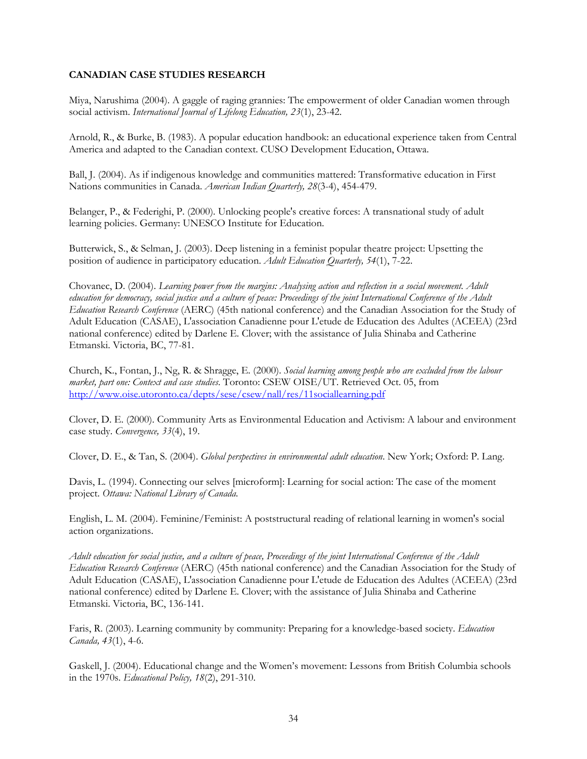#### <span id="page-33-0"></span>**CANADIAN CASE STUDIES RESEARCH**

Miya, Narushima (2004). A gaggle of raging grannies: The empowerment of older Canadian women through social activism. *International Journal of Lifelong Education, 23*(1), 23-42.

Arnold, R., & Burke, B. (1983). A popular education handbook: an educational experience taken from Central America and adapted to the Canadian context. CUSO Development Education, Ottawa.

Ball, J. (2004). As if indigenous knowledge and communities mattered: Transformative education in First Nations communities in Canada. *American Indian Quarterly, 28*(3-4), 454-479.

Belanger, P., & Federighi, P. (2000). Unlocking people's creative forces: A transnational study of adult learning policies. Germany: UNESCO Institute for Education.

Butterwick, S., & Selman, J. (2003). Deep listening in a feminist popular theatre project: Upsetting the position of audience in participatory education. *Adult Education Quarterly, 54*(1), 7-22.

Chovanec, D. (2004). *Learning power from the margins: Analysing action and reflection in a social movement. Adult education for democracy, social justice and a culture of peace: Proceedings of the joint International Conference of the Adult Education Research Conference* (AERC) (45th national conference) and the Canadian Association for the Study of Adult Education (CASAE), L'association Canadienne pour L'etude de Education des Adultes (ACEEA) (23rd national conference) edited by Darlene E. Clover; with the assistance of Julia Shinaba and Catherine Etmanski. Victoria, BC, 77-81.

Church, K., Fontan, J., Ng, R. & Shragge, E. (2000). *Social learning among people who are excluded from the labour market, part one: Context and case studies*. Toronto: CSEW OISE/UT. Retrieved Oct. 05, from http://www.oise.utoronto.ca/depts/sese/csew/nall/res/11sociallearning.pdf

Clover, D. E. (2000). Community Arts as Environmental Education and Activism: A labour and environment case study. *Convergence, 33*(4), 19.

Clover, D. E., & Tan, S. (2004). *Global perspectives in environmental adult education*. New York; Oxford: P. Lang.

Davis, L. (1994). Connecting our selves [microform]: Learning for social action: The case of the moment project. *Ottawa: National Library of Canada.* 

English, L. M. (2004). Feminine/Feminist: A poststructural reading of relational learning in women's social action organizations.

*Adult education for social justice, and a culture of peace, Proceedings of the joint International Conference of the Adult Education Research Conference* (AERC) (45th national conference) and the Canadian Association for the Study of Adult Education (CASAE), L'association Canadienne pour L'etude de Education des Adultes (ACEEA) (23rd national conference) edited by Darlene E. Clover; with the assistance of Julia Shinaba and Catherine Etmanski. Victoria, BC, 136-141.

Faris, R. (2003). Learning community by community: Preparing for a knowledge-based society. *Education Canada, 43*(1), 4-6.

Gaskell, J. (2004). Educational change and the Women's movement: Lessons from British Columbia schools in the 1970s. *Educational Policy, 18*(2), 291-310.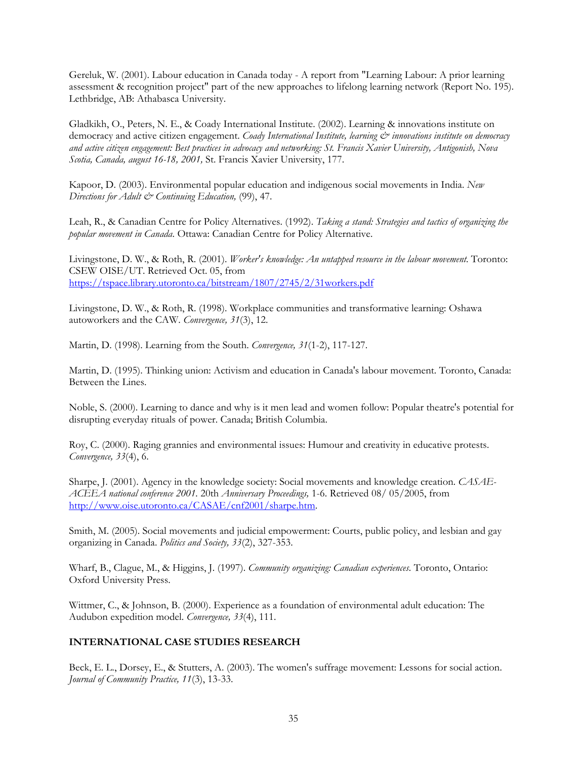<span id="page-34-0"></span>Gereluk, W. (2001). Labour education in Canada today - A report from "Learning Labour: A prior learning assessment & recognition project" part of the new approaches to lifelong learning network (Report No. 195). Lethbridge, AB: Athabasca University.

Gladkikh, O., Peters, N. E., & Coady International Institute. (2002). Learning & innovations institute on democracy and active citizen engagement. *Coady International Institute, learning*  $\breve{c}$  *innovations institute on democracy and active citizen engagement: Best practices in advocacy and networking: St. Francis Xavier University, Antigonish, Nova Scotia, Canada, august 16-18, 2001,* St. Francis Xavier University, 177.

Kapoor, D. (2003). Environmental popular education and indigenous social movements in India. *New Directions for Adult & Continuing Education,* (99), 47.

Leah, R., & Canadian Centre for Policy Alternatives. (1992). *Taking a stand: Strategies and tactics of organizing the popular movement in Canada*. Ottawa: Canadian Centre for Policy Alternative.

Livingstone, D. W., & Roth, R. (2001). *Worker's knowledge: An untapped resource in the labour movement*. Toronto: CSEW OISE/UT. Retrieved Oct. 05, from https://tspace.library.utoronto.ca/bitstream/1807/2745/2/31workers.pdf

Livingstone, D. W., & Roth, R. (1998). Workplace communities and transformative learning: Oshawa autoworkers and the CAW. *Convergence, 31*(3), 12.

Martin, D. (1998). Learning from the South. *Convergence, 31*(1-2), 117-127.

Martin, D. (1995). Thinking union: Activism and education in Canada's labour movement. Toronto, Canada: Between the Lines.

Noble, S. (2000). Learning to dance and why is it men lead and women follow: Popular theatre's potential for disrupting everyday rituals of power. Canada; British Columbia.

Roy, C. (2000). Raging grannies and environmental issues: Humour and creativity in educative protests. *Convergence, 33*(4), 6.

Sharpe, J. (2001). Agency in the knowledge society: Social movements and knowledge creation. *CASAE-ACEEA national conference 2001.* 20th *Anniversary Proceedings,* 1-6. Retrieved 08/ 05/2005, from http://www.oise.utoronto.ca/CASAE/cnf2001/sharpe.htm.

Smith, M. (2005). Social movements and judicial empowerment: Courts, public policy, and lesbian and gay organizing in Canada. *Politics and Society, 33*(2), 327-353.

Wharf, B., Clague, M., & Higgins, J. (1997). *Community organizing: Canadian experiences*. Toronto, Ontario: Oxford University Press.

Wittmer, C., & Johnson, B. (2000). Experience as a foundation of environmental adult education: The Audubon expedition model. *Convergence, 33*(4), 111.

#### **INTERNATIONAL CASE STUDIES RESEARCH**

Beck, E. L., Dorsey, E., & Stutters, A. (2003). The women's suffrage movement: Lessons for social action. *Journal of Community Practice, 11*(3), 13-33.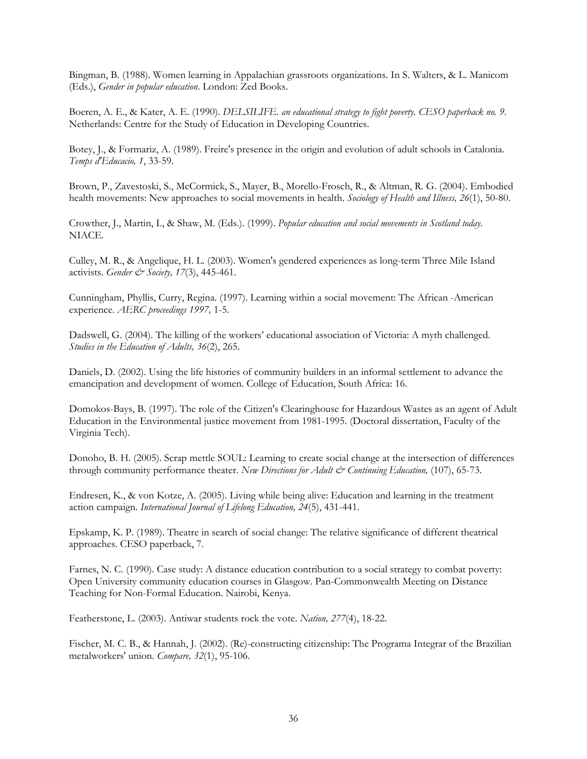Bingman, B. (1988). Women learning in Appalachian grassroots organizations. In S. Walters, & L. Manicom (Eds.), *Gender in popular education*. London: Zed Books.

Boeren, A. E., & Kater, A. E. (1990). *DELSILIFE. an educational strategy to fight poverty. CESO paperback no. 9*. Netherlands: Centre for the Study of Education in Developing Countries.

Botey, J., & Formariz, A. (1989). Freire's presence in the origin and evolution of adult schools in Catalonia. *Temps d'Educacio, 1*, 33-59.

Brown, P., Zavestoski, S., McCormick, S., Mayer, B., Morello-Frosch, R., & Altman, R. G. (2004). Embodied health movements: New approaches to social movements in health. *Sociology of Health and Illness, 26*(1), 50-80.

Crowther, J., Martin, I., & Shaw, M. (Eds.). (1999). *Popular education and social movements in Scotland today.*  NIACE.

Culley, M. R., & Angelique, H. L. (2003). Women's gendered experiences as long-term Three Mile Island activists. *Gender & Society, 17*(3), 445-461.

Cunningham, Phyllis, Curry, Regina. (1997). Learning within a social movement: The African -American experience. *AERC proceedings 1997,* 1-5.

Dadswell, G. (2004). The killing of the workers' educational association of Victoria: A myth challenged. *Studies in the Education of Adults, 36*(2), 265.

Daniels, D. (2002). Using the life histories of community builders in an informal settlement to advance the emancipation and development of women. College of Education, South Africa: 16.

Domokos-Bays, B. (1997). The role of the Citizen's Clearinghouse for Hazardous Wastes as an agent of Adult Education in the Environmental justice movement from 1981-1995. (Doctoral dissertation, Faculty of the Virginia Tech).

Donoho, B. H. (2005). Scrap mettle SOUL: Learning to create social change at the intersection of differences through community performance theater. New Directions for Adult & Continuing Education, (107), 65-73.

Endresen, K., & von Kotze, A. (2005). Living while being alive: Education and learning in the treatment action campaign. *International Journal of Lifelong Education, 24*(5), 431-441.

Epskamp, K. P. (1989). Theatre in search of social change: The relative significance of different theatrical approaches. CESO paperback, 7.

Farnes, N. C. (1990). Case study: A distance education contribution to a social strategy to combat poverty: Open University community education courses in Glasgow. Pan-Commonwealth Meeting on Distance Teaching for Non-Formal Education. Nairobi, Kenya.

Featherstone, L. (2003). Antiwar students rock the vote. *Nation, 277*(4), 18-22.

Fischer, M. C. B., & Hannah, J. (2002). (Re)-constructing citizenship: The Programa Integrar of the Brazilian metalworkers' union. *Compare, 32*(1), 95-106.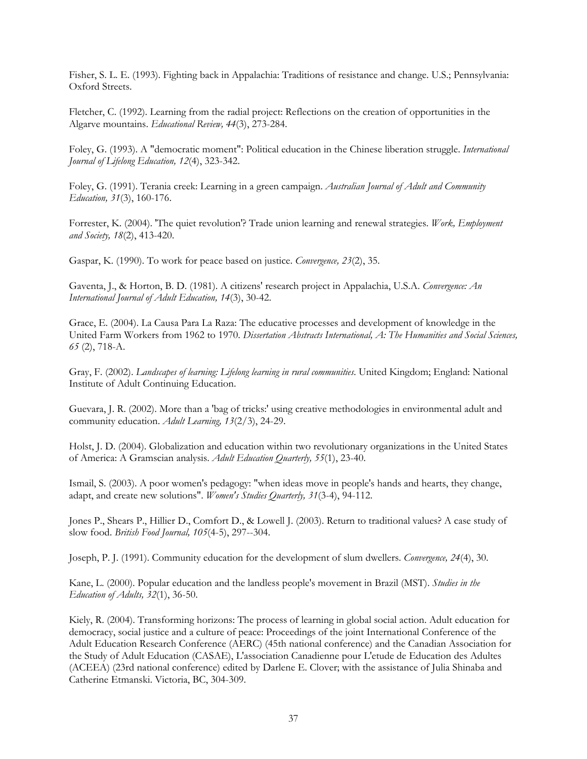Fisher, S. L. E. (1993). Fighting back in Appalachia: Traditions of resistance and change. U.S.; Pennsylvania: Oxford Streets.

Fletcher, C. (1992). Learning from the radial project: Reflections on the creation of opportunities in the Algarve mountains. *Educational Review, 44*(3), 273-284.

Foley, G. (1993). A "democratic moment": Political education in the Chinese liberation struggle. *International Journal of Lifelong Education, 12*(4), 323-342.

Foley, G. (1991). Terania creek: Learning in a green campaign. *Australian Journal of Adult and Community Education, 31*(3), 160-176.

Forrester, K. (2004). 'The quiet revolution'? Trade union learning and renewal strategies. *Work, Employment and Society, 18*(2), 413-420.

Gaspar, K. (1990). To work for peace based on justice. *Convergence, 23*(2), 35.

Gaventa, J., & Horton, B. D. (1981). A citizens' research project in Appalachia, U.S.A. *Convergence: An International Journal of Adult Education, 14*(3), 30-42.

Grace, E. (2004). La Causa Para La Raza: The educative processes and development of knowledge in the United Farm Workers from 1962 to 1970. *Dissertation Abstracts International, A: The Humanities and Social Sciences, 65* (2), 718-A.

Gray, F. (2002). *Landscapes of learning: Lifelong learning in rural communities*. United Kingdom; England: National Institute of Adult Continuing Education.

Guevara, J. R. (2002). More than a 'bag of tricks:' using creative methodologies in environmental adult and community education. *Adult Learning, 13*(2/3), 24-29.

Holst, J. D. (2004). Globalization and education within two revolutionary organizations in the United States of America: A Gramscian analysis. *Adult Education Quarterly, 55*(1), 23-40.

Ismail, S. (2003). A poor women's pedagogy: "when ideas move in people's hands and hearts, they change, adapt, and create new solutions". *Women's Studies Quarterly, 31*(3-4), 94-112.

Jones P., Shears P., Hillier D., Comfort D., & Lowell J. (2003). Return to traditional values? A case study of slow food. *British Food Journal, 105*(4-5), 297--304.

Joseph, P. J. (1991). Community education for the development of slum dwellers. *Convergence, 24*(4), 30.

Kane, L. (2000). Popular education and the landless people's movement in Brazil (MST). *Studies in the Education of Adults, 32*(1), 36-50.

Kiely, R. (2004). Transforming horizons: The process of learning in global social action. Adult education for democracy, social justice and a culture of peace: Proceedings of the joint International Conference of the Adult Education Research Conference (AERC) (45th national conference) and the Canadian Association for the Study of Adult Education (CASAE), L'association Canadienne pour L'etude de Education des Adultes (ACEEA) (23rd national conference) edited by Darlene E. Clover; with the assistance of Julia Shinaba and Catherine Etmanski. Victoria, BC, 304-309.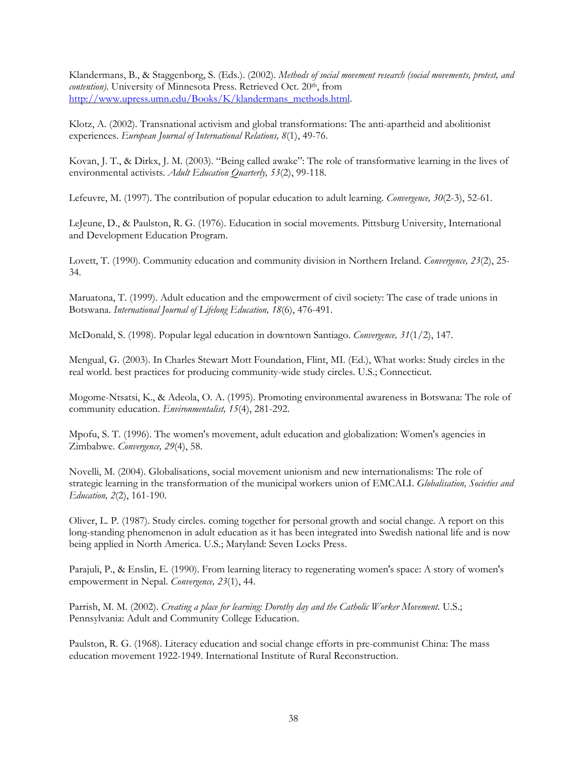Klandermans, B., & Staggenborg, S. (Eds.). (2002). *Methods of social movement research (social movements, protest, and contention*). University of Minnesota Press. Retrieved Oct. 20<sup>th</sup>, from http://www.upress.umn.edu/Books/K/klandermans\_methods.html.

Klotz, A. (2002). Transnational activism and global transformations: The anti-apartheid and abolitionist experiences. *European Journal of International Relations, 8*(1), 49-76.

Kovan, J. T., & Dirkx, J. M. (2003). "Being called awake": The role of transformative learning in the lives of environmental activists. *Adult Education Quarterly, 53*(2), 99-118.

Lefeuvre, M. (1997). The contribution of popular education to adult learning. *Convergence, 30*(2-3), 52-61.

LeJeune, D., & Paulston, R. G. (1976). Education in social movements. Pittsburg University, International and Development Education Program.

Lovett, T. (1990). Community education and community division in Northern Ireland. *Convergence, 23*(2), 25- 34.

Maruatona, T. (1999). Adult education and the empowerment of civil society: The case of trade unions in Botswana. *International Journal of Lifelong Education, 18*(6), 476-491.

McDonald, S. (1998). Popular legal education in downtown Santiago. *Convergence, 31*(1/2), 147.

Mengual, G. (2003). In Charles Stewart Mott Foundation, Flint, MI. (Ed.), What works: Study circles in the real world. best practices for producing community-wide study circles. U.S.; Connecticut.

Mogome-Ntsatsi, K., & Adeola, O. A. (1995). Promoting environmental awareness in Botswana: The role of community education. *Environmentalist, 15*(4), 281-292.

Mpofu, S. T. (1996). The women's movement, adult education and globalization: Women's agencies in Zimbabwe. *Convergence, 29*(4), 58.

Novelli, M. (2004). Globalisations, social movement unionism and new internationalisms: The role of strategic learning in the transformation of the municipal workers union of EMCALI. *Globalisation, Societies and Education, 2*(2), 161-190.

Oliver, L. P. (1987). Study circles. coming together for personal growth and social change. A report on this long-standing phenomenon in adult education as it has been integrated into Swedish national life and is now being applied in North America. U.S.; Maryland: Seven Locks Press.

Parajuli, P., & Enslin, E. (1990). From learning literacy to regenerating women's space: A story of women's empowerment in Nepal. *Convergence, 23*(1), 44.

Parrish, M. M. (2002). *Creating a place for learning: Dorothy day and the Catholic Worker Movement*. U.S.; Pennsylvania: Adult and Community College Education.

Paulston, R. G. (1968). Literacy education and social change efforts in pre-communist China: The mass education movement 1922-1949. International Institute of Rural Reconstruction.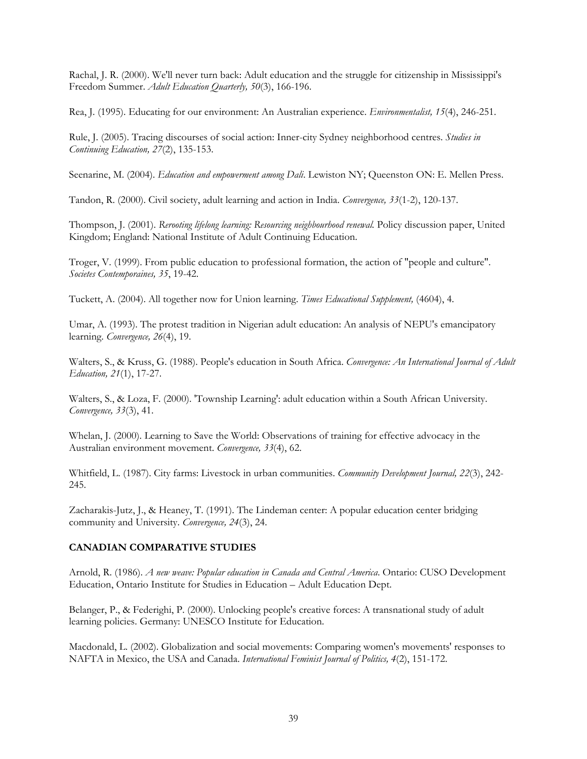Rachal, J. R. (2000). We'll never turn back: Adult education and the struggle for citizenship in Mississippi's Freedom Summer. *Adult Education Quarterly, 50*(3), 166-196.

Rea, J. (1995). Educating for our environment: An Australian experience. *Environmentalist, 15*(4), 246-251.

Rule, J. (2005). Tracing discourses of social action: Inner-city Sydney neighborhood centres. *Studies in Continuing Education, 27*(2), 135-153.

Seenarine, M. (2004). *Education and empowerment among Dali*. Lewiston NY; Queenston ON: E. Mellen Press.

Tandon, R. (2000). Civil society, adult learning and action in India. *Convergence, 33*(1-2), 120-137.

Thompson, J. (2001). *Rerooting lifelong learning: Resourcing neighbourhood renewal.* Policy discussion paper, United Kingdom; England: National Institute of Adult Continuing Education.

Troger, V. (1999). From public education to professional formation, the action of "people and culture". *Societes Contemporaines, 35*, 19-42.

Tuckett, A. (2004). All together now for Union learning. *Times Educational Supplement,* (4604), 4.

Umar, A. (1993). The protest tradition in Nigerian adult education: An analysis of NEPU's emancipatory learning. *Convergence, 26*(4), 19.

Walters, S., & Kruss, G. (1988). People's education in South Africa. *Convergence: An International Journal of Adult Education, 21*(1), 17-27.

Walters, S., & Loza, F. (2000). 'Township Learning': adult education within a South African University. *Convergence, 33*(3), 41.

Whelan, J. (2000). Learning to Save the World: Observations of training for effective advocacy in the Australian environment movement. *Convergence, 33*(4), 62.

Whitfield, L. (1987). City farms: Livestock in urban communities. *Community Development Journal, 22*(3), 242- 245.

Zacharakis-Jutz, J., & Heaney, T. (1991). The Lindeman center: A popular education center bridging community and University. *Convergence, 24*(3), 24.

## **CANADIAN COMPARATIVE STUDIES**

Arnold, R. (1986). *A new weave: Popular education in Canada and Central America*. Ontario: CUSO Development Education, Ontario Institute for Studies in Education – Adult Education Dept.

Belanger, P., & Federighi, P. (2000). Unlocking people's creative forces: A transnational study of adult learning policies. Germany: UNESCO Institute for Education.

Macdonald, L. (2002). Globalization and social movements: Comparing women's movements' responses to NAFTA in Mexico, the USA and Canada. *International Feminist Journal of Politics, 4*(2), 151-172.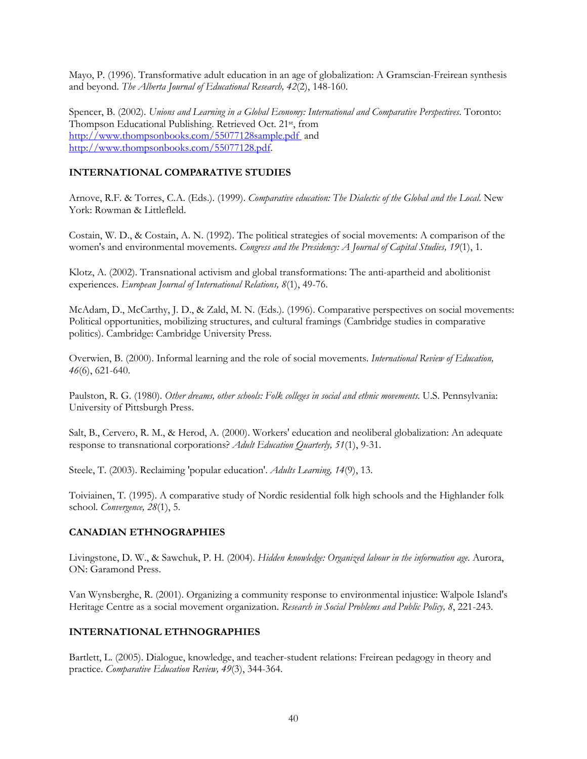Mayo, P. (1996). Transformative adult education in an age of globalization: A Gramscian-Freirean synthesis and beyond. *The Alberta Journal of Educational Research, 42*(2), 148-160.

Spencer, B. (2002). *Unions and Learning in a Global Economy: International and Comparative Perspectives*. Toronto: Thompson Educational Publishing. Retrieved Oct. 21st, from http://www.thompsonbooks.com/55077128sample.pdf and http://www.thompsonbooks.com/55077128.pdf.

## **INTERNATIONAL COMPARATIVE STUDIES**

Arnove, R.F. & Torres, C.A. (Eds.). (1999). *Comparative education: The Dialectic of the Global and the Local*. New York: Rowman & Littlefleld.

Costain, W. D., & Costain, A. N. (1992). The political strategies of social movements: A comparison of the women's and environmental movements. *Congress and the Presidency: A Journal of Capital Studies, 19*(1), 1.

Klotz, A. (2002). Transnational activism and global transformations: The anti-apartheid and abolitionist experiences. *European Journal of International Relations, 8*(1), 49-76.

McAdam, D., McCarthy, J. D., & Zald, M. N. (Eds.). (1996). Comparative perspectives on social movements: Political opportunities, mobilizing structures, and cultural framings (Cambridge studies in comparative politics). Cambridge: Cambridge University Press.

Overwien, B. (2000). Informal learning and the role of social movements. *International Review of Education, 46*(6), 621-640.

Paulston, R. G. (1980). *Other dreams, other schools: Folk colleges in social and ethnic movements*. U.S. Pennsylvania: University of Pittsburgh Press.

Salt, B., Cervero, R. M., & Herod, A. (2000). Workers' education and neoliberal globalization: An adequate response to transnational corporations? *Adult Education Quarterly, 51*(1), 9-31.

Steele, T. (2003). Reclaiming 'popular education'. *Adults Learning, 14*(9), 13.

Toiviainen, T. (1995). A comparative study of Nordic residential folk high schools and the Highlander folk school. *Convergence, 28*(1), 5.

# **CANADIAN ETHNOGRAPHIES**

Livingstone, D. W., & Sawchuk, P. H. (2004). *Hidden knowledge: Organized labour in the information age*. Aurora, ON: Garamond Press.

Van Wynsberghe, R. (2001). Organizing a community response to environmental injustice: Walpole Island's Heritage Centre as a social movement organization. *Research in Social Problems and Public Policy, 8*, 221-243.

## **INTERNATIONAL ETHNOGRAPHIES**

Bartlett, L. (2005). Dialogue, knowledge, and teacher-student relations: Freirean pedagogy in theory and practice. *Comparative Education Review, 49*(3), 344-364.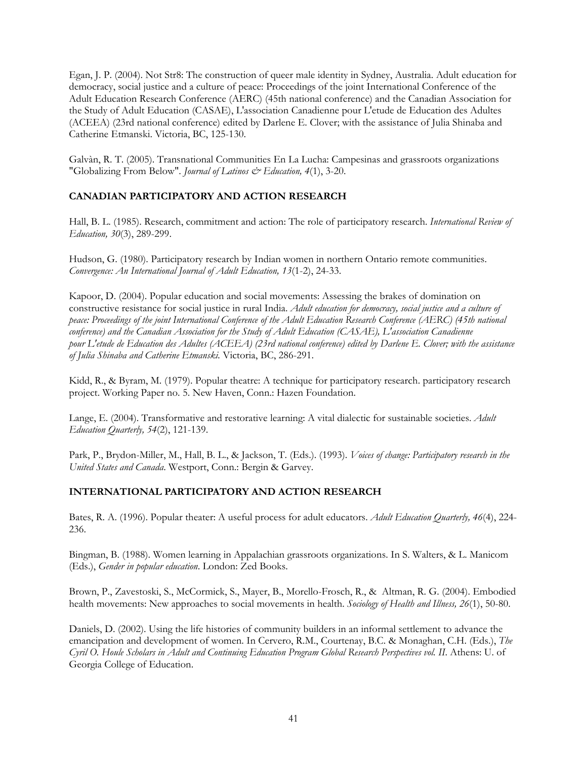Egan, J. P. (2004). Not Str8: The construction of queer male identity in Sydney, Australia. Adult education for democracy, social justice and a culture of peace: Proceedings of the joint International Conference of the Adult Education Research Conference (AERC) (45th national conference) and the Canadian Association for the Study of Adult Education (CASAE), L'association Canadienne pour L'etude de Education des Adultes (ACEEA) (23rd national conference) edited by Darlene E. Clover; with the assistance of Julia Shinaba and Catherine Etmanski. Victoria, BC, 125-130.

Galvàn, R. T. (2005). Transnational Communities En La Lucha: Campesinas and grassroots organizations "Globalizing From Below". *Journal of Latinos & Education*, 4(1), 3-20.

# **CANADIAN PARTICIPATORY AND ACTION RESEARCH**

Hall, B. L. (1985). Research, commitment and action: The role of participatory research. *International Review of Education, 30*(3), 289-299.

Hudson, G. (1980). Participatory research by Indian women in northern Ontario remote communities. *Convergence: An International Journal of Adult Education, 13*(1-2), 24-33.

Kapoor, D. (2004). Popular education and social movements: Assessing the brakes of domination on constructive resistance for social justice in rural India. *Adult education for democracy, social justice and a culture of peace: Proceedings of the joint International Conference of the Adult Education Research Conference (AERC) (45th national conference) and the Canadian Association for the Study of Adult Education (CASAE), L'association Canadienne pour L'etude de Education des Adultes (ACEEA) (23rd national conference) edited by Darlene E. Clover; with the assistance of Julia Shinaba and Catherine Etmanski.* Victoria, BC, 286-291.

Kidd, R., & Byram, M. (1979). Popular theatre: A technique for participatory research. participatory research project. Working Paper no. 5. New Haven, Conn.: Hazen Foundation.

Lange, E. (2004). Transformative and restorative learning: A vital dialectic for sustainable societies. *Adult Education Quarterly, 54*(2), 121-139.

Park, P., Brydon-Miller, M., Hall, B. L., & Jackson, T. (Eds.). (1993). *Voices of change: Participatory research in the United States and Canada*. Westport, Conn.: Bergin & Garvey.

## **INTERNATIONAL PARTICIPATORY AND ACTION RESEARCH**

Bates, R. A. (1996). Popular theater: A useful process for adult educators. *Adult Education Quarterly, 46*(4), 224- 236.

Bingman, B. (1988). Women learning in Appalachian grassroots organizations. In S. Walters, & L. Manicom (Eds.), *Gender in popular education*. London: Zed Books.

Brown, P., Zavestoski, S., McCormick, S., Mayer, B., Morello-Frosch, R., & Altman, R. G. (2004). Embodied health movements: New approaches to social movements in health. *Sociology of Health and Illness, 26*(1), 50-80.

Daniels, D. (2002). Using the life histories of community builders in an informal settlement to advance the emancipation and development of women. In Cervero, R.M., Courtenay, B.C. & Monaghan, C.H. (Eds.), *The Cyril O. Houle Scholars in Adult and Continuing Education Program Global Research Perspectives vol. II*. Athens: U. of Georgia College of Education.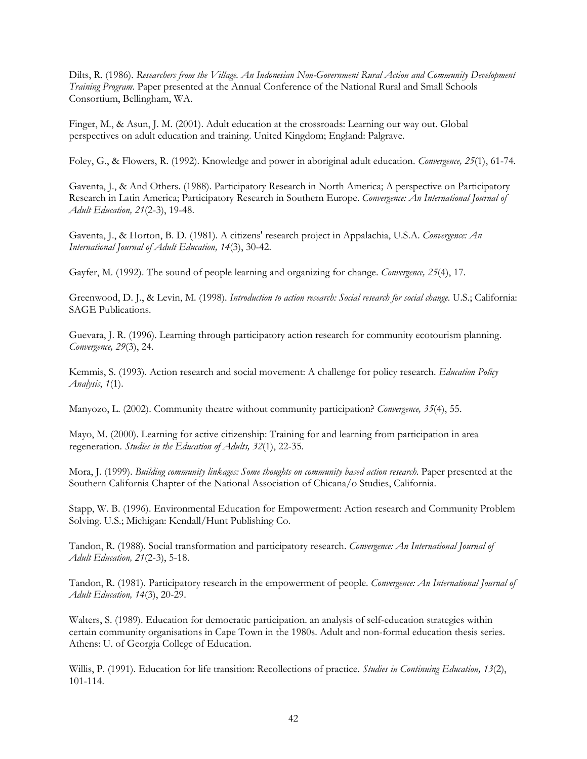Dilts, R. (1986). *Researchers from the Village. An Indonesian Non-Government Rural Action and Community Development Training Program*. Paper presented at the Annual Conference of the National Rural and Small Schools Consortium, Bellingham, WA.

Finger, M., & Asun, J. M. (2001). Adult education at the crossroads: Learning our way out. Global perspectives on adult education and training. United Kingdom; England: Palgrave.

Foley, G., & Flowers, R. (1992). Knowledge and power in aboriginal adult education. *Convergence, 25*(1), 61-74.

Gaventa, J., & And Others. (1988). Participatory Research in North America; A perspective on Participatory Research in Latin America; Participatory Research in Southern Europe. *Convergence: An International Journal of Adult Education, 21*(2-3), 19-48.

Gaventa, J., & Horton, B. D. (1981). A citizens' research project in Appalachia, U.S.A. *Convergence: An International Journal of Adult Education, 14*(3), 30-42.

Gayfer, M. (1992). The sound of people learning and organizing for change. *Convergence, 25*(4), 17.

Greenwood, D. J., & Levin, M. (1998). *Introduction to action research: Social research for social change*. U.S.; California: SAGE Publications.

Guevara, J. R. (1996). Learning through participatory action research for community ecotourism planning. *Convergence, 29*(3), 24.

Kemmis, S. (1993). Action research and social movement: A challenge for policy research. *Education Policy Analysis*, *1*(1).

Manyozo, L. (2002). Community theatre without community participation? *Convergence, 35*(4), 55.

Mayo, M. (2000). Learning for active citizenship: Training for and learning from participation in area regeneration. *Studies in the Education of Adults, 32*(1), 22-35.

Mora, J. (1999). *Building community linkages: Some thoughts on community based action research*. Paper presented at the Southern California Chapter of the National Association of Chicana/o Studies, California.

Stapp, W. B. (1996). Environmental Education for Empowerment: Action research and Community Problem Solving. U.S.; Michigan: Kendall/Hunt Publishing Co.

Tandon, R. (1988). Social transformation and participatory research. *Convergence: An International Journal of Adult Education, 21*(2-3), 5-18.

Tandon, R. (1981). Participatory research in the empowerment of people. *Convergence: An International Journal of Adult Education, 14*(3), 20-29.

Walters, S. (1989). Education for democratic participation. an analysis of self-education strategies within certain community organisations in Cape Town in the 1980s. Adult and non-formal education thesis series. Athens: U. of Georgia College of Education.

Willis, P. (1991). Education for life transition: Recollections of practice. *Studies in Continuing Education, 13*(2), 101-114.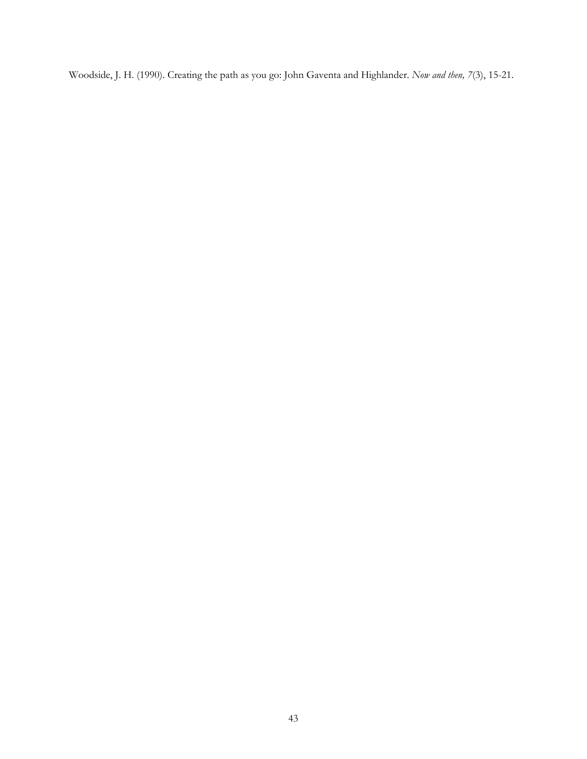Woodside, J. H. (1990). Creating the path as you go: John Gaventa and Highlander. *Now and then, 7*(3), 15-21.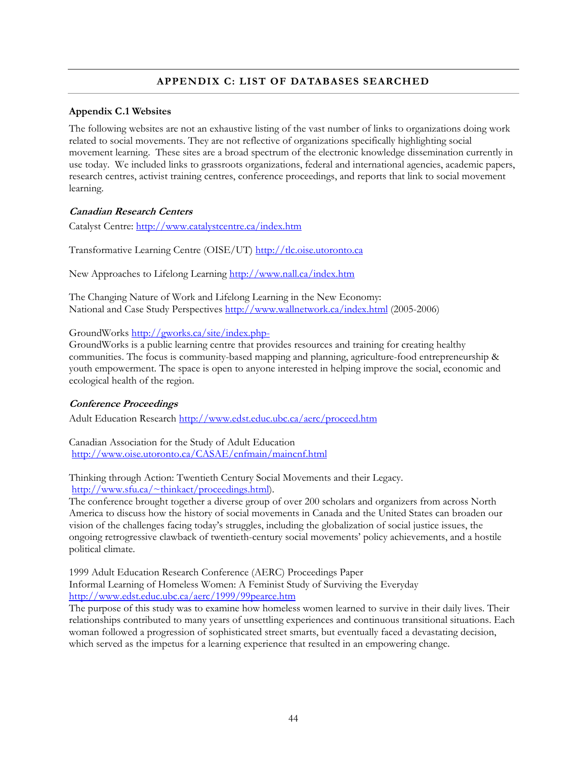# **APPENDIX C: LIST OF DATABASES SEARCHED**

## **Appendix C.1 Websites**

The following websites are not an exhaustive listing of the vast number of links to organizations doing work related to social movements. They are not reflective of organizations specifically highlighting social movement learning. These sites are a broad spectrum of the electronic knowledge dissemination currently in use today. We included links to grassroots organizations, federal and international agencies, academic papers, research centres, activist training centres, conference proceedings, and reports that link to social movement learning.

# **Canadian Research Centers**

Catalyst Centre: http://www.catalystcentre.ca/index.htm

Transformative Learning Centre (OISE/UT) http://tlc.oise.utoronto.ca

New Approaches to Lifelong Learning http://www.nall.ca/index.htm

The Changing Nature of Work and Lifelong Learning in the New Economy: National and Case Study Perspectives http://www.wallnetwork.ca/index.html (2005-2006)

GroundWorks http://gworks.ca/site/index.php-

GroundWorks is a public learning centre that provides resources and training for creating healthy communities. The focus is community-based mapping and planning, agriculture-food entrepreneurship & youth empowerment. The space is open to anyone interested in helping improve the social, economic and ecological health of the region.

## **Conference Proceedings**

Adult Education Research http://www.edst.educ.ubc.ca/aerc/proceed.htm

Canadian Association for the Study of Adult Education http://www.oise.utoronto.ca/CASAE/cnfmain/maincnf.html

Thinking through Action: Twentieth Century Social Movements and their Legacy.

http://www.sfu.ca/~thinkact/proceedings.html).

The conference brought together a diverse group of over 200 scholars and organizers from across North America to discuss how the history of social movements in Canada and the United States can broaden our vision of the challenges facing today's struggles, including the globalization of social justice issues, the ongoing retrogressive clawback of twentieth-century social movements' policy achievements, and a hostile political climate.

1999 Adult Education Research Conference (AERC) Proceedings Paper Informal Learning of Homeless Women: A Feminist Study of Surviving the Everyday http://www.edst.educ.ubc.ca/aerc/1999/99pearce.htm

The purpose of this study was to examine how homeless women learned to survive in their daily lives. Their relationships contributed to many years of unsettling experiences and continuous transitional situations. Each woman followed a progression of sophisticated street smarts, but eventually faced a devastating decision, which served as the impetus for a learning experience that resulted in an empowering change.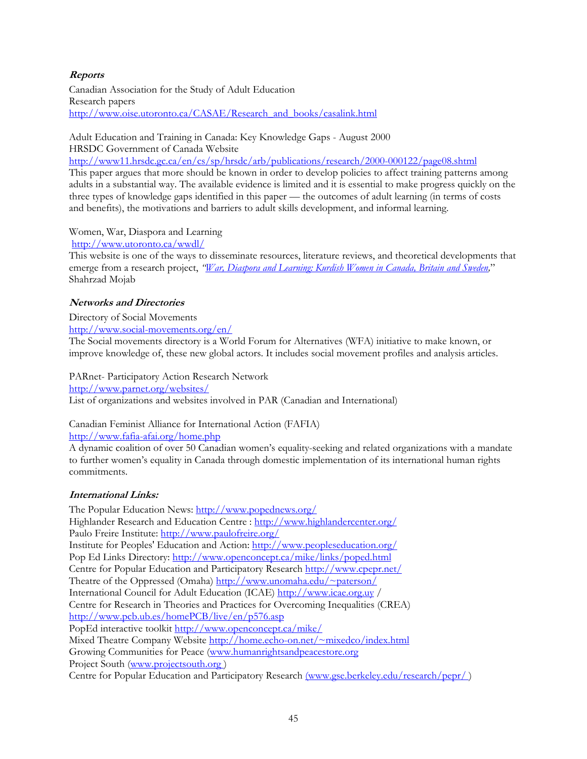# **Reports**

Canadian Association for the Study of Adult Education Research papers http://www.oise.utoronto.ca/CASAE/Research\_and\_books/casalink.html

Adult Education and Training in Canada: Key Knowledge Gaps - August 2000 HRSDC Government of Canada Website http://www11.hrsdc.gc.ca/en/cs/sp/hrsdc/arb/publications/research/2000-000122/page08.shtml This paper argues that more should be known in order to develop policies to affect training patterns among adults in a substantial way. The available evidence is limited and it is essential to make progress quickly on the three types of knowledge gaps identified in this paper — the outcomes of adult learning (in terms of costs and benefits), the motivations and barriers to adult skills development, and informal learning.

Women, War, Diaspora and Learning

http://www.utoronto.ca/wwdl/

This website is one of the ways to disseminate resources, literature reviews, and theoretical developments that emerge from a research project, *"War, Diaspora and Learning: Kurdish Women in Canada, Britain and Sweden,*" Shahrzad Mojab

# **Networks and Directories**

Directory of Social Movements

http://www.social-movements.org/en/ The Social movements directory is a World Forum for Alternatives (WFA) initiative to make known, or

improve knowledge of, these new global actors. It includes social movement profiles and analysis articles.

PARnet- Participatory Action Research Network http://www.parnet.org/websites/ List of organizations and websites involved in PAR (Canadian and International)

Canadian Feminist Alliance for International Action (FAFIA) http://www.fafia-afai.org/home.php

A dynamic coalition of over 50 Canadian women's equality-seeking and related organizations with a mandate to further women's equality in Canada through domestic implementation of its international human rights commitments.

# **International Links:**

The Popular Education News: http://www.popednews.org/ Highlander Research and Education Centre : http://www.highlandercenter.org/ Paulo Freire Institute: http://www.paulofreire.org/ Institute for Peoples' Education and Action: http://www.peopleseducation.org/ Pop Ed Links Directory: http://www.openconcept.ca/mike/links/poped.html Centre for Popular Education and Participatory Research http://www.cpepr.net/ Theatre of the Oppressed (Omaha) http://www.unomaha.edu/~paterson/ International Council for Adult Education (ICAE) http://www.icae.org.uy / Centre for Research in Theories and Practices for Overcoming Inequalities (CREA) http://www.pcb.ub.es/homePCB/live/en/p576.asp PopEd interactive toolkit http://www.openconcept.ca/mike/ Mixed Theatre Company Website http://home.echo-on.net/~mixedco/index.html Growing Communities for Peace (www.humanrightsandpeacestore.org Project South (www.projectsouth.org ) Centre for Popular Education and Participatory Research (www.gse.berkeley.edu/research/pepr/ )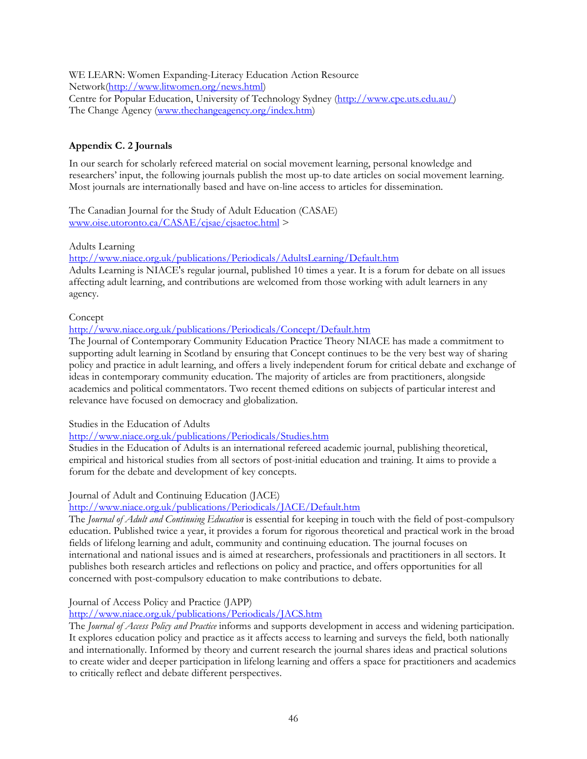WE LEARN: Women Expanding-Literacy Education Action Resource Network(http://www.litwomen.org/news.html) Centre for Popular Education, University of Technology Sydney (http://www.cpe.uts.edu.au/) The Change Agency (www.thechangeagency.org/index.htm)

# **Appendix C. 2 Journals**

In our search for scholarly refereed material on social movement learning, personal knowledge and researchers' input, the following journals publish the most up-to date articles on social movement learning. Most journals are internationally based and have on-line access to articles for dissemination.

The Canadian Journal for the Study of Adult Education (CASAE) www.oise.utoronto.ca/CASAE/cjsae/cjsaetoc.html >

Adults Learning

http://www.niace.org.uk/publications/Periodicals/AdultsLearning/Default.htm

Adults Learning is NIACE's regular journal, published 10 times a year. It is a forum for debate on all issues affecting adult learning, and contributions are welcomed from those working with adult learners in any agency.

Concept

http://www.niace.org.uk/publications/Periodicals/Concept/Default.htm

The Journal of Contemporary Community Education Practice Theory NIACE has made a commitment to supporting adult learning in Scotland by ensuring that Concept continues to be the very best way of sharing policy and practice in adult learning, and offers a lively independent forum for critical debate and exchange of ideas in contemporary community education. The majority of articles are from practitioners, alongside academics and political commentators. Two recent themed editions on subjects of particular interest and relevance have focused on democracy and globalization.

Studies in the Education of Adults

http://www.niace.org.uk/publications/Periodicals/Studies.htm

Studies in the Education of Adults is an international refereed academic journal, publishing theoretical, empirical and historical studies from all sectors of post-initial education and training. It aims to provide a forum for the debate and development of key concepts.

# Journal of Adult and Continuing Education (JACE)

# http://www.niace.org.uk/publications/Periodicals/JACE/Default.htm

The *Journal of Adult and Continuing Education* is essential for keeping in touch with the field of post-compulsory education. Published twice a year, it provides a forum for rigorous theoretical and practical work in the broad fields of lifelong learning and adult, community and continuing education. The journal focuses on international and national issues and is aimed at researchers, professionals and practitioners in all sectors. It publishes both research articles and reflections on policy and practice, and offers opportunities for all concerned with post-compulsory education to make contributions to debate.

# Journal of Access Policy and Practice (JAPP)

http://www.niace.org.uk/publications/Periodicals/JACS.htm

The *Journal of Access Policy and Practice* informs and supports development in access and widening participation. It explores education policy and practice as it affects access to learning and surveys the field, both nationally and internationally. Informed by theory and current research the journal shares ideas and practical solutions to create wider and deeper participation in lifelong learning and offers a space for practitioners and academics to critically reflect and debate different perspectives.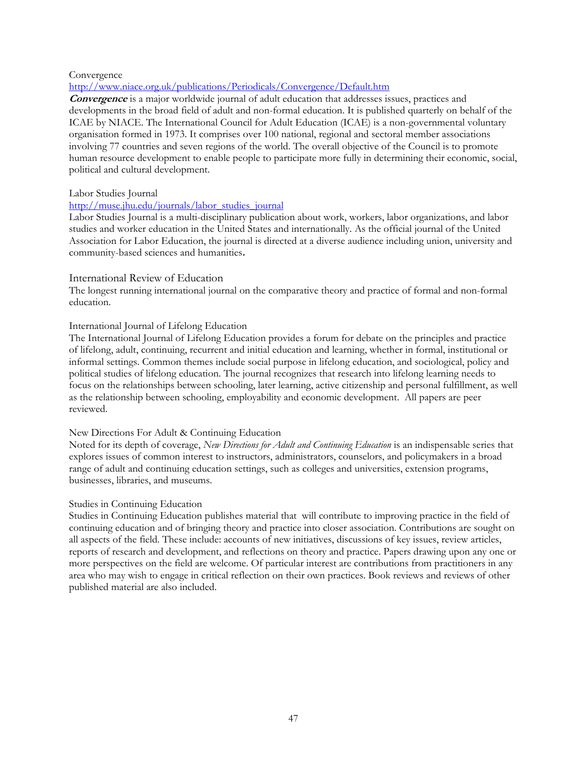#### Convergence

#### http://www.niace.org.uk/publications/Periodicals/Convergence/Default.htm

**Convergence** is a major worldwide journal of adult education that addresses issues, practices and developments in the broad field of adult and non-formal education. It is published quarterly on behalf of the ICAE by NIACE. The International Council for Adult Education (ICAE) is a non-governmental voluntary organisation formed in 1973. It comprises over 100 national, regional and sectoral member associations involving 77 countries and seven regions of the world. The overall objective of the Council is to promote human resource development to enable people to participate more fully in determining their economic, social, political and cultural development.

#### Labor Studies Journal

# http://muse.jhu.edu/journals/labor\_studies\_journal

Labor Studies Journal is a multi-disciplinary publication about work, workers, labor organizations, and labor studies and worker education in the United States and internationally. As the official journal of the United Association for Labor Education, the journal is directed at a diverse audience including union, university and community-based sciences and humanities**.**

### International Review of Education

The longest running international journal on the comparative theory and practice of formal and non-formal education.

### International Journal of Lifelong Education

The International Journal of Lifelong Education provides a forum for debate on the principles and practice of lifelong, adult, continuing, recurrent and initial education and learning, whether in formal, institutional or informal settings. Common themes include social purpose in lifelong education, and sociological, policy and political studies of lifelong education. The journal recognizes that research into lifelong learning needs to focus on the relationships between schooling, later learning, active citizenship and personal fulfillment, as well as the relationship between schooling, employability and economic development. All papers are peer reviewed.

#### New Directions For Adult & Continuing Education

Noted for its depth of coverage, *New Directions for Adult and Continuing Education* is an indispensable series that explores issues of common interest to instructors, administrators, counselors, and policymakers in a broad range of adult and continuing education settings, such as colleges and universities, extension programs, businesses, libraries, and museums.

#### Studies in Continuing Education

Studies in Continuing Education publishes material that will contribute to improving practice in the field of continuing education and of bringing theory and practice into closer association. Contributions are sought on all aspects of the field. These include: accounts of new initiatives, discussions of key issues, review articles, reports of research and development, and reflections on theory and practice. Papers drawing upon any one or more perspectives on the field are welcome. Of particular interest are contributions from practitioners in any area who may wish to engage in critical reflection on their own practices. Book reviews and reviews of other published material are also included.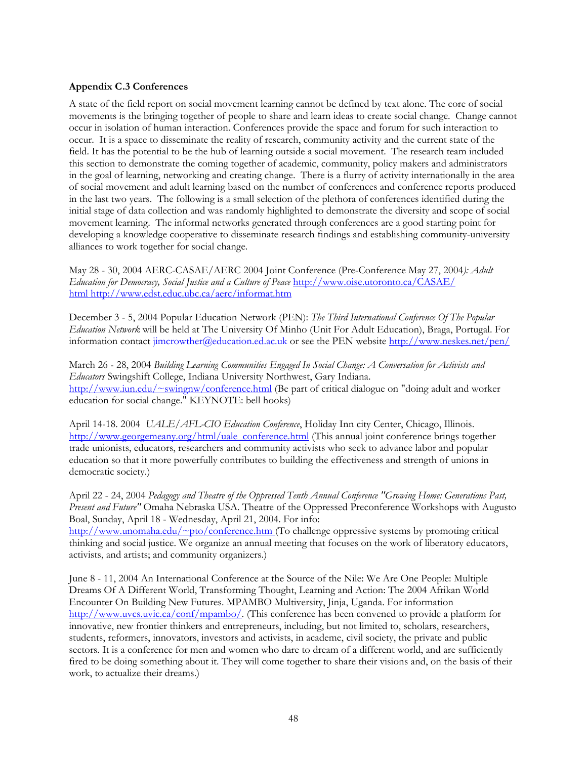## **Appendix C.3 Conferences**

A state of the field report on social movement learning cannot be defined by text alone. The core of social movements is the bringing together of people to share and learn ideas to create social change. Change cannot occur in isolation of human interaction. Conferences provide the space and forum for such interaction to occur. It is a space to disseminate the reality of research, community activity and the current state of the field. It has the potential to be the hub of learning outside a social movement. The research team included this section to demonstrate the coming together of academic, community, policy makers and administrators in the goal of learning, networking and creating change. There is a flurry of activity internationally in the area of social movement and adult learning based on the number of conferences and conference reports produced in the last two years. The following is a small selection of the plethora of conferences identified during the initial stage of data collection and was randomly highlighted to demonstrate the diversity and scope of social movement learning. The informal networks generated through conferences are a good starting point for developing a knowledge cooperative to disseminate research findings and establishing community-university alliances to work together for social change.

May 28 - 30, 2004 AERC-CASAE/AERC 2004 Joint Conference (Pre-Conference May 27, 2004*): Adult Education for Democracy, Social Justice and a Culture of Peace* http://www.oise.utoronto.ca/CASAE/ html http://www.edst.educ.ubc.ca/aerc/informat.htm

December 3 - 5, 2004 Popular Education Network (PEN): *The Third International Conference Of The Popular Education Network* will be held at The University Of Minho (Unit For Adult Education), Braga, Portugal. For information contact jimcrowther@education.ed.ac.uk or see the PEN website http://www.neskes.net/pen/

March 26 - 28, 2004 *Building Learning Communities Engaged In Social Change: A Conversation for Activists and Educators* Swingshift College, Indiana University Northwest, Gary Indiana. http://www.iun.edu/~swingnw/conference.html (Be part of critical dialogue on "doing adult and worker education for social change." KEYNOTE: bell hooks)

April 14-18. 2004 *UALE/AFL-CIO Education Conference*, Holiday Inn city Center, Chicago, Illinois. http://www.georgemeany.org/html/uale\_conference.html (This annual joint conference brings together trade unionists, educators, researchers and community activists who seek to advance labor and popular education so that it more powerfully contributes to building the effectiveness and strength of unions in democratic society.)

April 22 - 24, 2004 *Pedagogy and Theatre of the Oppressed Tenth Annual Conference "Growing Home: Generations Past, Present and Future"* Omaha Nebraska USA. Theatre of the Oppressed Preconference Workshops with Augusto Boal, Sunday, April 18 - Wednesday, April 21, 2004. For info: http://www.unomaha.edu/~pto/conference.htm (To challenge oppressive systems by promoting critical

thinking and social justice. We organize an annual meeting that focuses on the work of liberatory educators, activists, and artists; and community organizers.)

June 8 - 11, 2004 An International Conference at the Source of the Nile: We Are One People: Multiple Dreams Of A Different World, Transforming Thought, Learning and Action: The 2004 Afrikan World Encounter On Building New Futures. MPAMBO Multiversity, Jinja, Uganda. For information http://www.uvcs.uvic.ca/conf/mpambo/. (This conference has been convened to provide a platform for innovative, new frontier thinkers and entrepreneurs, including, but not limited to, scholars, researchers, students, reformers, innovators, investors and activists, in academe, civil society, the private and public sectors. It is a conference for men and women who dare to dream of a different world, and are sufficiently fired to be doing something about it. They will come together to share their visions and, on the basis of their work, to actualize their dreams.)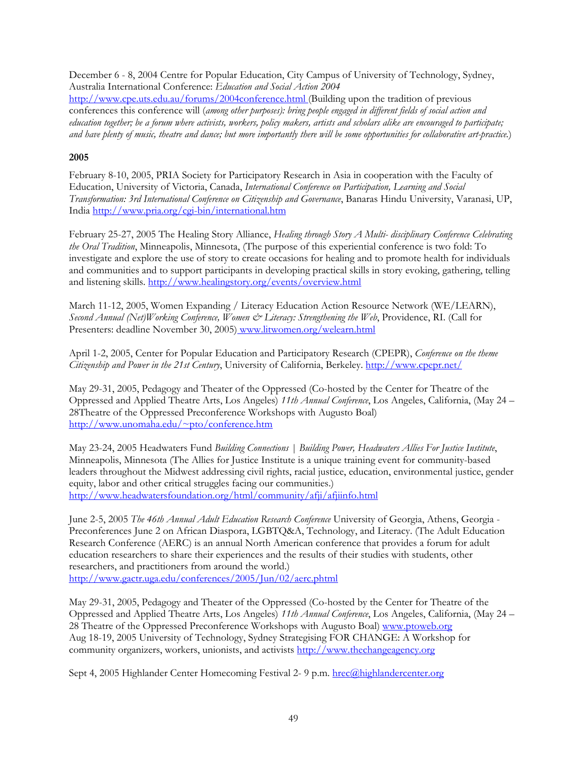December 6 - 8, 2004 Centre for Popular Education, City Campus of University of Technology, Sydney, Australia International Conference: *Education and Social Action 2004*  http://www.cpe.uts.edu.au/forums/2004conference.html (Building upon the tradition of previous conferences this conference will (*among other purposes): bring people engaged in different fields of social action and education together; be a forum where activists, workers, policy makers, artists and scholars alike are encouraged to participate; and have plenty of music, theatre and dance; but more importantly there will be some opportunities for collaborative art-practice.*)

# **2005**

February 8-10, 2005, PRIA Society for Participatory Research in Asia in cooperation with the Faculty of Education, University of Victoria, Canada, *International Conference on Participation, Learning and Social Transformation: 3rd International Conference on Citizenship and Governance*, Banaras Hindu University, Varanasi, UP, India http://www.pria.org/cgi-bin/international.htm

February 25-27, 2005 The Healing Story Alliance, *Healing through Story A Multi- disciplinary Conference Celebrating the Oral Tradition*, Minneapolis, Minnesota, (The purpose of this experiential conference is two fold: To investigate and explore the use of story to create occasions for healing and to promote health for individuals and communities and to support participants in developing practical skills in story evoking, gathering, telling and listening skills. http://www.healingstory.org/events/overview.html

March 11-12, 2005, Women Expanding / Literacy Education Action Resource Network (WE/LEARN), *Second Annual (Net)Working Conference, Women & Literacy: Strengthening the Web*, Providence, RI. (Call for Presenters: deadline November 30, 2005) www.litwomen.org/welearn.html

April 1-2, 2005, Center for Popular Education and Participatory Research (CPEPR), *Conference on the theme Citizenship and Power in the 21st Century*, University of California, Berkeley. http://www.cpepr.net/

May 29-31, 2005, Pedagogy and Theater of the Oppressed (Co-hosted by the Center for Theatre of the Oppressed and Applied Theatre Arts, Los Angeles) *11th Annual Conference*, Los Angeles, California, (May 24 – 28Theatre of the Oppressed Preconference Workshops with Augusto Boal) http://www.unomaha.edu/~pto/conference.htm

May 23-24, 2005 Headwaters Fund *Building Connections | Building Power, Headwaters Allies For Justice Institute*, Minneapolis, Minnesota (The Allies for Justice Institute is a unique training event for community-based leaders throughout the Midwest addressing civil rights, racial justice, education, environmental justice, gender equity, labor and other critical struggles facing our communities.) http://www.headwatersfoundation.org/html/community/afji/afjiinfo.html

June 2-5, 2005 *The 46th Annual Adult Education Research Conference* University of Georgia, Athens, Georgia - Preconferences June 2 on African Diaspora, LGBTQ&A, Technology, and Literacy. (The Adult Education Research Conference (AERC) is an annual North American conference that provides a forum for adult education researchers to share their experiences and the results of their studies with students, other researchers, and practitioners from around the world.) http://www.gactr.uga.edu/conferences/2005/Jun/02/aerc.phtml

May 29-31, 2005, Pedagogy and Theater of the Oppressed (Co-hosted by the Center for Theatre of the Oppressed and Applied Theatre Arts, Los Angeles) *11th Annual Conference*, Los Angeles, California, (May 24 – 28 Theatre of the Oppressed Preconference Workshops with Augusto Boal) www.ptoweb.org Aug 18-19, 2005 University of Technology, Sydney Strategising FOR CHANGE: A Workshop for community organizers, workers, unionists, and activists http://www.thechangeagency.org

Sept 4, 2005 Highlander Center Homecoming Festival 2- 9 p.m. hrec@highlandercenter.org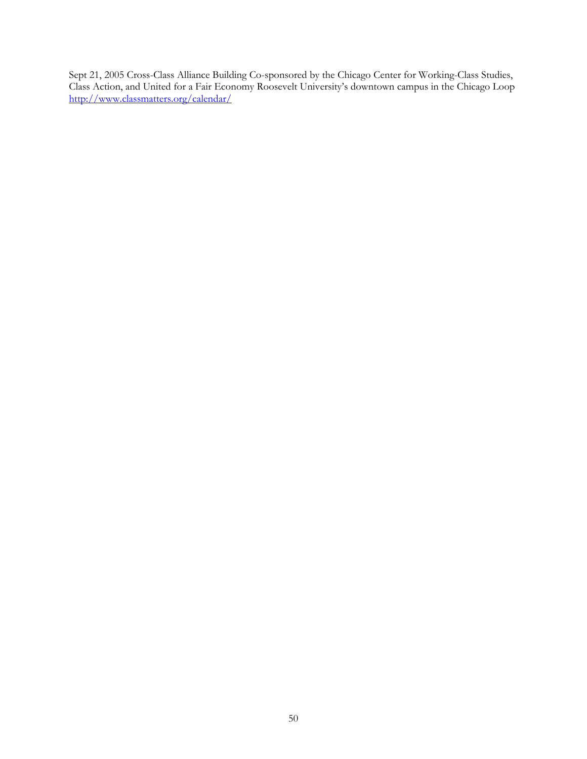Sept 21, 2005 Cross-Class Alliance Building Co-sponsored by the Chicago Center for Working-Class Studies, Class Action, and United for a Fair Economy Roosevelt University's downtown campus in the Chicago Loop http://www.classmatters.org/calendar/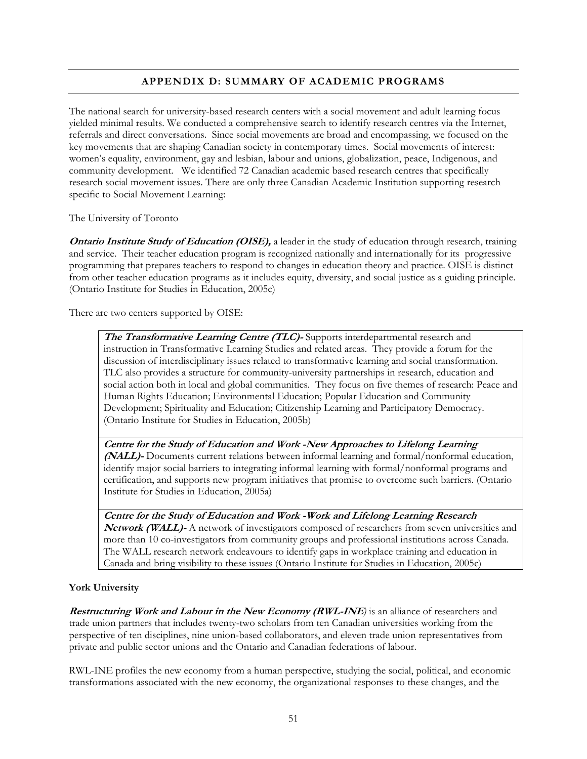# **APPENDIX D: SUMMARY OF ACADEMIC PROGRAMS**

The national search for university-based research centers with a social movement and adult learning focus yielded minimal results. We conducted a comprehensive search to identify research centres via the Internet, referrals and direct conversations. Since social movements are broad and encompassing, we focused on the key movements that are shaping Canadian society in contemporary times. Social movements of interest: women's equality, environment, gay and lesbian, labour and unions, globalization, peace, Indigenous, and community development. We identified 72 Canadian academic based research centres that specifically research social movement issues. There are only three Canadian Academic Institution supporting research specific to Social Movement Learning:

The University of Toronto

**Ontario Institute Study of Education (OISE)**, a leader in the study of education through research, training and service. Their teacher education program is recognized nationally and internationally for its progressive programming that prepares teachers to respond to changes in education theory and practice. OISE is distinct from other teacher education programs as it includes equity, diversity, and social justice as a guiding principle. (Ontario Institute for Studies in Education, 2005c)

There are two centers supported by OISE:

**The Transformative Learning Centre (TLC)-** Supports interdepartmental research and instruction in Transformative Learning Studies and related areas. They provide a forum for the discussion of interdisciplinary issues related to transformative learning and social transformation. TLC also provides a structure for community-university partnerships in research, education and social action both in local and global communities. They focus on five themes of research: Peace and Human Rights Education; Environmental Education; Popular Education and Community Development; Spirituality and Education; Citizenship Learning and Participatory Democracy. (Ontario Institute for Studies in Education, 2005b)

**Centre for the Study of Education and Work -New Approaches to Lifelong Learning (NALL)-** Documents current relations between informal learning and formal/nonformal education, identify major social barriers to integrating informal learning with formal/nonformal programs and certification, and supports new program initiatives that promise to overcome such barriers. (Ontario Institute for Studies in Education, 2005a)

**Centre for the Study of Education and Work -Work and Lifelong Learning Research Network (WALL)-** A network of investigators composed of researchers from seven universities and more than 10 co-investigators from community groups and professional institutions across Canada. The WALL research network endeavours to identify gaps in workplace training and education in Canada and bring visibility to these issues (Ontario Institute for Studies in Education, 2005c)

## **York University**

**Restructuring Work and Labour in the New Economy (RWL-INE)** is an alliance of researchers and trade union partners that includes twenty-two scholars from ten Canadian universities working from the perspective of ten disciplines, nine union-based collaborators, and eleven trade union representatives from private and public sector unions and the Ontario and Canadian federations of labour.

RWL-INE profiles the new economy from a human perspective, studying the social, political, and economic transformations associated with the new economy, the organizational responses to these changes, and the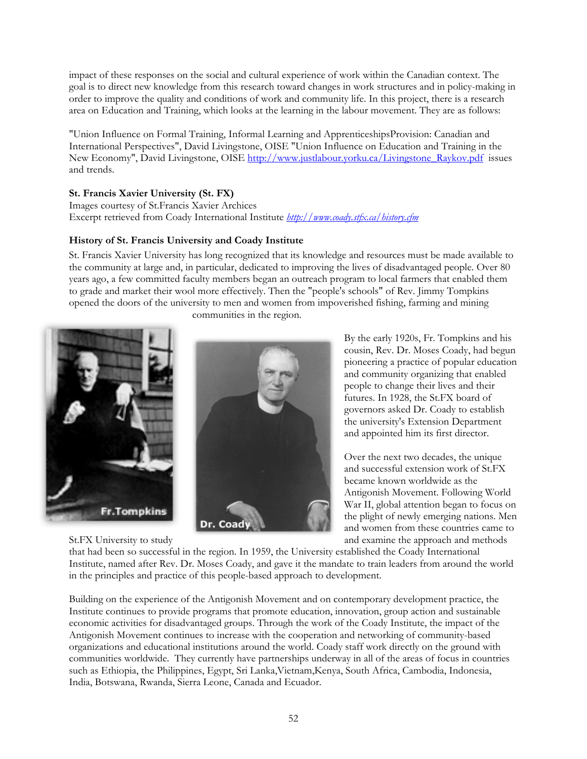impact of these responses on the social and cultural experience of work within the Canadian context. The goal is to direct new knowledge from this research toward changes in work structures and in policy-making in order to improve the quality and conditions of work and community life. In this project, there is a research area on Education and Training, which looks at the learning in the labour movement. They are as follows:

"Union Influence on Formal Training, Informal Learning and ApprenticeshipsProvision: Canadian and International Perspectives", David Livingstone, OISE "Union Influence on Education and Training in the New Economy", David Livingstone, OISE http://www.justlabour.yorku.ca/Livingstone\_Raykov.pdf issues and trends.

## **St. Francis Xavier University (St. FX)**

Images courtesy of St.Francis Xavier Archices Excerpt retrieved from Coady International Institute *http://www.coady.stfx.ca/history.cfm*

# **History of St. Francis University and Coady Institute**

St. Francis Xavier University has long recognized that its knowledge and resources must be made available to the community at large and, in particular, dedicated to improving the lives of disadvantaged people. Over 80 years ago, a few committed faculty members began an outreach program to local farmers that enabled them to grade and market their wool more effectively. Then the "people's schools" of Rev. Jimmy Tompkins opened the doors of the university to men and women from impoverished fishing, farming and mining



communities in the region.



By the early 1920s, Fr. Tompkins and his cousin, Rev. Dr. Moses Coady, had begun pioneering a practice of popular education and community organizing that enabled people to change their lives and their futures. In 1928, the St.FX board of governors asked Dr. Coady to establish the university's Extension Department and appointed him its first director.

Over the next two decades, the unique and successful extension work of St.FX became known worldwide as the Antigonish Movement. Following World War II, global attention began to focus on the plight of newly emerging nations. Men and women from these countries came to St.FX University to study and examine the approach and methods

that had been so successful in the region. In 1959, the University established the Coady International Institute, named after Rev. Dr. Moses Coady, and gave it the mandate to train leaders from around the world in the principles and practice of this people-based approach to development.

Building on the experience of the Antigonish Movement and on contemporary development practice, the Institute continues to provide programs that promote education, innovation, group action and sustainable economic activities for disadvantaged groups. Through the work of the Coady Institute, the impact of the Antigonish Movement continues to increase with the cooperation and networking of community-based organizations and educational institutions around the world. Coady staff work directly on the ground with communities worldwide. They currently have partnerships underway in all of the areas of focus in countries such as Ethiopia, the Philippines, Egypt, Sri Lanka,Vietnam,Kenya, South Africa, Cambodia, Indonesia, India, Botswana, Rwanda, Sierra Leone, Canada and Ecuador.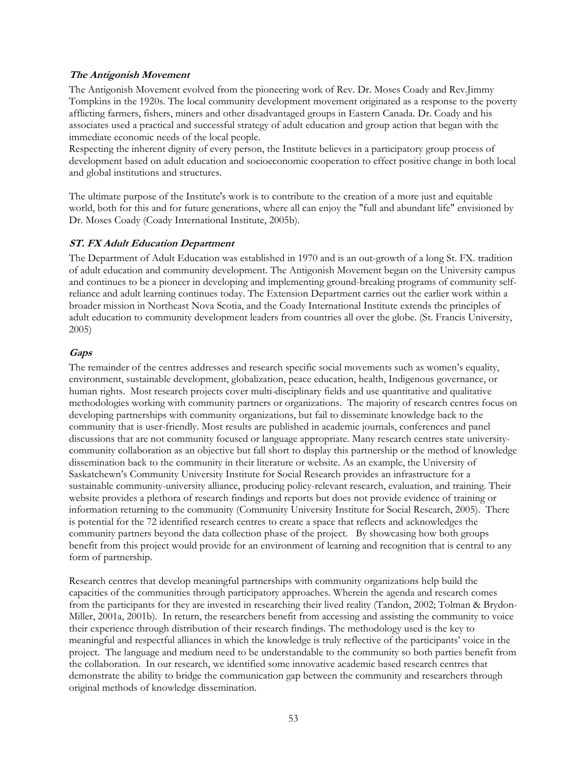### **The Antigonish Movement**

The Antigonish Movement evolved from the pioneering work of Rev. Dr. Moses Coady and Rev.Jimmy Tompkins in the 1920s. The local community development movement originated as a response to the poverty afflicting farmers, fishers, miners and other disadvantaged groups in Eastern Canada. Dr. Coady and his associates used a practical and successful strategy of adult education and group action that began with the immediate economic needs of the local people.

Respecting the inherent dignity of every person, the Institute believes in a participatory group process of development based on adult education and socioeconomic cooperation to effect positive change in both local and global institutions and structures.

The ultimate purpose of the Institute's work is to contribute to the creation of a more just and equitable world, both for this and for future generations, where all can enjoy the "full and abundant life" envisioned by Dr. Moses Coady (Coady International Institute, 2005b).

### **ST. FX Adult Education Department**

The Department of Adult Education was established in 1970 and is an out-growth of a long St. FX. tradition of adult education and community development. The Antigonish Movement began on the University campus and continues to be a pioneer in developing and implementing ground-breaking programs of community selfreliance and adult learning continues today. The Extension Department carries out the earlier work within a broader mission in Northeast Nova Scotia, and the Coady International Institute extends the principles of adult education to community development leaders from countries all over the globe. (St. Francis University, 2005)

### **Gaps**

The remainder of the centres addresses and research specific social movements such as women's equality, environment, sustainable development, globalization, peace education, health, Indigenous governance, or human rights. Most research projects cover multi-disciplinary fields and use quantitative and qualitative methodologies working with community partners or organizations. The majority of research centres focus on developing partnerships with community organizations, but fail to disseminate knowledge back to the community that is user-friendly. Most results are published in academic journals, conferences and panel discussions that are not community focused or language appropriate. Many research centres state universitycommunity collaboration as an objective but fall short to display this partnership or the method of knowledge dissemination back to the community in their literature or website. As an example, the University of Saskatchewn's Community University Institute for Social Research provides an infrastructure for a sustainable community-university alliance, producing policy-relevant research, evaluation, and training. Their website provides a plethora of research findings and reports but does not provide evidence of training or information returning to the community (Community University Institute for Social Research, 2005). There is potential for the 72 identified research centres to create a space that reflects and acknowledges the community partners beyond the data collection phase of the project. By showcasing how both groups benefit from this project would provide for an environment of learning and recognition that is central to any form of partnership.

Research centres that develop meaningful partnerships with community organizations help build the capacities of the communities through participatory approaches. Wherein the agenda and research comes from the participants for they are invested in researching their lived reality (Tandon, 2002; Tolman & Brydon-Miller, 2001a, 2001b). In return, the researchers benefit from accessing and assisting the community to voice their experience through distribution of their research findings. The methodology used is the key to meaningful and respectful alliances in which the knowledge is truly reflective of the participants' voice in the project. The language and medium need to be understandable to the community so both parties benefit from the collaboration. In our research, we identified some innovative academic based research centres that demonstrate the ability to bridge the communication gap between the community and researchers through original methods of knowledge dissemination.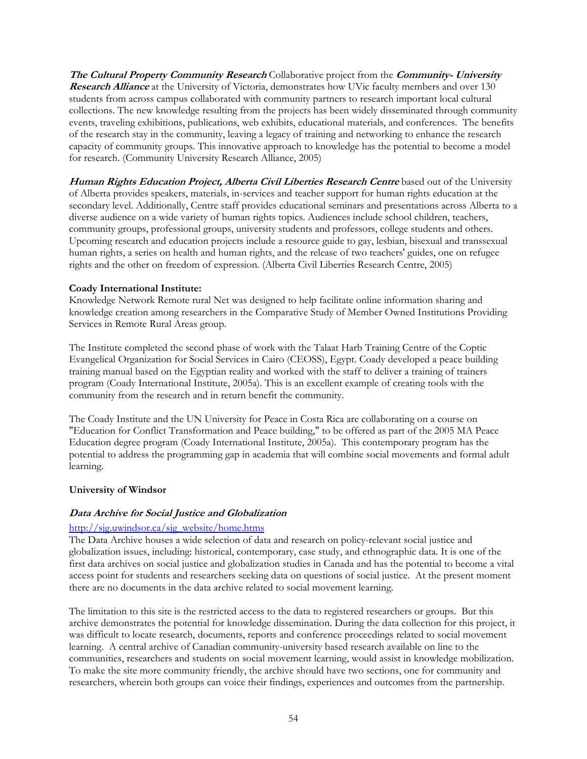**The Cultural Property Community Research** Collaborative project from the **Community- University Research Alliance** at the University of Victoria, demonstrates how UVic faculty members and over 130 students from across campus collaborated with community partners to research important local cultural collections. The new knowledge resulting from the projects has been widely disseminated through community events, traveling exhibitions, publications, web exhibits, educational materials, and conferences. The benefits of the research stay in the community, leaving a legacy of training and networking to enhance the research capacity of community groups. This innovative approach to knowledge has the potential to become a model for research. (Community University Research Alliance, 2005)

**Human Rights Education Project, Alberta Civil Liberties Research Centre** based out of the University of Alberta provides speakers, materials, in-services and teacher support for human rights education at the secondary level. Additionally, Centre staff provides educational seminars and presentations across Alberta to a diverse audience on a wide variety of human rights topics. Audiences include school children, teachers, community groups, professional groups, university students and professors, college students and others. Upcoming research and education projects include a resource guide to gay, lesbian, bisexual and transsexual human rights, a series on health and human rights, and the release of two teachers' guides, one on refugee rights and the other on freedom of expression. (Alberta Civil Liberties Research Centre, 2005)

### **Coady International Institute:**

Knowledge Network Remote rural Net was designed to help facilitate online information sharing and knowledge creation among researchers in the Comparative Study of Member Owned Institutions Providing Services in Remote Rural Areas group.

The Institute completed the second phase of work with the Talaat Harb Training Centre of the Coptic Evangelical Organization for Social Services in Cairo (CEOSS), Egypt. Coady developed a peace building training manual based on the Egyptian reality and worked with the staff to deliver a training of trainers program (Coady International Institute, 2005a). This is an excellent example of creating tools with the community from the research and in return benefit the community.

The Coady Institute and the UN University for Peace in Costa Rica are collaborating on a course on "Education for Conflict Transformation and Peace building," to be offered as part of the 2005 MA Peace Education degree program (Coady International Institute, 2005a). This contemporary program has the potential to address the programming gap in academia that will combine social movements and formal adult learning.

## **University of Windsor**

## **Data Archive for Social Justice and Globalization**

#### http://sjg.uwindsor.ca/sjg\_website/home.htms

The Data Archive houses a wide selection of data and research on policy-relevant social justice and globalization issues, including: historical, contemporary, case study, and ethnographic data. It is one of the first data archives on social justice and globalization studies in Canada and has the potential to become a vital access point for students and researchers seeking data on questions of social justice. At the present moment there are no documents in the data archive related to social movement learning.

The limitation to this site is the restricted access to the data to registered researchers or groups. But this archive demonstrates the potential for knowledge dissemination. During the data collection for this project, it was difficult to locate research, documents, reports and conference proceedings related to social movement learning. A central archive of Canadian community-university based research available on line to the communities, researchers and students on social movement learning, would assist in knowledge mobilization. To make the site more community friendly, the archive should have two sections, one for community and researchers, wherein both groups can voice their findings, experiences and outcomes from the partnership.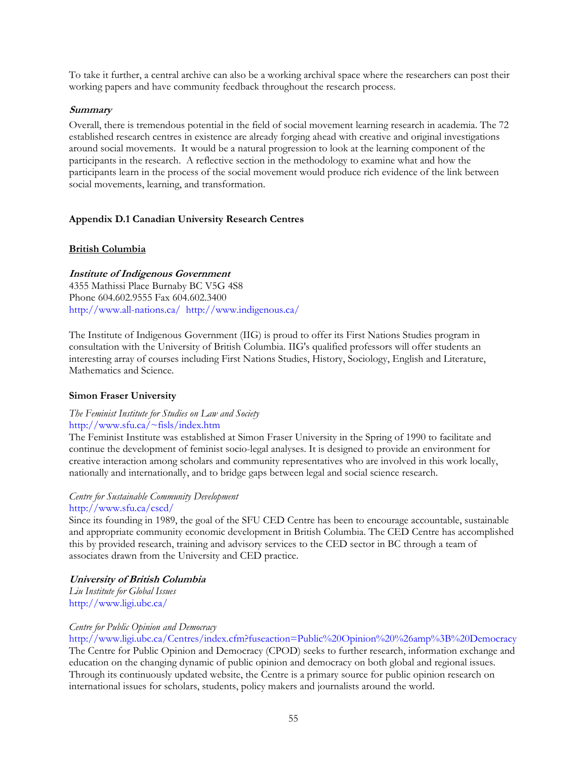To take it further, a central archive can also be a working archival space where the researchers can post their working papers and have community feedback throughout the research process.

### **Summary**

Overall, there is tremendous potential in the field of social movement learning research in academia. The 72 established research centres in existence are already forging ahead with creative and original investigations around social movements. It would be a natural progression to look at the learning component of the participants in the research. A reflective section in the methodology to examine what and how the participants learn in the process of the social movement would produce rich evidence of the link between social movements, learning, and transformation.

## **Appendix D.1 Canadian University Research Centres**

### **British Columbia**

### **Institute of Indigenous Government**

4355 Mathissi Place Burnaby BC V5G 4S8 Phone 604.602.9555 Fax 604.602.3400 http://www.all-nations.ca/ http://www.indigenous.ca/

The Institute of Indigenous Government (IIG) is proud to offer its First Nations Studies program in consultation with the University of British Columbia. IIG's qualified professors will offer students an interesting array of courses including First Nations Studies, History, Sociology, English and Literature, Mathematics and Science.

#### **Simon Fraser University**

#### *The Feminist Institute for Studies on Law and Society*  http://www.sfu.ca/~fisls/index.htm

The Feminist Institute was established at Simon Fraser University in the Spring of 1990 to facilitate and continue the development of feminist socio-legal analyses. It is designed to provide an environment for creative interaction among scholars and community representatives who are involved in this work locally, nationally and internationally, and to bridge gaps between legal and social science research.

#### *Centre for Sustainable Community Development*  http://www.sfu.ca/cscd/

Since its founding in 1989, the goal of the SFU CED Centre has been to encourage accountable, sustainable and appropriate community economic development in British Columbia. The CED Centre has accomplished this by provided research, training and advisory services to the CED sector in BC through a team of associates drawn from the University and CED practice.

#### **University of British Columbia**

*Liu Institute for Global Issues*  http://www.ligi.ubc.ca/

#### *Centre for Public Opinion and Democracy*

http://www.ligi.ubc.ca/Centres/index.cfm?fuseaction=Public%20Opinion%20%26amp%3B%20Democracy The Centre for Public Opinion and Democracy (CPOD) seeks to further research, information exchange and

education on the changing dynamic of public opinion and democracy on both global and regional issues. Through its continuously updated website, the Centre is a primary source for public opinion research on international issues for scholars, students, policy makers and journalists around the world.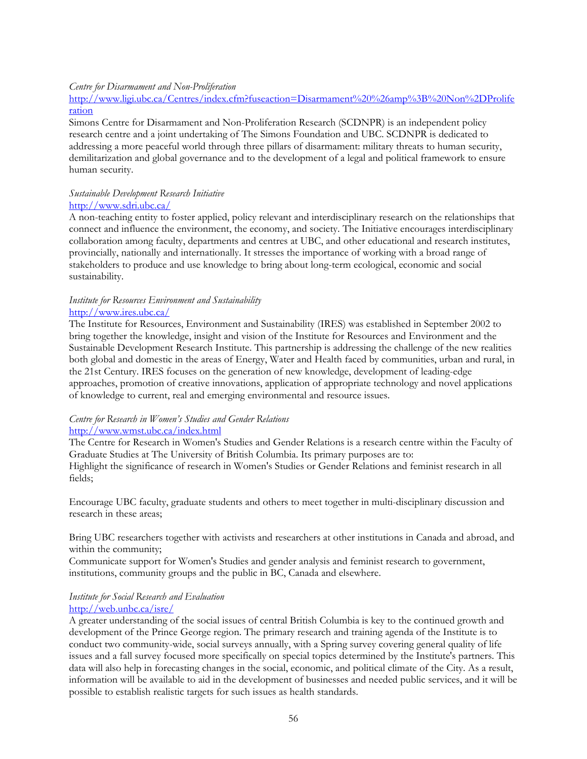#### *Centre for Disarmament and Non-Proliferation*

http://www.ligi.ubc.ca/Centres/index.cfm?fuseaction=Disarmament%20%26amp%3B%20Non%2DProlife ration

Simons Centre for Disarmament and Non-Proliferation Research (SCDNPR) is an independent policy research centre and a joint undertaking of The Simons Foundation and UBC. SCDNPR is dedicated to addressing a more peaceful world through three pillars of disarmament: military threats to human security, demilitarization and global governance and to the development of a legal and political framework to ensure human security.

#### *Sustainable Development Research Initiative*  http://www.sdri.ubc.ca/

A non-teaching entity to foster applied, policy relevant and interdisciplinary research on the relationships that connect and influence the environment, the economy, and society. The Initiative encourages interdisciplinary collaboration among faculty, departments and centres at UBC, and other educational and research institutes, provincially, nationally and internationally. It stresses the importance of working with a broad range of stakeholders to produce and use knowledge to bring about long-term ecological, economic and social sustainability.

## *Institute for Resources Environment and Sustainability*  http://www.ires.ubc.ca/

The Institute for Resources, Environment and Sustainability (IRES) was established in September 2002 to bring together the knowledge, insight and vision of the Institute for Resources and Environment and the Sustainable Development Research Institute. This partnership is addressing the challenge of the new realities both global and domestic in the areas of Energy, Water and Health faced by communities, urban and rural, in the 21st Century. IRES focuses on the generation of new knowledge, development of leading-edge approaches, promotion of creative innovations, application of appropriate technology and novel applications of knowledge to current, real and emerging environmental and resource issues.

# *Centre for Research in Women's Studies and Gender Relations*

# http://www.wmst.ubc.ca/index.html

The Centre for Research in Women's Studies and Gender Relations is a research centre within the Faculty of Graduate Studies at The University of British Columbia. Its primary purposes are to: Highlight the significance of research in Women's Studies or Gender Relations and feminist research in all fields;

Encourage UBC faculty, graduate students and others to meet together in multi-disciplinary discussion and research in these areas;

Bring UBC researchers together with activists and researchers at other institutions in Canada and abroad, and within the community;

Communicate support for Women's Studies and gender analysis and feminist research to government, institutions, community groups and the public in BC, Canada and elsewhere.

#### *Institute for Social Research and Evaluation*  http://web.unbc.ca/isre/

A greater understanding of the social issues of central British Columbia is key to the continued growth and development of the Prince George region. The primary research and training agenda of the Institute is to conduct two community-wide, social surveys annually, with a Spring survey covering general quality of life issues and a fall survey focused more specifically on special topics determined by the Institute's partners. This data will also help in forecasting changes in the social, economic, and political climate of the City. As a result, information will be available to aid in the development of businesses and needed public services, and it will be possible to establish realistic targets for such issues as health standards.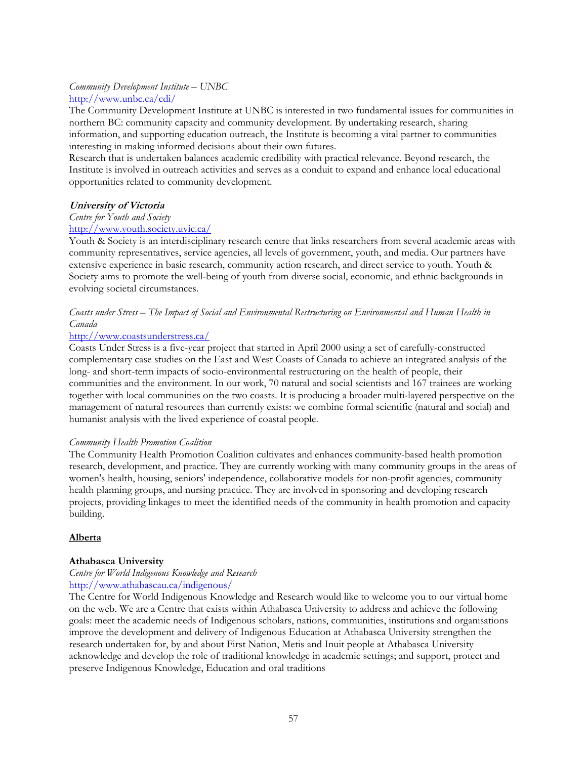## *Community Development Institute – UNBC*  http://www.unbc.ca/cdi/

The Community Development Institute at UNBC is interested in two fundamental issues for communities in northern BC: community capacity and community development. By undertaking research, sharing information, and supporting education outreach, the Institute is becoming a vital partner to communities interesting in making informed decisions about their own futures.

Research that is undertaken balances academic credibility with practical relevance. Beyond research, the Institute is involved in outreach activities and serves as a conduit to expand and enhance local educational opportunities related to community development.

## **University of Victoria**

### *Centre for Youth and Society*

## http://www.youth.society.uvic.ca/

Youth & Society is an interdisciplinary research centre that links researchers from several academic areas with community representatives, service agencies, all levels of government, youth, and media. Our partners have extensive experience in basic research, community action research, and direct service to youth. Youth & Society aims to promote the well-being of youth from diverse social, economic, and ethnic backgrounds in evolving societal circumstances.

## *Coasts under Stress – The Impact of Social and Environmental Restructuring on Environmental and Human Health in Canada*

## http://www.coastsunderstress.ca/

Coasts Under Stress is a five-year project that started in April 2000 using a set of carefully-constructed complementary case studies on the East and West Coasts of Canada to achieve an integrated analysis of the long- and short-term impacts of socio-environmental restructuring on the health of people, their communities and the environment. In our work, 70 natural and social scientists and 167 trainees are working together with local communities on the two coasts. It is producing a broader multi-layered perspective on the management of natural resources than currently exists: we combine formal scientific (natural and social) and humanist analysis with the lived experience of coastal people.

## *Community Health Promotion Coalition*

The Community Health Promotion Coalition cultivates and enhances community-based health promotion research, development, and practice. They are currently working with many community groups in the areas of women's health, housing, seniors' independence, collaborative models for non-profit agencies, community health planning groups, and nursing practice. They are involved in sponsoring and developing research projects, providing linkages to meet the identified needs of the community in health promotion and capacity building.

## **Alberta**

# **Athabasca University**

#### *Centre for World Indigenous Knowledge and Research*  http://www.athabascau.ca/indigenous/

The Centre for World Indigenous Knowledge and Research would like to welcome you to our virtual home on the web. We are a Centre that exists within Athabasca University to address and achieve the following goals: meet the academic needs of Indigenous scholars, nations, communities, institutions and organisations improve the development and delivery of Indigenous Education at Athabasca University strengthen the research undertaken for, by and about First Nation, Metis and Inuit people at Athabasca University acknowledge and develop the role of traditional knowledge in academic settings; and support, protect and preserve Indigenous Knowledge, Education and oral traditions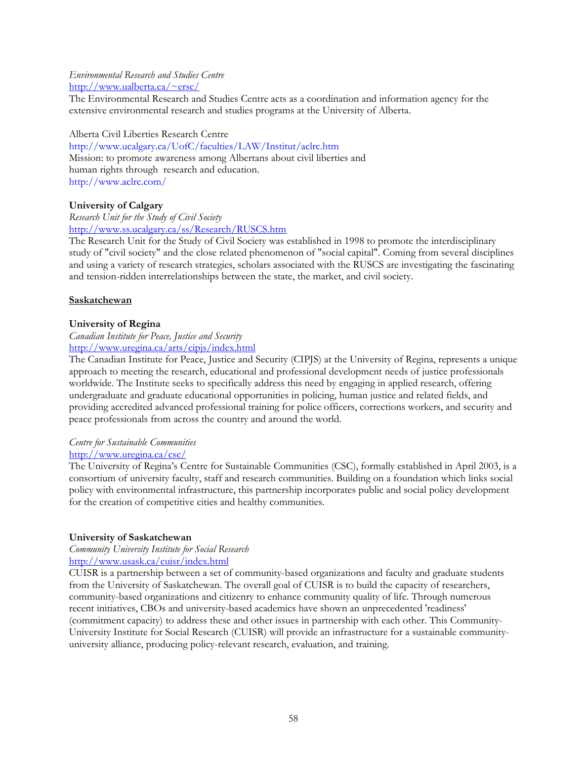## *Environmental Research and Studies Centre*  http://www.ualberta.ca/~ersc/

The Environmental Research and Studies Centre acts as a coordination and information agency for the extensive environmental research and studies programs at the University of Alberta.

Alberta Civil Liberties Research Centre

http://www.ucalgary.ca/UofC/faculties/LAW/Institut/aclrc.htm Mission: to promote awareness among Albertans about civil liberties and human rights through research and education. http://www.aclrc.com/

## **University of Calgary**

*Research Unit for the Study of Civil Society*  http://www.ss.ucalgary.ca/ss/Research/RUSCS.htm

The Research Unit for the Study of Civil Society was established in 1998 to promote the interdisciplinary study of "civil society" and the close related phenomenon of "social capital". Coming from several disciplines and using a variety of research strategies, scholars associated with the RUSCS are investigating the fascinating and tension-ridden interrelationships between the state, the market, and civil society.

### **Saskatchewan**

## **University of Regina**

#### *Canadian Institute for Peace, Justice and Security*  http://www.uregina.ca/arts/cipjs/index.html

The Canadian Institute for Peace, Justice and Security (CIPJS) at the University of Regina, represents a unique approach to meeting the research, educational and professional development needs of justice professionals worldwide. The Institute seeks to specifically address this need by engaging in applied research, offering undergraduate and graduate educational opportunities in policing, human justice and related fields, and providing accredited advanced professional training for police officers, corrections workers, and security and peace professionals from across the country and around the world.

## *Centre for Sustainable Communities*

# http://www.uregina.ca/csc/

The University of Regina's Centre for Sustainable Communities (CSC), formally established in April 2003, is a consortium of university faculty, staff and research communities. Building on a foundation which links social policy with environmental infrastructure, this partnership incorporates public and social policy development for the creation of competitive cities and healthy communities.

#### **University of Saskatchewan**

*Community University Institute for Social Research*  http://www.usask.ca/cuisr/index.html

CUISR is a partnership between a set of community-based organizations and faculty and graduate students from the University of Saskatchewan. The overall goal of CUISR is to build the capacity of researchers, community-based organizations and citizenry to enhance community quality of life. Through numerous recent initiatives, CBOs and university-based academics have shown an unprecedented 'readiness' (commitment capacity) to address these and other issues in partnership with each other. This Community-University Institute for Social Research (CUISR) will provide an infrastructure for a sustainable communityuniversity alliance, producing policy-relevant research, evaluation, and training.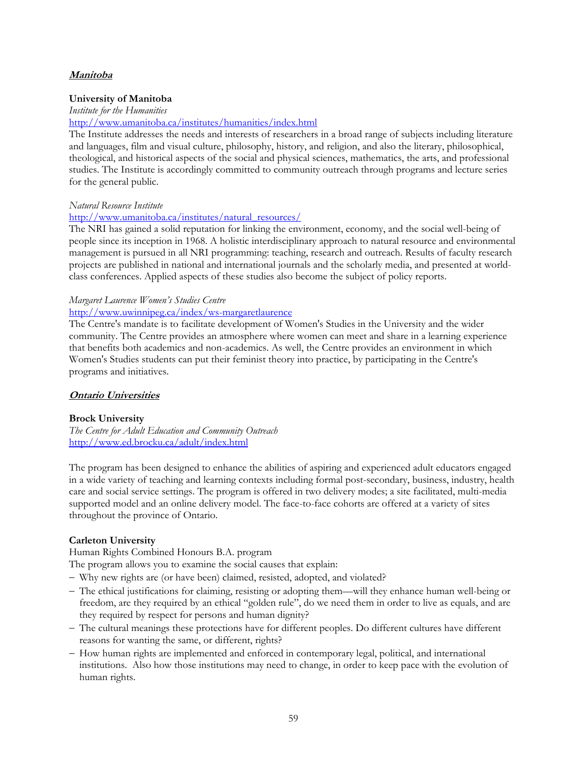## **Manitoba**

#### **University of Manitoba**

*Institute for the Humanities* 

#### http://www.umanitoba.ca/institutes/humanities/index.html

The Institute addresses the needs and interests of researchers in a broad range of subjects including literature and languages, film and visual culture, philosophy, history, and religion, and also the literary, philosophical, theological, and historical aspects of the social and physical sciences, mathematics, the arts, and professional studies. The Institute is accordingly committed to community outreach through programs and lecture series for the general public.

### *Natural Resource Institute*

# http://www.umanitoba.ca/institutes/natural\_resources/

The NRI has gained a solid reputation for linking the environment, economy, and the social well-being of people since its inception in 1968. A holistic interdisciplinary approach to natural resource and environmental management is pursued in all NRI programming: teaching, research and outreach. Results of faculty research projects are published in national and international journals and the scholarly media, and presented at worldclass conferences. Applied aspects of these studies also become the subject of policy reports.

## *Margaret Laurence Women's Studies Centre*

## http://www.uwinnipeg.ca/index/ws-margaretlaurence

The Centre's mandate is to facilitate development of Women's Studies in the University and the wider community. The Centre provides an atmosphere where women can meet and share in a learning experience that benefits both academics and non-academics. As well, the Centre provides an environment in which Women's Studies students can put their feminist theory into practice, by participating in the Centre's programs and initiatives.

## **Ontario Universities**

## **Brock University**

*The Centre for Adult Education and Community Outreach*  http://www.ed.brocku.ca/adult/index.html

The program has been designed to enhance the abilities of aspiring and experienced adult educators engaged in a wide variety of teaching and learning contexts including formal post-secondary, business, industry, health care and social service settings. The program is offered in two delivery modes; a site facilitated, multi-media supported model and an online delivery model. The face-to-face cohorts are offered at a variety of sites throughout the province of Ontario.

## **Carleton University**

Human Rights Combined Honours B.A. program

The program allows you to examine the social causes that explain:

- − Why new rights are (or have been) claimed, resisted, adopted, and violated?
- − The ethical justifications for claiming, resisting or adopting them—will they enhance human well-being or freedom, are they required by an ethical "golden rule", do we need them in order to live as equals, and are they required by respect for persons and human dignity?
- − The cultural meanings these protections have for different peoples. Do different cultures have different reasons for wanting the same, or different, rights?
- − How human rights are implemented and enforced in contemporary legal, political, and international institutions. Also how those institutions may need to change, in order to keep pace with the evolution of human rights.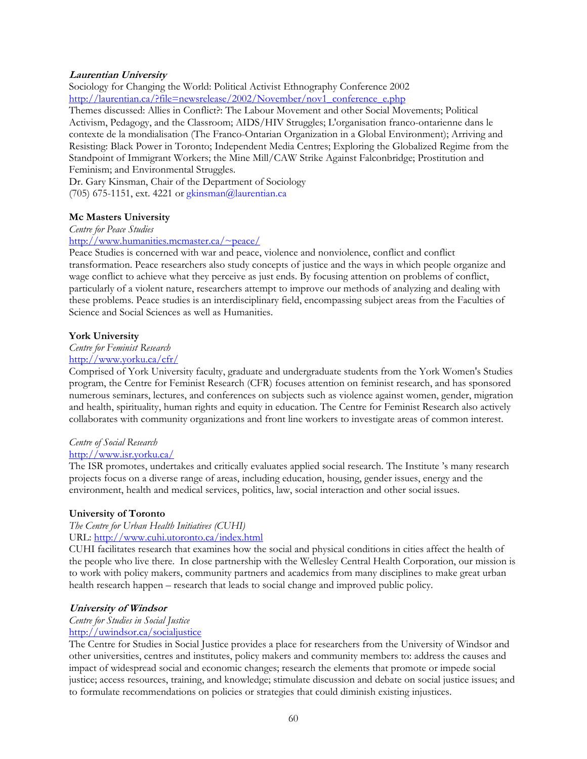## **Laurentian University**

Sociology for Changing the World: Political Activist Ethnography Conference 2002 http://laurentian.ca/?file=newsrelease/2002/November/nov1\_conference\_e.php

Themes discussed: Allies in Conflict?: The Labour Movement and other Social Movements; Political Activism, Pedagogy, and the Classroom; AIDS/HIV Struggles; L'organisation franco-ontarienne dans le contexte de la mondialisation (The Franco-Ontarian Organization in a Global Environment); Arriving and Resisting: Black Power in Toronto; Independent Media Centres; Exploring the Globalized Regime from the Standpoint of Immigrant Workers; the Mine Mill/CAW Strike Against Falconbridge; Prostitution and Feminism; and Environmental Struggles.

Dr. Gary Kinsman, Chair of the Department of Sociology (705) 675-1151, ext. 4221 or gkinsman@laurentian.ca

### **Mc Masters University**

*Centre for Peace Studies* 

#### http://www.humanities.mcmaster.ca/~peace/

Peace Studies is concerned with war and peace, violence and nonviolence, conflict and conflict transformation. Peace researchers also study concepts of justice and the ways in which people organize and wage conflict to achieve what they perceive as just ends. By focusing attention on problems of conflict, particularly of a violent nature, researchers attempt to improve our methods of analyzing and dealing with these problems. Peace studies is an interdisciplinary field, encompassing subject areas from the Faculties of Science and Social Sciences as well as Humanities.

#### **York University**

#### *Centre for Feminist Research*

#### http://www.yorku.ca/cfr/

Comprised of York University faculty, graduate and undergraduate students from the York Women's Studies program, the Centre for Feminist Research (CFR) focuses attention on feminist research, and has sponsored numerous seminars, lectures, and conferences on subjects such as violence against women, gender, migration and health, spirituality, human rights and equity in education. The Centre for Feminist Research also actively collaborates with community organizations and front line workers to investigate areas of common interest.

#### *Centre of Social Research*

#### http://www.isr.yorku.ca/

The ISR promotes, undertakes and critically evaluates applied social research. The Institute 's many research projects focus on a diverse range of areas, including education, housing, gender issues, energy and the environment, health and medical services, politics, law, social interaction and other social issues.

#### **University of Toronto**

#### *The Centre for Urban Health Initiatives (CUHI)*  URL: http://www.cuhi.utoronto.ca/index.html

CUHI facilitates research that examines how the social and physical conditions in cities affect the health of the people who live there. In close partnership with the Wellesley Central Health Corporation, our mission is to work with policy makers, community partners and academics from many disciplines to make great urban health research happen – research that leads to social change and improved public policy.

#### **University of Windsor**

#### *Centre for Studies in Social Justice*  http://uwindsor.ca/socialjustice

The Centre for Studies in Social Justice provides a place for researchers from the University of Windsor and other universities, centres and institutes, policy makers and community members to: address the causes and impact of widespread social and economic changes; research the elements that promote or impede social justice; access resources, training, and knowledge; stimulate discussion and debate on social justice issues; and to formulate recommendations on policies or strategies that could diminish existing injustices.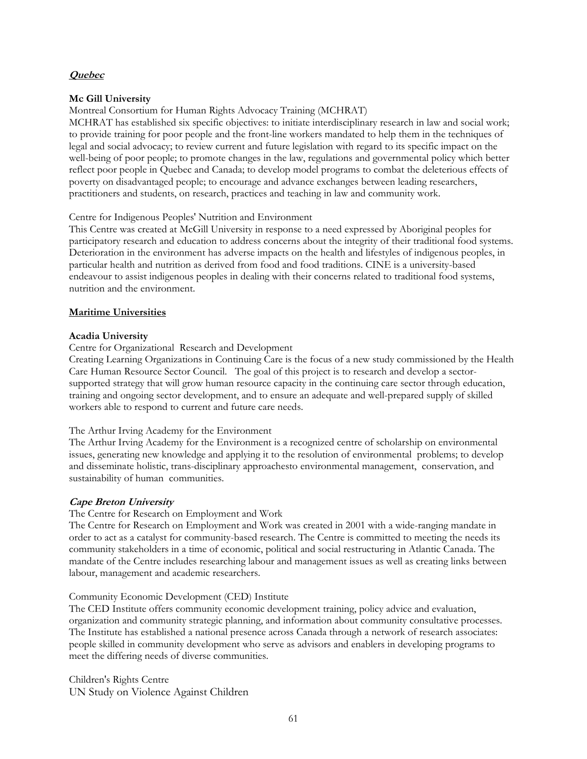### **Quebec**

## **Mc Gill University**

Montreal Consortium for Human Rights Advocacy Training (MCHRAT)

MCHRAT has established six specific objectives: to initiate interdisciplinary research in law and social work; to provide training for poor people and the front-line workers mandated to help them in the techniques of legal and social advocacy; to review current and future legislation with regard to its specific impact on the well-being of poor people; to promote changes in the law, regulations and governmental policy which better reflect poor people in Quebec and Canada; to develop model programs to combat the deleterious effects of poverty on disadvantaged people; to encourage and advance exchanges between leading researchers, practitioners and students, on research, practices and teaching in law and community work.

### Centre for Indigenous Peoples' Nutrition and Environment

This Centre was created at McGill University in response to a need expressed by Aboriginal peoples for participatory research and education to address concerns about the integrity of their traditional food systems. Deterioration in the environment has adverse impacts on the health and lifestyles of indigenous peoples, in particular health and nutrition as derived from food and food traditions. CINE is a university-based endeavour to assist indigenous peoples in dealing with their concerns related to traditional food systems, nutrition and the environment.

### **Maritime Universities**

#### **Acadia University**

Centre for Organizational Research and Development

Creating Learning Organizations in Continuing Care is the focus of a new study commissioned by the Health Care Human Resource Sector Council. The goal of this project is to research and develop a sectorsupported strategy that will grow human resource capacity in the continuing care sector through education, training and ongoing sector development, and to ensure an adequate and well-prepared supply of skilled workers able to respond to current and future care needs.

#### The Arthur Irving Academy for the Environment

The Arthur Irving Academy for the Environment is a recognized centre of scholarship on environmental issues, generating new knowledge and applying it to the resolution of environmental problems; to develop and disseminate holistic, trans-disciplinary approachesto environmental management, conservation, and sustainability of human communities.

## **Cape Breton University**

The Centre for Research on Employment and Work

The Centre for Research on Employment and Work was created in 2001 with a wide-ranging mandate in order to act as a catalyst for community-based research. The Centre is committed to meeting the needs its community stakeholders in a time of economic, political and social restructuring in Atlantic Canada. The mandate of the Centre includes researching labour and management issues as well as creating links between labour, management and academic researchers.

#### Community Economic Development (CED) Institute

The CED Institute offers community economic development training, policy advice and evaluation, organization and community strategic planning, and information about community consultative processes. The Institute has established a national presence across Canada through a network of research associates: people skilled in community development who serve as advisors and enablers in developing programs to meet the differing needs of diverse communities.

Children's Rights Centre UN Study on Violence Against Children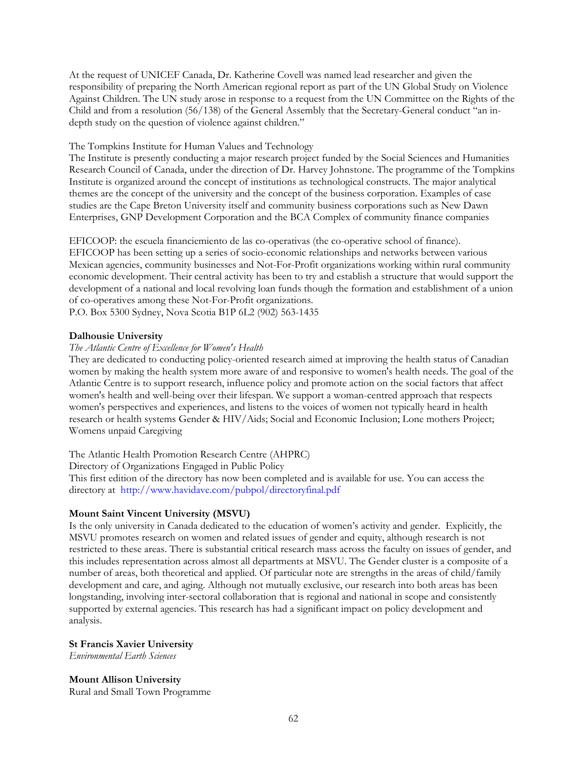At the request of UNICEF Canada, Dr. Katherine Covell was named lead researcher and given the responsibility of preparing the North American regional report as part of the UN Global Study on Violence Against Children. The UN study arose in response to a request from the UN Committee on the Rights of the Child and from a resolution (56/138) of the General Assembly that the Secretary-General conduct "an indepth study on the question of violence against children."

### The Tompkins Institute for Human Values and Technology

The Institute is presently conducting a major research project funded by the Social Sciences and Humanities Research Council of Canada, under the direction of Dr. Harvey Johnstone. The programme of the Tompkins Institute is organized around the concept of institutions as technological constructs. The major analytical themes are the concept of the university and the concept of the business corporation. Examples of case studies are the Cape Breton University itself and community business corporations such as New Dawn Enterprises, GNP Development Corporation and the BCA Complex of community finance companies

EFICOOP: the escuela financiemiento de las co-operativas (the co-operative school of finance). EFICOOP has been setting up a series of socio-economic relationships and networks between various Mexican agencies, community businesses and Not-For-Profit organizations working within rural community economic development. Their central activity has been to try and establish a structure that would support the development of a national and local revolving loan funds though the formation and establishment of a union of co-operatives among these Not-For-Profit organizations.

P.O. Box 5300 Sydney, Nova Scotia B1P 6L2 (902) 563-1435

#### **Dalhousie University**

#### *The Atlantic Centre of Excellence for Women's Health*

They are dedicated to conducting policy-oriented research aimed at improving the health status of Canadian women by making the health system more aware of and responsive to women's health needs. The goal of the Atlantic Centre is to support research, influence policy and promote action on the social factors that affect women's health and well-being over their lifespan. We support a woman-centred approach that respects women's perspectives and experiences, and listens to the voices of women not typically heard in health research or health systems Gender & HIV/Aids; Social and Economic Inclusion; Lone mothers Project; Womens unpaid Caregiving

The Atlantic Health Promotion Research Centre (AHPRC)

Directory of Organizations Engaged in Public Policy

This first edition of the directory has now been completed and is available for use. You can access the directory at http://www.havidave.com/pubpol/directoryfinal.pdf

#### **Mount Saint Vincent University (MSVU)**

Is the only university in Canada dedicated to the education of women's activity and gender. Explicitly, the MSVU promotes research on women and related issues of gender and equity, although research is not restricted to these areas. There is substantial critical research mass across the faculty on issues of gender, and this includes representation across almost all departments at MSVU. The Gender cluster is a composite of a number of areas, both theoretical and applied. Of particular note are strengths in the areas of child/family development and care, and aging. Although not mutually exclusive, our research into both areas has been longstanding, involving inter-sectoral collaboration that is regional and national in scope and consistently supported by external agencies. This research has had a significant impact on policy development and analysis.

**St Francis Xavier University**  *Environmental Earth Sciences* 

**Mount Allison University**  Rural and Small Town Programme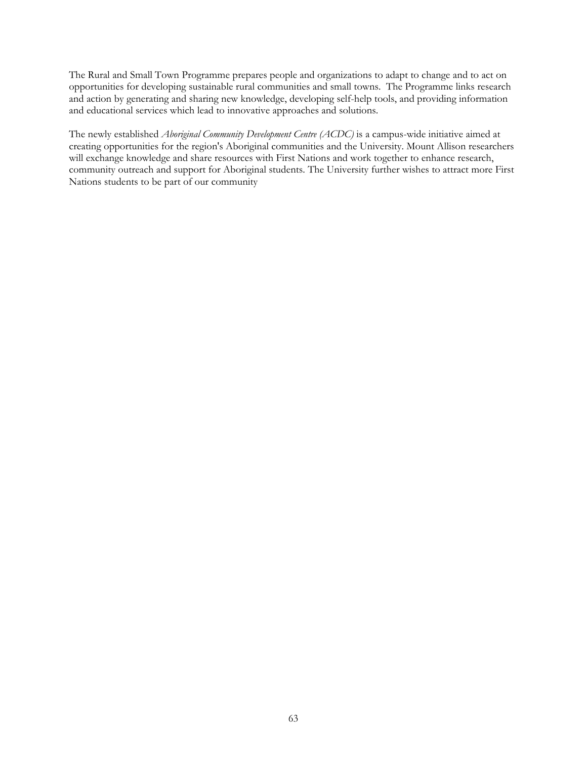The Rural and Small Town Programme prepares people and organizations to adapt to change and to act on opportunities for developing sustainable rural communities and small towns. The Programme links research and action by generating and sharing new knowledge, developing self-help tools, and providing information and educational services which lead to innovative approaches and solutions.

The newly established *Aboriginal Community Development Centre (ACDC)* is a campus-wide initiative aimed at creating opportunities for the region's Aboriginal communities and the University. Mount Allison researchers will exchange knowledge and share resources with First Nations and work together to enhance research, community outreach and support for Aboriginal students. The University further wishes to attract more First Nations students to be part of our community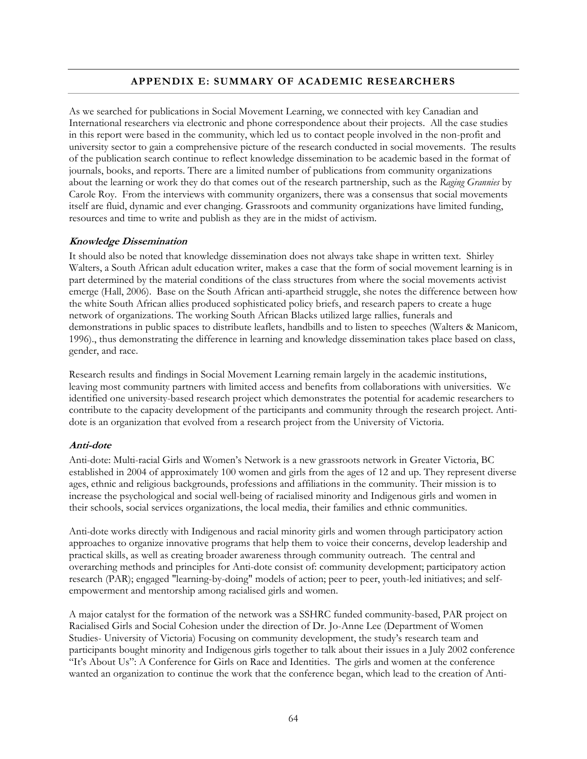# **APPENDIX E: SUMMARY OF ACADEMIC RESEARCHERS**

As we searched for publications in Social Movement Learning, we connected with key Canadian and International researchers via electronic and phone correspondence about their projects. All the case studies in this report were based in the community, which led us to contact people involved in the non-profit and university sector to gain a comprehensive picture of the research conducted in social movements. The results of the publication search continue to reflect knowledge dissemination to be academic based in the format of journals, books, and reports. There are a limited number of publications from community organizations about the learning or work they do that comes out of the research partnership, such as the *Raging Grannies* by Carole Roy. From the interviews with community organizers, there was a consensus that social movements itself are fluid, dynamic and ever changing. Grassroots and community organizations have limited funding, resources and time to write and publish as they are in the midst of activism.

### **Knowledge Dissemination**

It should also be noted that knowledge dissemination does not always take shape in written text. Shirley Walters, a South African adult education writer, makes a case that the form of social movement learning is in part determined by the material conditions of the class structures from where the social movements activist emerge (Hall, 2006). Base on the South African anti-apartheid struggle, she notes the difference between how the white South African allies produced sophisticated policy briefs, and research papers to create a huge network of organizations. The working South African Blacks utilized large rallies, funerals and demonstrations in public spaces to distribute leaflets, handbills and to listen to speeches (Walters & Manicom, 1996)., thus demonstrating the difference in learning and knowledge dissemination takes place based on class, gender, and race.

Research results and findings in Social Movement Learning remain largely in the academic institutions, leaving most community partners with limited access and benefits from collaborations with universities. We identified one university-based research project which demonstrates the potential for academic researchers to contribute to the capacity development of the participants and community through the research project. Antidote is an organization that evolved from a research project from the University of Victoria.

#### **Anti-dote**

Anti-dote: Multi-racial Girls and Women's Network is a new grassroots network in Greater Victoria, BC established in 2004 of approximately 100 women and girls from the ages of 12 and up. They represent diverse ages, ethnic and religious backgrounds, professions and affiliations in the community. Their mission is to increase the psychological and social well-being of racialised minority and Indigenous girls and women in their schools, social services organizations, the local media, their families and ethnic communities.

Anti-dote works directly with Indigenous and racial minority girls and women through participatory action approaches to organize innovative programs that help them to voice their concerns, develop leadership and practical skills, as well as creating broader awareness through community outreach. The central and overarching methods and principles for Anti-dote consist of: community development; participatory action research (PAR); engaged "learning-by-doing" models of action; peer to peer, youth-led initiatives; and selfempowerment and mentorship among racialised girls and women.

A major catalyst for the formation of the network was a SSHRC funded community-based, PAR project on Racialised Girls and Social Cohesion under the direction of Dr. Jo-Anne Lee (Department of Women Studies- University of Victoria) Focusing on community development, the study's research team and participants bought minority and Indigenous girls together to talk about their issues in a July 2002 conference "It's About Us": A Conference for Girls on Race and Identities. The girls and women at the conference wanted an organization to continue the work that the conference began, which lead to the creation of Anti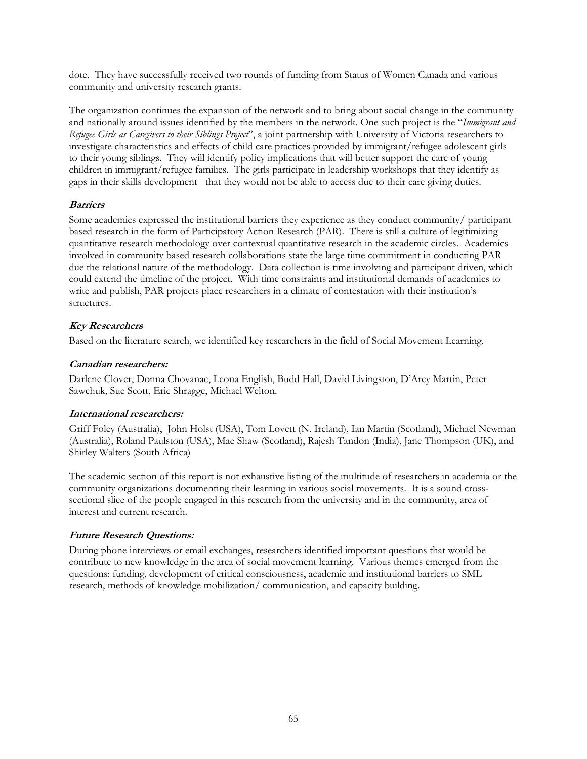dote. They have successfully received two rounds of funding from Status of Women Canada and various community and university research grants.

The organization continues the expansion of the network and to bring about social change in the community and nationally around issues identified by the members in the network. One such project is the "*Immigrant and Refugee Girls as Caregivers to their Siblings Project*", a joint partnership with University of Victoria researchers to investigate characteristics and effects of child care practices provided by immigrant/refugee adolescent girls to their young siblings. They will identify policy implications that will better support the care of young children in immigrant/refugee families. The girls participate in leadership workshops that they identify as gaps in their skills development that they would not be able to access due to their care giving duties.

# **Barriers**

Some academics expressed the institutional barriers they experience as they conduct community/ participant based research in the form of Participatory Action Research (PAR). There is still a culture of legitimizing quantitative research methodology over contextual quantitative research in the academic circles. Academics involved in community based research collaborations state the large time commitment in conducting PAR due the relational nature of the methodology. Data collection is time involving and participant driven, which could extend the timeline of the project. With time constraints and institutional demands of academics to write and publish, PAR projects place researchers in a climate of contestation with their institution's structures.

# **Key Researchers**

Based on the literature search, we identified key researchers in the field of Social Movement Learning.

# **Canadian researchers:**

Darlene Clover, Donna Chovanac, Leona English, Budd Hall, David Livingston, D'Arcy Martin, Peter Sawchuk, Sue Scott, Eric Shragge, Michael Welton.

## **International researchers:**

Griff Foley (Australia), John Holst (USA), Tom Lovett (N. Ireland), Ian Martin (Scotland), Michael Newman (Australia), Roland Paulston (USA), Mae Shaw (Scotland), Rajesh Tandon (India), Jane Thompson (UK), and Shirley Walters (South Africa)

The academic section of this report is not exhaustive listing of the multitude of researchers in academia or the community organizations documenting their learning in various social movements. It is a sound crosssectional slice of the people engaged in this research from the university and in the community, area of interest and current research.

# **Future Research Questions:**

During phone interviews or email exchanges, researchers identified important questions that would be contribute to new knowledge in the area of social movement learning. Various themes emerged from the questions: funding, development of critical consciousness, academic and institutional barriers to SML research, methods of knowledge mobilization/ communication, and capacity building.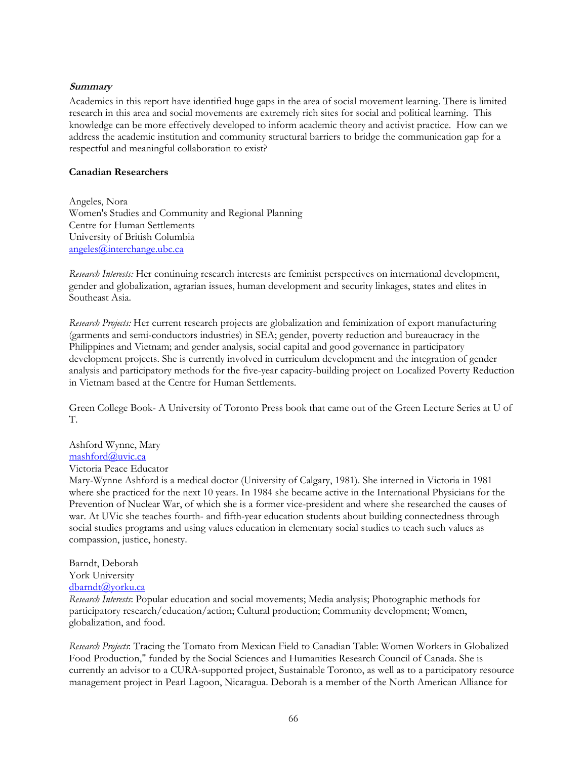### **Summary**

Academics in this report have identified huge gaps in the area of social movement learning. There is limited research in this area and social movements are extremely rich sites for social and political learning. This knowledge can be more effectively developed to inform academic theory and activist practice. How can we address the academic institution and community structural barriers to bridge the communication gap for a respectful and meaningful collaboration to exist?

### **Canadian Researchers**

Angeles, Nora Women's Studies and Community and Regional Planning Centre for Human Settlements University of British Columbia angeles@interchange.ubc.ca

*Research Interests:* Her continuing research interests are feminist perspectives on international development, gender and globalization, agrarian issues, human development and security linkages, states and elites in Southeast Asia.

*Research Projects:* Her current research projects are globalization and feminization of export manufacturing (garments and semi-conductors industries) in SEA; gender, poverty reduction and bureaucracy in the Philippines and Vietnam; and gender analysis, social capital and good governance in participatory development projects. She is currently involved in curriculum development and the integration of gender analysis and participatory methods for the five-year capacity-building project on Localized Poverty Reduction in Vietnam based at the Centre for Human Settlements.

Green College Book- A University of Toronto Press book that came out of the Green Lecture Series at U of T.

Ashford Wynne, Mary mashford@uvic.ca

Victoria Peace Educator

Mary-Wynne Ashford is a medical doctor (University of Calgary, 1981). She interned in Victoria in 1981 where she practiced for the next 10 years. In 1984 she became active in the International Physicians for the Prevention of Nuclear War, of which she is a former vice-president and where she researched the causes of war. At UVic she teaches fourth- and fifth-year education students about building connectedness through social studies programs and using values education in elementary social studies to teach such values as compassion, justice, honesty.

Barndt, Deborah

York University dbarndt@yorku.ca

*Research Interests*: Popular education and social movements; Media analysis; Photographic methods for participatory research/education/action; Cultural production; Community development; Women, globalization, and food.

*Research Projects*: Tracing the Tomato from Mexican Field to Canadian Table: Women Workers in Globalized Food Production," funded by the Social Sciences and Humanities Research Council of Canada. She is currently an advisor to a CURA-supported project, Sustainable Toronto, as well as to a participatory resource management project in Pearl Lagoon, Nicaragua. Deborah is a member of the North American Alliance for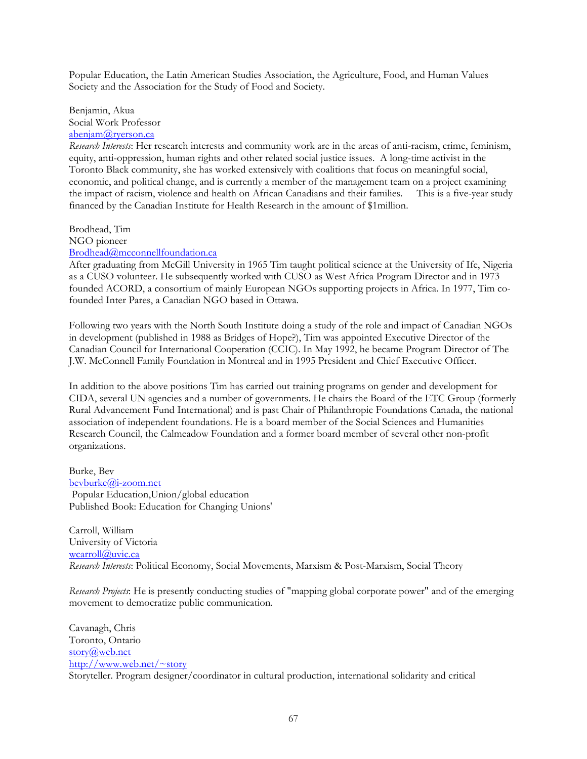Popular Education, the Latin American Studies Association, the Agriculture, Food, and Human Values Society and the Association for the Study of Food and Society.

Benjamin, Akua Social Work Professor abenjam@ryerson.ca

*Research Interests*: Her research interests and community work are in the areas of anti-racism, crime, feminism, equity, anti-oppression, human rights and other related social justice issues. A long-time activist in the Toronto Black community, she has worked extensively with coalitions that focus on meaningful social, economic, and political change, and is currently a member of the management team on a project examining the impact of racism, violence and health on African Canadians and their families. This is a five-year study financed by the Canadian Institute for Health Research in the amount of \$1million.

Brodhead, Tim NGO pioneer Brodhead@mcconnellfoundation.ca

After graduating from McGill University in 1965 Tim taught political science at the University of Ife, Nigeria as a CUSO volunteer. He subsequently worked with CUSO as West Africa Program Director and in 1973 founded ACORD, a consortium of mainly European NGOs supporting projects in Africa. In 1977, Tim cofounded Inter Pares, a Canadian NGO based in Ottawa.

Following two years with the North South Institute doing a study of the role and impact of Canadian NGOs in development (published in 1988 as Bridges of Hope?), Tim was appointed Executive Director of the Canadian Council for International Cooperation (CCIC). In May 1992, he became Program Director of The J.W. McConnell Family Foundation in Montreal and in 1995 President and Chief Executive Officer.

In addition to the above positions Tim has carried out training programs on gender and development for CIDA, several UN agencies and a number of governments. He chairs the Board of the ETC Group (formerly Rural Advancement Fund International) and is past Chair of Philanthropic Foundations Canada, the national association of independent foundations. He is a board member of the Social Sciences and Humanities Research Council, the Calmeadow Foundation and a former board member of several other non-profit organizations.

Burke, Bev bevburke@i-zoom.net Popular Education,Union/global education Published Book: Education for Changing Unions'

Carroll, William University of Victoria wcarroll@uvic.ca *Research Interests*: Political Economy, Social Movements, Marxism & Post-Marxism, Social Theory

*Research Projects*: He is presently conducting studies of "mapping global corporate power" and of the emerging movement to democratize public communication.

Cavanagh, Chris Toronto, Ontario story@web.net http://www.web.net/~story Storyteller. Program designer/coordinator in cultural production, international solidarity and critical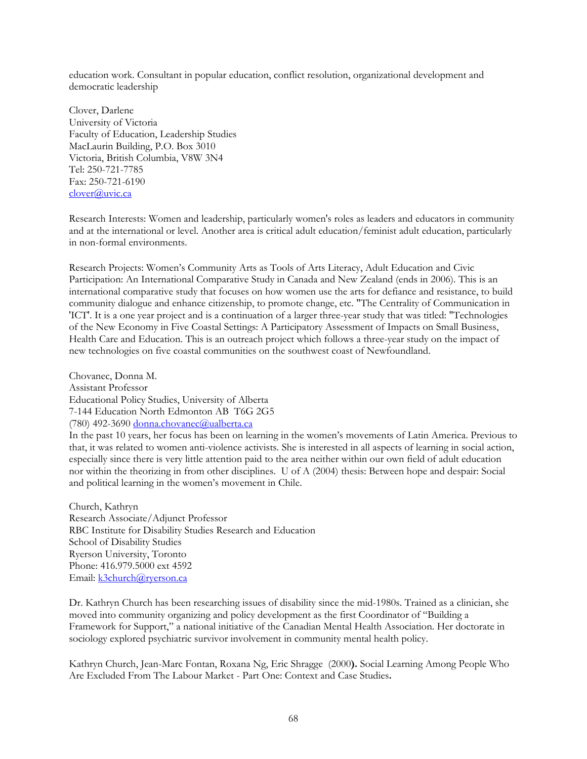education work. Consultant in popular education, conflict resolution, organizational development and democratic leadership

Clover, Darlene University of Victoria Faculty of Education, Leadership Studies MacLaurin Building, P.O. Box 3010 Victoria, British Columbia, V8W 3N4 Tel: 250-721-7785 Fax: 250-721-6190 clover@uvic.ca

Research Interests: Women and leadership, particularly women's roles as leaders and educators in community and at the international or level. Another area is critical adult education/feminist adult education, particularly in non-formal environments.

Research Projects: Women's Community Arts as Tools of Arts Literacy, Adult Education and Civic Participation: An International Comparative Study in Canada and New Zealand (ends in 2006). This is an international comparative study that focuses on how women use the arts for defiance and resistance, to build community dialogue and enhance citizenship, to promote change, etc. "The Centrality of Communication in 'ICT'. It is a one year project and is a continuation of a larger three-year study that was titled: "Technologies of the New Economy in Five Coastal Settings: A Participatory Assessment of Impacts on Small Business, Health Care and Education. This is an outreach project which follows a three-year study on the impact of new technologies on five coastal communities on the southwest coast of Newfoundland.

Chovanec, Donna M. Assistant Professor Educational Policy Studies, University of Alberta 7-144 Education North Edmonton AB T6G 2G5 (780) 492-3690 donna.chovanec@ualberta.ca In the past 10 years, her focus has been on learning in the women's movements of Latin America. Previous to that, it was related to women anti-violence activists. She is interested in all aspects of learning in social action, especially since there is very little attention paid to the area neither within our own field of adult education nor within the theorizing in from other disciplines. U of A (2004) thesis: Between hope and despair: Social

and political learning in the women's movement in Chile.

Church, Kathryn Research Associate/Adjunct Professor RBC Institute for Disability Studies Research and Education School of Disability Studies Ryerson University, Toronto Phone: 416.979.5000 ext 4592 Email: k3church@ryerson.ca

Dr. Kathryn Church has been researching issues of disability since the mid-1980s. Trained as a clinician, she moved into community organizing and policy development as the first Coordinator of "Building a Framework for Support," a national initiative of the Canadian Mental Health Association. Her doctorate in sociology explored psychiatric survivor involvement in community mental health policy.

Kathryn Church, Jean-Marc Fontan, Roxana Ng, Eric Shragge (2000**).** Social Learning Among People Who Are Excluded From The Labour Market - Part One: Context and Case Studies**.**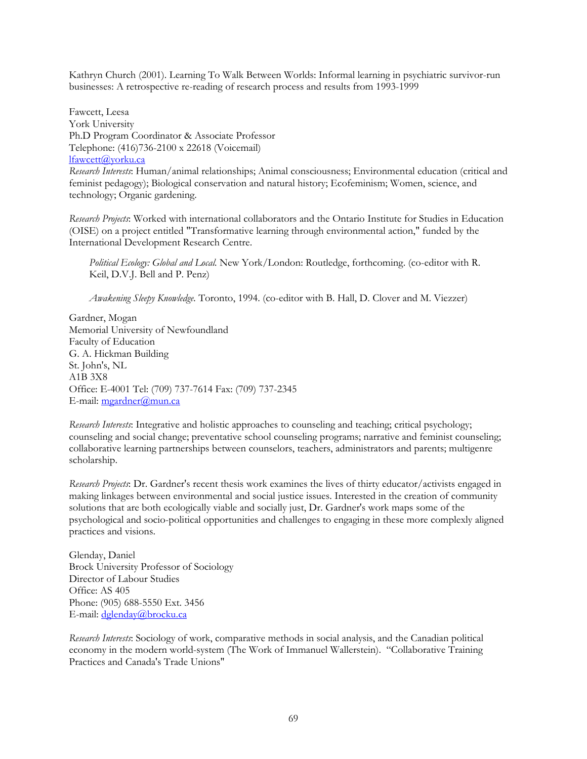Kathryn Church (2001). Learning To Walk Between Worlds: Informal learning in psychiatric survivor-run businesses: A retrospective re-reading of research process and results from 1993-1999

Fawcett, Leesa York University Ph.D Program Coordinator & Associate Professor Telephone: (416)736-2100 x 22618 (Voicemail) lfawcett@yorku.ca *Research Interests*: Human/animal relationships; Animal consciousness; Environmental education (critical and feminist pedagogy); Biological conservation and natural history; Ecofeminism; Women, science, and technology; Organic gardening.

*Research Projects*: Worked with international collaborators and the Ontario Institute for Studies in Education (OISE) on a project entitled "Transformative learning through environmental action," funded by the International Development Research Centre.

*Political Ecology: Global and Local.* New York/London: Routledge, forthcoming. (co-editor with R. Keil, D.V.J. Bell and P. Penz)

*Awakening Sleepy Knowledge.* Toronto, 1994. (co-editor with B. Hall, D. Clover and M. Viezzer)

Gardner, Mogan Memorial University of Newfoundland Faculty of Education G. A. Hickman Building St. John's, NL A1B 3X8 Office: E-4001 Tel: (709) 737-7614 Fax: (709) 737-2345 E-mail: mgardner@mun.ca

*Research Interests*: Integrative and holistic approaches to counseling and teaching; critical psychology; counseling and social change; preventative school counseling programs; narrative and feminist counseling; collaborative learning partnerships between counselors, teachers, administrators and parents; multigenre scholarship.

*Research Projects*: Dr. Gardner's recent thesis work examines the lives of thirty educator/activists engaged in making linkages between environmental and social justice issues. Interested in the creation of community solutions that are both ecologically viable and socially just, Dr. Gardner's work maps some of the psychological and socio-political opportunities and challenges to engaging in these more complexly aligned practices and visions.

Glenday, Daniel Brock University Professor of Sociology Director of Labour Studies Office: AS 405 Phone: (905) 688-5550 Ext. 3456 E-mail: dglenday@brocku.ca

*Research Interests*: Sociology of work, comparative methods in social analysis, and the Canadian political economy in the modern world-system (The Work of Immanuel Wallerstein). "Collaborative Training Practices and Canada's Trade Unions"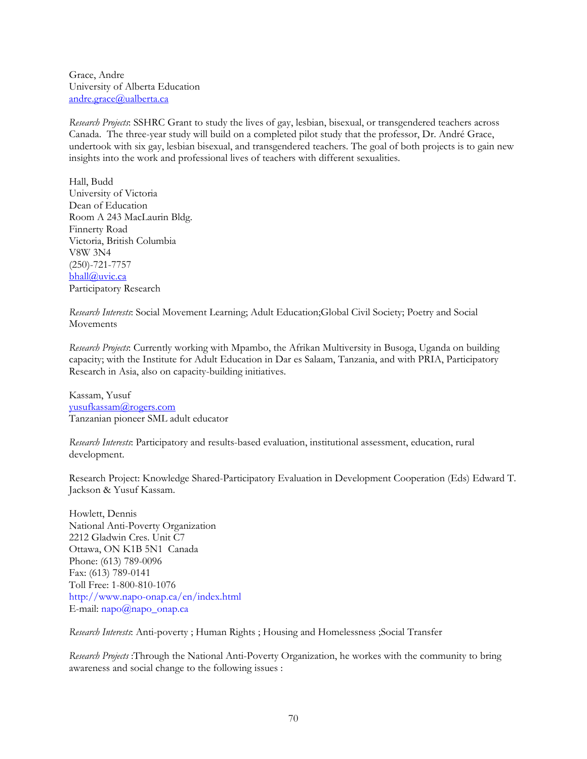Grace, Andre University of Alberta Education andre.grace@ualberta.ca

*Research Projects*: SSHRC Grant to study the lives of gay, lesbian, bisexual, or transgendered teachers across Canada. The three-year study will build on a completed pilot study that the professor, Dr. André Grace, undertook with six gay, lesbian bisexual, and transgendered teachers. The goal of both projects is to gain new insights into the work and professional lives of teachers with different sexualities.

Hall, Budd University of Victoria Dean of Education Room A 243 MacLaurin Bldg. Finnerty Road Victoria, British Columbia V8W 3N4 (250)-721-7757 bhall@uvic.ca Participatory Research

*Research Interests*: Social Movement Learning; Adult Education;Global Civil Society; Poetry and Social Movements

*Research Projects*: Currently working with Mpambo, the Afrikan Multiversity in Busoga, Uganda on building capacity; with the Institute for Adult Education in Dar es Salaam, Tanzania, and with PRIA, Participatory Research in Asia, also on capacity-building initiatives.

Kassam, Yusuf yusufkassam@rogers.com Tanzanian pioneer SML adult educator

*Research Interests*: Participatory and results-based evaluation, institutional assessment, education, rural development.

Research Project: Knowledge Shared-Participatory Evaluation in Development Cooperation (Eds) Edward T. Jackson & Yusuf Kassam.

Howlett, Dennis National Anti-Poverty Organization 2212 Gladwin Cres. Unit C7 Ottawa, ON K1B 5N1 Canada Phone: (613) 789-0096 Fax: (613) 789-0141 Toll Free: 1-800-810-1076 http://www.napo-onap.ca/en/index.html E-mail: napo@napo\_onap.ca

*Research Interests*: Anti-poverty ; Human Rights ; Housing and Homelessness ;Social Transfer

*Research Projects* :Through the National Anti-Poverty Organization, he workes with the community to bring awareness and social change to the following issues :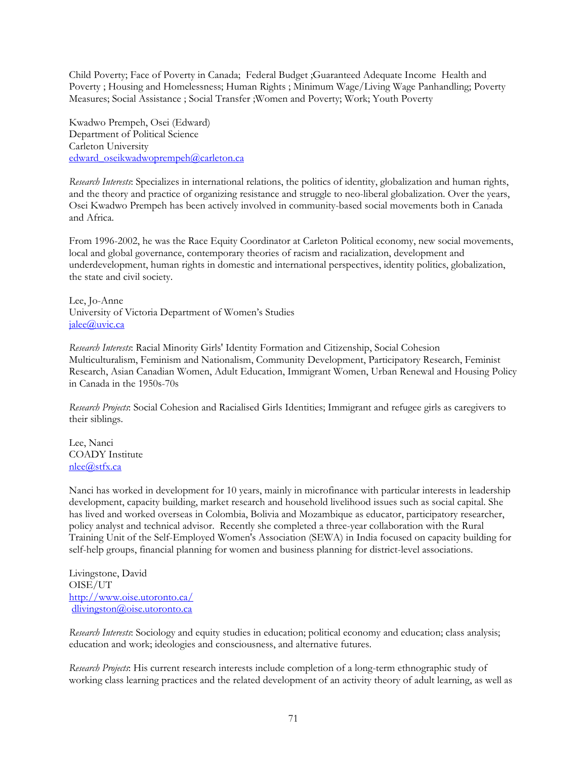Child Poverty; Face of Poverty in Canada; Federal Budget ;Guaranteed Adequate Income Health and Poverty ; Housing and Homelessness; Human Rights ; Minimum Wage/Living Wage Panhandling; Poverty Measures; Social Assistance ; Social Transfer ;Women and Poverty; Work; Youth Poverty

Kwadwo Prempeh, Osei (Edward) Department of Political Science Carleton University edward\_oseikwadwoprempeh@carleton.ca

*Research Interests*: Specializes in international relations, the politics of identity, globalization and human rights, and the theory and practice of organizing resistance and struggle to neo-liberal globalization. Over the years, Osei Kwadwo Prempeh has been actively involved in community-based social movements both in Canada and Africa.

From 1996-2002, he was the Race Equity Coordinator at Carleton Political economy, new social movements, local and global governance, contemporary theories of racism and racialization, development and underdevelopment, human rights in domestic and international perspectives, identity politics, globalization, the state and civil society.

Lee, Jo-Anne University of Victoria Department of Women's Studies jalee@uvic.ca

*Research Interests*: Racial Minority Girls' Identity Formation and Citizenship, Social Cohesion Multiculturalism, Feminism and Nationalism, Community Development, Participatory Research, Feminist Research, Asian Canadian Women, Adult Education, Immigrant Women, Urban Renewal and Housing Policy in Canada in the 1950s-70s

*Research Projects*: Social Cohesion and Racialised Girls Identities; Immigrant and refugee girls as caregivers to their siblings.

Lee, Nanci COADY Institute nlee@stfx.ca

Nanci has worked in development for 10 years, mainly in microfinance with particular interests in leadership development, capacity building, market research and household livelihood issues such as social capital. She has lived and worked overseas in Colombia, Bolivia and Mozambique as educator, participatory researcher, policy analyst and technical advisor. Recently she completed a three-year collaboration with the Rural Training Unit of the Self-Employed Women's Association (SEWA) in India focused on capacity building for self-help groups, financial planning for women and business planning for district-level associations.

Livingstone, David OISE/UT http://www.oise.utoronto.ca/ dlivingston@oise.utoronto.ca

*Research Interests*: Sociology and equity studies in education; political economy and education; class analysis; education and work; ideologies and consciousness, and alternative futures.

*Research Projects*: His current research interests include completion of a long-term ethnographic study of working class learning practices and the related development of an activity theory of adult learning, as well as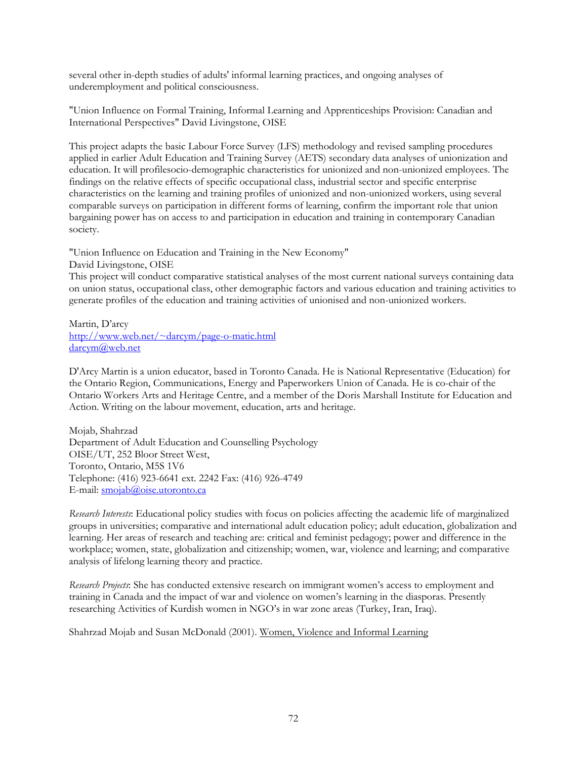several other in-depth studies of adults' informal learning practices, and ongoing analyses of underemployment and political consciousness.

"Union Influence on Formal Training, Informal Learning and Apprenticeships Provision: Canadian and International Perspectives" David Livingstone, OISE

This project adapts the basic Labour Force Survey (LFS) methodology and revised sampling procedures applied in earlier Adult Education and Training Survey (AETS) secondary data analyses of unionization and education. It will profilesocio-demographic characteristics for unionized and non-unionized employees. The findings on the relative effects of specific occupational class, industrial sector and specific enterprise characteristics on the learning and training profiles of unionized and non-unionized workers, using several comparable surveys on participation in different forms of learning, confirm the important role that union bargaining power has on access to and participation in education and training in contemporary Canadian society.

"Union Influence on Education and Training in the New Economy" David Livingstone, OISE

This project will conduct comparative statistical analyses of the most current national surveys containing data on union status, occupational class, other demographic factors and various education and training activities to generate profiles of the education and training activities of unionised and non-unionized workers.

Martin, D'arcy http://www.web.net/~darcym/page-o-matic.html darcym@web.net

D'Arcy Martin is a union educator, based in Toronto Canada. He is National Representative (Education) for the Ontario Region, Communications, Energy and Paperworkers Union of Canada. He is co-chair of the Ontario Workers Arts and Heritage Centre, and a member of the Doris Marshall Institute for Education and Action. Writing on the labour movement, education, arts and heritage.

Mojab, Shahrzad Department of Adult Education and Counselling Psychology OISE/UT, 252 Bloor Street West, Toronto, Ontario, M5S 1V6 Telephone: (416) 923-6641 ext. 2242 Fax: (416) 926-4749 E-mail: smojab@oise.utoronto.ca

*Research Interests*: Educational policy studies with focus on policies affecting the academic life of marginalized groups in universities; comparative and international adult education policy; adult education, globalization and learning. Her areas of research and teaching are: critical and feminist pedagogy; power and difference in the workplace; women, state, globalization and citizenship; women, war, violence and learning; and comparative analysis of lifelong learning theory and practice.

*Research Projects*: She has conducted extensive research on immigrant women's access to employment and training in Canada and the impact of war and violence on women's learning in the diasporas. Presently researching Activities of Kurdish women in NGO's in war zone areas (Turkey, Iran, Iraq).

Shahrzad Mojab and Susan McDonald (2001). Women, Violence and Informal Learning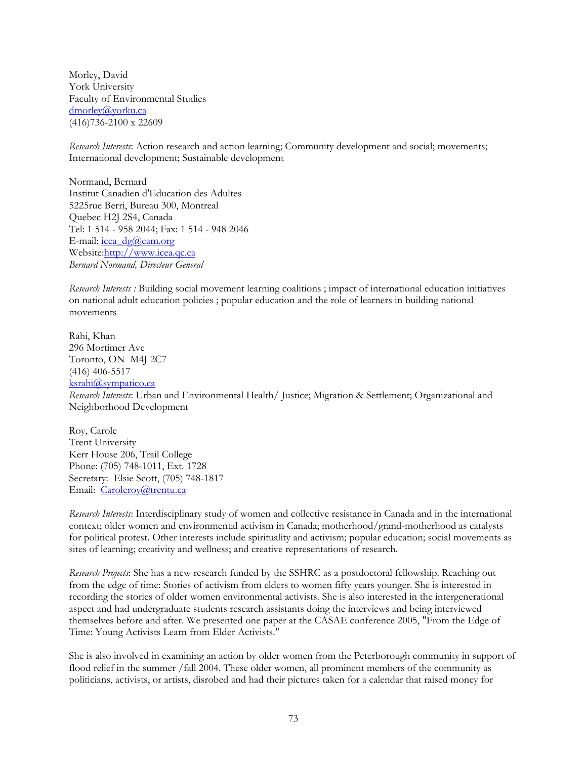Morley, David York University Faculty of Environmental Studies dmorley@yorku.ca (416)736-2100 x 22609

*Research Interests*: Action research and action learning; Community development and social; movements; International development; Sustainable development

Normand, Bernard Institut Canadien d'Education des Adultes 5225rue Berri, Bureau 300, Montreal Quebec H2J 2S4, Canada Tel: 1 514 - 958 2044; Fax: 1 514 - 948 2046 E-mail:  $i$ cea dg@cam.org Website:http://www.icea.qc.ca *Bernard Normand, Directeur General*

*Research Interests :* Building social movement learning coalitions ; impact of international education initiatives on national adult education policies ; popular education and the role of learners in building national movements

Rahi, Khan 296 Mortimer Ave Toronto, ON M4J 2C7 (416) 406-5517 ksrahi@sympatico.ca *Research Interests*: Urban and Environmental Health/ Justice; Migration & Settlement; Organizational and Neighborhood Development

Roy, Carole Trent University Kerr House 206, Trail College Phone: (705) 748-1011, Ext. 1728 Secretary: Elsie Scott, (705) 748-1817 Email: Caroleroy@trentu.ca

*Research Interests*: Interdisciplinary study of women and collective resistance in Canada and in the international context; older women and environmental activism in Canada; motherhood/grand-motherhood as catalysts for political protest. Other interests include spirituality and activism; popular education; social movements as sites of learning; creativity and wellness; and creative representations of research.

*Research Projects*: She has a new research funded by the SSHRC as a postdoctoral fellowship. Reaching out from the edge of time: Stories of activism from elders to women fifty years younger. She is interested in recording the stories of older women environmental activists. She is also interested in the intergenerational aspect and had undergraduate students research assistants doing the interviews and being interviewed themselves before and after. We presented one paper at the CASAE conference 2005, "From the Edge of Time: Young Activists Learn from Elder Activists."

She is also involved in examining an action by older women from the Peterborough community in support of flood relief in the summer /fall 2004. These older women, all prominent members of the community as politicians, activists, or artists, disrobed and had their pictures taken for a calendar that raised money for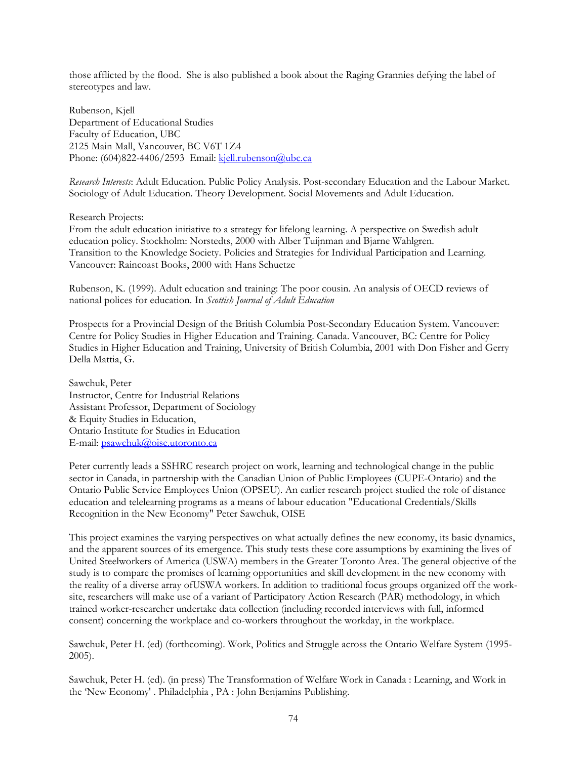those afflicted by the flood. She is also published a book about the Raging Grannies defying the label of stereotypes and law.

Rubenson, Kjell Department of Educational Studies Faculty of Education, UBC 2125 Main Mall, Vancouver, BC V6T 1Z4 Phone: (604)822-4406/2593 Email: kjell.rubenson@ubc.ca

*Research Interests*: Adult Education. Public Policy Analysis. Post-secondary Education and the Labour Market. Sociology of Adult Education. Theory Development. Social Movements and Adult Education.

Research Projects:

From the adult education initiative to a strategy for lifelong learning. A perspective on Swedish adult education policy. Stockholm: Norstedts, 2000 with Alber Tuijnman and Bjarne Wahlgren. Transition to the Knowledge Society. Policies and Strategies for Individual Participation and Learning. Vancouver: Raincoast Books, 2000 with Hans Schuetze

Rubenson, K. (1999). Adult education and training: The poor cousin. An analysis of OECD reviews of national polices for education. In *Scottish Journal of Adult Education*

Prospects for a Provincial Design of the British Columbia Post-Secondary Education System. Vancouver: Centre for Policy Studies in Higher Education and Training. Canada. Vancouver, BC: Centre for Policy Studies in Higher Education and Training, University of British Columbia, 2001 with Don Fisher and Gerry Della Mattia, G.

Sawchuk, Peter Instructor, Centre for Industrial Relations Assistant Professor, Department of Sociology & Equity Studies in Education, Ontario Institute for Studies in Education E-mail: psawchuk@oise.utoronto.ca

Peter currently leads a SSHRC research project on work, learning and technological change in the public sector in Canada, in partnership with the Canadian Union of Public Employees (CUPE-Ontario) and the Ontario Public Service Employees Union (OPSEU). An earlier research project studied the role of distance education and telelearning programs as a means of labour education "Educational Credentials/Skills Recognition in the New Economy" Peter Sawchuk, OISE

This project examines the varying perspectives on what actually defines the new economy, its basic dynamics, and the apparent sources of its emergence. This study tests these core assumptions by examining the lives of United Steelworkers of America (USWA) members in the Greater Toronto Area. The general objective of the study is to compare the promises of learning opportunities and skill development in the new economy with the reality of a diverse array ofUSWA workers. In addition to traditional focus groups organized off the worksite, researchers will make use of a variant of Participatory Action Research (PAR) methodology, in which trained worker-researcher undertake data collection (including recorded interviews with full, informed consent) concerning the workplace and co-workers throughout the workday, in the workplace.

Sawchuk, Peter H. (ed) (forthcoming). Work, Politics and Struggle across the Ontario Welfare System (1995- 2005).

Sawchuk, Peter H. (ed). (in press) The Transformation of Welfare Work in Canada : Learning, and Work in the 'New Economy' . Philadelphia , PA : John Benjamins Publishing.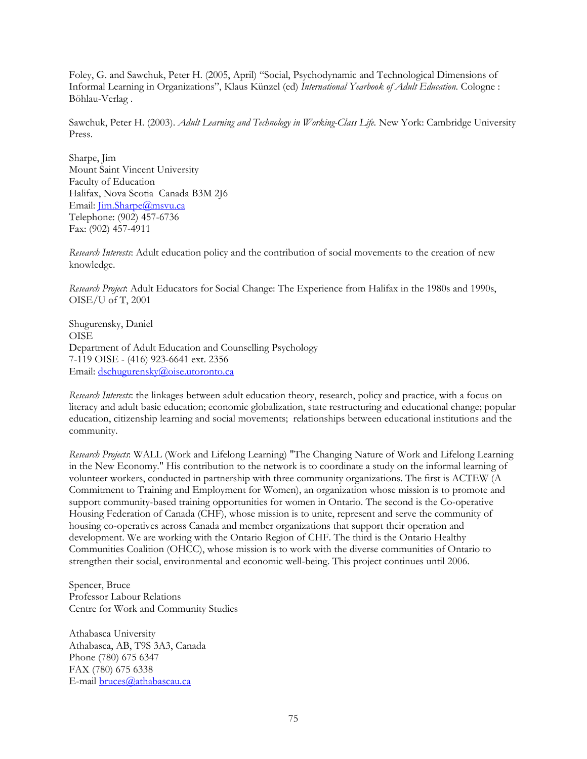Foley, G. and Sawchuk, Peter H. (2005, April) "Social, Psychodynamic and Technological Dimensions of Informal Learning in Organizations", Klaus Künzel (ed) *International Yearbook of Adult Education*. Cologne : Böhlau-Verlag .

Sawchuk, Peter H. (2003). *Adult Learning and Technology in Working-Class Life*. New York: Cambridge University Press.

Sharpe, Jim Mount Saint Vincent University Faculty of Education Halifax, Nova Scotia Canada B3M 2J6 Email: *Jim.Sharpe@msvu.ca* Telephone: (902) 457-6736 Fax: (902) 457-4911

*Research Interests*: Adult education policy and the contribution of social movements to the creation of new knowledge.

*Research Project*: Adult Educators for Social Change: The Experience from Halifax in the 1980s and 1990s, OISE/U of T, 2001

Shugurensky, Daniel OISE Department of Adult Education and Counselling Psychology 7-119 OISE - (416) 923-6641 ext. 2356 Email: dschugurensky@oise.utoronto.ca

*Research Interests*: the linkages between adult education theory, research, policy and practice, with a focus on literacy and adult basic education; economic globalization, state restructuring and educational change; popular education, citizenship learning and social movements; relationships between educational institutions and the community.

*Research Projects*: WALL (Work and Lifelong Learning) "The Changing Nature of Work and Lifelong Learning in the New Economy." His contribution to the network is to coordinate a study on the informal learning of volunteer workers, conducted in partnership with three community organizations. The first is ACTEW (A Commitment to Training and Employment for Women), an organization whose mission is to promote and support community-based training opportunities for women in Ontario. The second is the Co-operative Housing Federation of Canada (CHF), whose mission is to unite, represent and serve the community of housing co-operatives across Canada and member organizations that support their operation and development. We are working with the Ontario Region of CHF. The third is the Ontario Healthy Communities Coalition (OHCC), whose mission is to work with the diverse communities of Ontario to strengthen their social, environmental and economic well-being. This project continues until 2006.

Spencer, Bruce Professor Labour Relations Centre for Work and Community Studies

Athabasca University Athabasca, AB, T9S 3A3, Canada Phone (780) 675 6347 FAX (780) 675 6338 E-mail bruces@athabascau.ca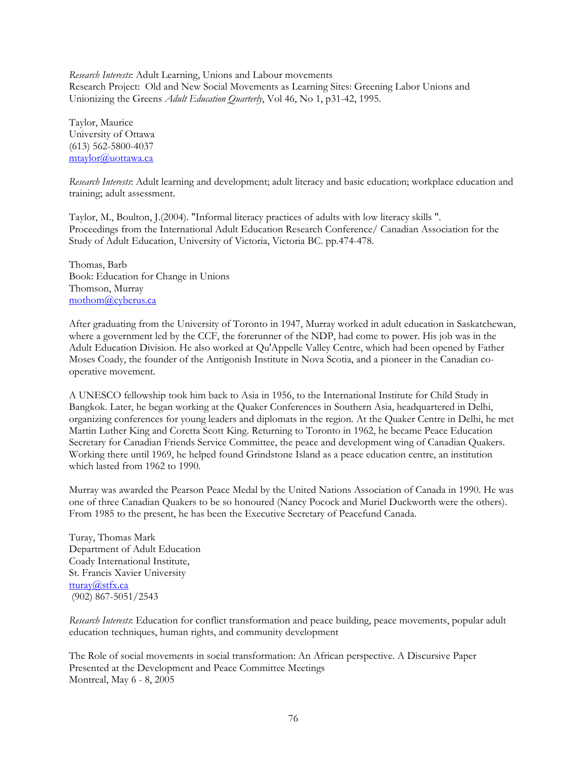*Research Interests*: Adult Learning, Unions and Labour movements Research Project: Old and New Social Movements as Learning Sites: Greening Labor Unions and Unionizing the Greens *Adult Education Quarterly*, Vol 46, No 1, p31-42, 1995.

Taylor, Maurice University of Ottawa (613) 562-5800-4037 mtaylor@uottawa.ca

*Research Interests*: Adult learning and development; adult literacy and basic education; workplace education and training; adult assessment.

Taylor, M., Boulton, J.(2004). "Informal literacy practices of adults with low literacy skills ". Proceedings from the International Adult Education Research Conference/ Canadian Association for the Study of Adult Education, University of Victoria, Victoria BC. pp.474-478.

Thomas, Barb Book: Education for Change in Unions Thomson, Murray mothom@cyberus.ca

After graduating from the University of Toronto in 1947, Murray worked in adult education in Saskatchewan, where a government led by the CCF, the forerunner of the NDP, had come to power. His job was in the Adult Education Division. He also worked at Qu'Appelle Valley Centre, which had been opened by Father Moses Coady, the founder of the Antigonish Institute in Nova Scotia, and a pioneer in the Canadian cooperative movement.

A UNESCO fellowship took him back to Asia in 1956, to the International Institute for Child Study in Bangkok. Later, he began working at the Quaker Conferences in Southern Asia, headquartered in Delhi, organizing conferences for young leaders and diplomats in the region. At the Quaker Centre in Delhi, he met Martin Luther King and Coretta Scott King. Returning to Toronto in 1962, he became Peace Education Secretary for Canadian Friends Service Committee, the peace and development wing of Canadian Quakers. Working there until 1969, he helped found Grindstone Island as a peace education centre, an institution which lasted from 1962 to 1990.

Murray was awarded the Pearson Peace Medal by the United Nations Association of Canada in 1990. He was one of three Canadian Quakers to be so honoured (Nancy Pocock and Muriel Duckworth were the others). From 1985 to the present, he has been the Executive Secretary of Peacefund Canada.

Turay, Thomas Mark Department of Adult Education Coady International Institute, St. Francis Xavier University tturay@stfx.ca (902) 867-5051/2543

*Research Interests*: Education for conflict transformation and peace building, peace movements, popular adult education techniques, human rights, and community development

The Role of social movements in social transformation: An African perspective. A Discursive Paper Presented at the Development and Peace Committee Meetings Montreal, May 6 - 8, 2005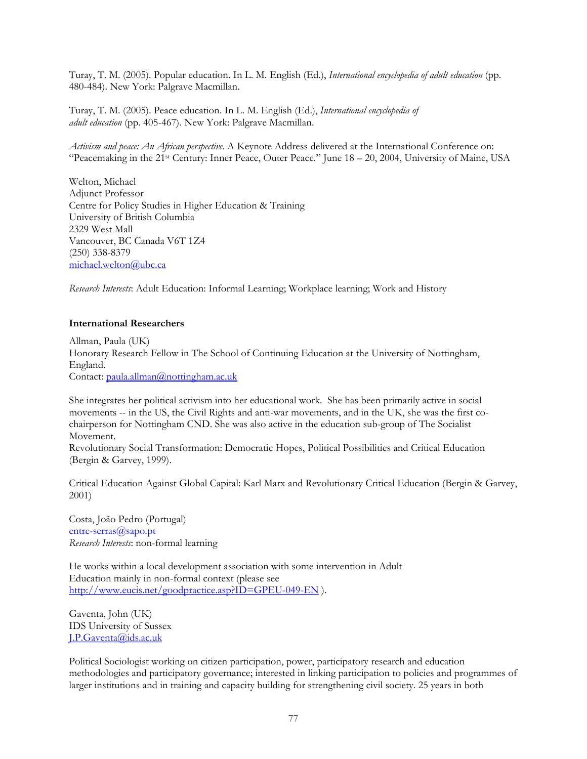Turay, T. M. (2005). Popular education. In L. M. English (Ed.), *International encyclopedia of adult education* (pp. 480-484). New York: Palgrave Macmillan.

Turay, T. M. (2005). Peace education. In L. M. English (Ed.), *International encyclopedia of adult education* (pp. 405-467). New York: Palgrave Macmillan.

*Activism and peace: An African perspective*. A Keynote Address delivered at the International Conference on: "Peacemaking in the 21st Century: Inner Peace, Outer Peace." June 18 – 20, 2004, University of Maine, USA

Welton, Michael Adjunct Professor Centre for Policy Studies in Higher Education & Training University of British Columbia 2329 West Mall Vancouver, BC Canada V6T 1Z4 (250) 338-8379 michael.welton@ubc.ca

*Research Interests*: Adult Education: Informal Learning; Workplace learning; Work and History

#### **International Researchers**

Allman, Paula (UK) Honorary Research Fellow in The School of Continuing Education at the University of Nottingham, England. Contact: paula.allman@nottingham.ac.uk

She integrates her political activism into her educational work. She has been primarily active in social movements -- in the US, the Civil Rights and anti-war movements, and in the UK, she was the first cochairperson for Nottingham CND. She was also active in the education sub-group of The Socialist Movement.

Revolutionary Social Transformation: Democratic Hopes, Political Possibilities and Critical Education (Bergin & Garvey, 1999).

Critical Education Against Global Capital: Karl Marx and Revolutionary Critical Education (Bergin & Garvey, 2001)

Costa, João Pedro (Portugal) entre-serras@sapo.pt *Research Interests*: non-formal learning

He works within a local development association with some intervention in Adult Education mainly in non-formal context (please see http://www.eucis.net/goodpractice.asp?ID=GPEU-049-EN ).

Gaventa, John (UK) IDS University of Sussex J.P.Gaventa@ids.ac.uk

Political Sociologist working on citizen participation, power, participatory research and education methodologies and participatory governance; interested in linking participation to policies and programmes of larger institutions and in training and capacity building for strengthening civil society. 25 years in both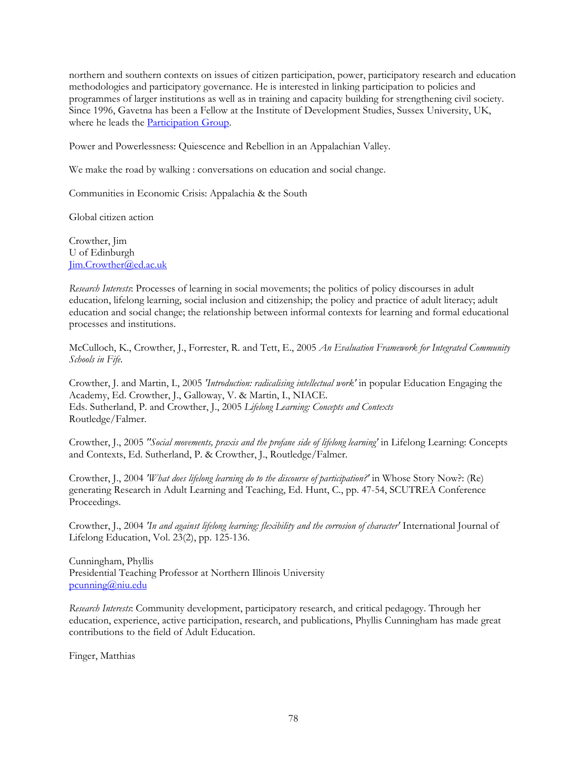northern and southern contexts on issues of citizen participation, power, participatory research and education methodologies and participatory governance. He is interested in linking participation to policies and programmes of larger institutions as well as in training and capacity building for strengthening civil society. Since 1996, Gavetna has been a Fellow at the Institute of Development Studies, Sussex University, UK, where he leads the Participation Group.

Power and Powerlessness: Quiescence and Rebellion in an Appalachian Valley.

We make the road by walking : conversations on education and social change.

Communities in Economic Crisis: Appalachia & the South

Global citizen action

Crowther, Jim U of Edinburgh Jim.Crowther@ed.ac.uk

*Research Interests*: Processes of learning in social movements; the politics of policy discourses in adult education, lifelong learning, social inclusion and citizenship; the policy and practice of adult literacy; adult education and social change; the relationship between informal contexts for learning and formal educational processes and institutions.

McCulloch, K., Crowther, J., Forrester, R. and Tett, E., 2005 *An Evaluation Framework for Integrated Community Schools in Fife*.

Crowther, J. and Martin, I., 2005 *'Introduction: radicalising intellectual work'* in popular Education Engaging the Academy, Ed. Crowther, J., Galloway, V. & Martin, I., NIACE. Eds. Sutherland, P. and Crowther, J., 2005 *Lifelong Learning: Concepts and Contexts* Routledge/Falmer.

Crowther, J., 2005 *"Social movements, praxis and the profane side of lifelong learning'* in Lifelong Learning: Concepts and Contexts, Ed. Sutherland, P. & Crowther, J., Routledge/Falmer.

Crowther, J., 2004 *'What does lifelong learning do to the discourse of participation?'* in Whose Story Now?: (Re) generating Research in Adult Learning and Teaching, Ed. Hunt, C., pp. 47-54, SCUTREA Conference Proceedings.

Crowther, J., 2004 *'In and against lifelong learning: flexibility and the corrosion of character'* International Journal of Lifelong Education, Vol. 23(2), pp. 125-136.

Cunningham, Phyllis Presidential Teaching Professor at Northern Illinois University pcunning@niu.edu

*Research Interests*: Community development, participatory research, and critical pedagogy. Through her education, experience, active participation, research, and publications, Phyllis Cunningham has made great contributions to the field of Adult Education.

Finger, Matthias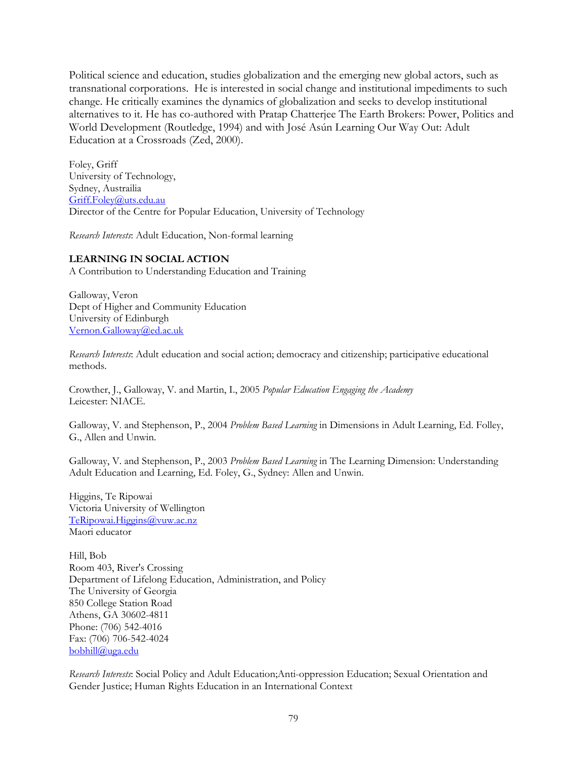Political science and education, studies globalization and the emerging new global actors, such as transnational corporations. He is interested in social change and institutional impediments to such change. He critically examines the dynamics of globalization and seeks to develop institutional alternatives to it. He has co-authored with Pratap Chatterjee The Earth Brokers: Power, Politics and World Development (Routledge, 1994) and with José Asún Learning Our Way Out: Adult Education at a Crossroads (Zed, 2000).

Foley, Griff University of Technology, Sydney, Austrailia Griff.Foley@uts.edu.au Director of the Centre for Popular Education, University of Technology

*Research Interests*: Adult Education, Non-formal learning

# **LEARNING IN SOCIAL ACTION**

A Contribution to Understanding Education and Training

Galloway, Veron Dept of Higher and Community Education University of Edinburgh Vernon.Galloway@ed.ac.uk

*Research Interests*: Adult education and social action; democracy and citizenship; participative educational methods.

Crowther, J., Galloway, V. and Martin, I., 2005 *Popular Education Engaging the Academy* Leicester: NIACE.

Galloway, V. and Stephenson, P., 2004 *Problem Based Learning* in Dimensions in Adult Learning, Ed. Folley, G., Allen and Unwin.

Galloway, V. and Stephenson, P., 2003 *Problem Based Learning* in The Learning Dimension: Understanding Adult Education and Learning, Ed. Foley, G., Sydney: Allen and Unwin.

Higgins, Te Ripowai Victoria University of Wellington TeRipowai.Higgins@vuw.ac.nz Maori educator

Hill, Bob Room 403, River's Crossing Department of Lifelong Education, Administration, and Policy The University of Georgia 850 College Station Road Athens, GA 30602-4811 Phone: (706) 542-4016 Fax: (706) 706-542-4024 bobhill@uga.edu

*Research Interests*: Social Policy and Adult Education;Anti-oppression Education; Sexual Orientation and Gender Justice; Human Rights Education in an International Context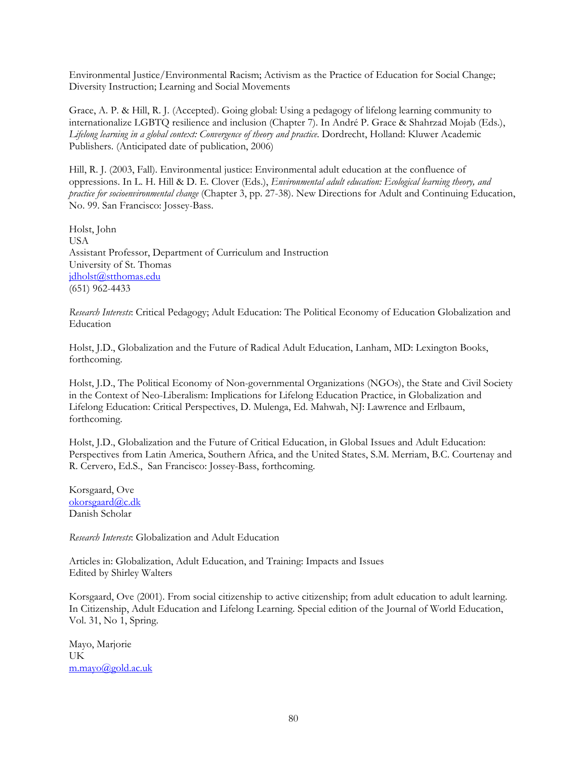Environmental Justice/Environmental Racism; Activism as the Practice of Education for Social Change; Diversity Instruction; Learning and Social Movements

Grace, A. P. & Hill, R. J. (Accepted). Going global: Using a pedagogy of lifelong learning community to internationalize LGBTQ resilience and inclusion (Chapter 7). In André P. Grace & Shahrzad Mojab (Eds.), *Lifelong learning in a global context: Convergence of theory and practice*. Dordrecht, Holland: Kluwer Academic Publishers. (Anticipated date of publication, 2006)

Hill, R. J. (2003, Fall). Environmental justice: Environmental adult education at the confluence of oppressions. In L. H. Hill & D. E. Clover (Eds.), *Environmental adult education: Ecological learning theory, and practice for socioenvironmental change* (Chapter 3, pp. 27-38). New Directions for Adult and Continuing Education, No. 99. San Francisco: Jossey-Bass.

Holst, John USA Assistant Professor, Department of Curriculum and Instruction University of St. Thomas jdholst@stthomas.edu (651) 962-4433

*Research Interests*: Critical Pedagogy; Adult Education: The Political Economy of Education Globalization and Education

Holst, J.D., Globalization and the Future of Radical Adult Education, Lanham, MD: Lexington Books, forthcoming.

Holst, J.D., The Political Economy of Non-governmental Organizations (NGOs), the State and Civil Society in the Context of Neo-Liberalism: Implications for Lifelong Education Practice, in Globalization and Lifelong Education: Critical Perspectives, D. Mulenga, Ed. Mahwah, NJ: Lawrence and Erlbaum, forthcoming.

Holst, J.D., Globalization and the Future of Critical Education, in Global Issues and Adult Education: Perspectives from Latin America, Southern Africa, and the United States, S.M. Merriam, B.C. Courtenay and R. Cervero, Ed.S., San Francisco: Jossey-Bass, forthcoming.

Korsgaard, Ove okorsgaard@c.dk Danish Scholar

*Research Interests*: Globalization and Adult Education

Articles in: Globalization, Adult Education, and Training: Impacts and Issues Edited by Shirley Walters

Korsgaard, Ove (2001). From social citizenship to active citizenship; from adult education to adult learning. In Citizenship, Adult Education and Lifelong Learning. Special edition of the Journal of World Education, Vol. 31, No 1, Spring.

Mayo, Marjorie UK m.mayo@gold.ac.uk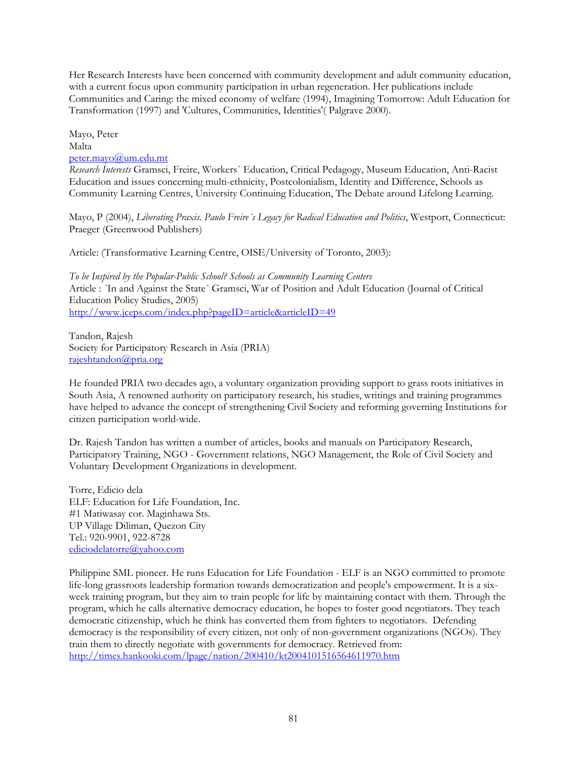Her Research Interests have been concerned with community development and adult community education, with a current focus upon community participation in urban regeneration. Her publications include Communities and Caring: the mixed economy of welfare (1994), Imagining Tomorrow: Adult Education for Transformation (1997) and 'Cultures, Communities, Identities'( Palgrave 2000).

Mayo, Peter Malta peter.mayo@um.edu.mt

*Research Interests* Gramsci, Freire, Workers´ Education, Critical Pedagogy, Museum Education, Anti-Racist Education and issues concerning multi-ethnicity, Postcolonialism, Identity and Difference, Schools as Community Learning Centres, University Continuing Education, The Debate around Lifelong Learning.

Mayo, P (2004), *Liberating Praxis. Paulo Freire´s Legacy for Radical Education and Politics*, Westport, Connecticut: Praeger (Greenwood Publishers)

Article: (Transformative Learning Centre, OISE/University of Toronto, 2003):

*To be Inspired by the Popular-Public School? Schools as Community Learning Centers* Article : ´In and Against the State´ Gramsci, War of Position and Adult Education (Journal of Critical Education Policy Studies, 2005) http://www.jceps.com/index.php?pageID=article&articleID=49

Tandon, Rajesh Society for Participatory Research in Asia (PRIA) rajeshtandon@pria.org

He founded PRIA two decades ago, a voluntary organization providing support to grass roots initiatives in South Asia, A renowned authority on participatory research, his studies, writings and training programmes have helped to advance the concept of strengthening Civil Society and reforming governing Institutions for citizen participation world-wide.

Dr. Rajesh Tandon has written a number of articles, books and manuals on Participatory Research, Participatory Training, NGO - Government relations, NGO Management, the Role of Civil Society and Voluntary Development Organizations in development.

Torre, Edicio dela ELF: Education for Life Foundation, Inc. #1 Matiwasay cor. Maginhawa Sts. UP Village Diliman, Quezon City Tel.: 920-9901, 922-8728 ediciodelatorre@yahoo.com

Philippine SML pioneer. He runs Education for Life Foundation - ELF is an NGO committed to promote life-long grassroots leadership formation towards democratization and people's empowerment. It is a sixweek training program, but they aim to train people for life by maintaining contact with them. Through the program, which he calls alternative democracy education, he hopes to foster good negotiators. They teach democratic citizenship, which he think has converted them from fighters to negotiators. Defending democracy is the responsibility of every citizen, not only of non-government organizations (NGOs). They train them to directly negotiate with governments for democracy. Retrieved from: http://times.hankooki.com/lpage/nation/200410/kt2004101516564611970.htm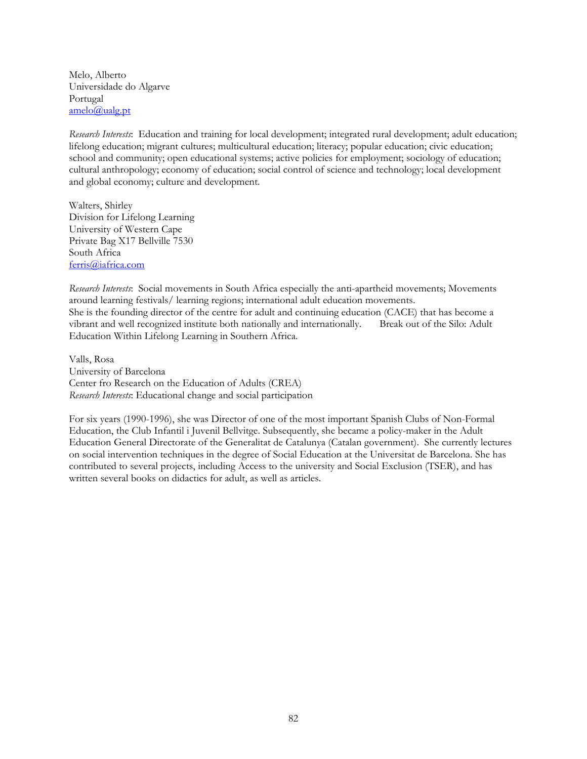Melo, Alberto Universidade do Algarve Portugal amelo@ualg.pt

*Research Interests*: Education and training for local development; integrated rural development; adult education; lifelong education; migrant cultures; multicultural education; literacy; popular education; civic education; school and community; open educational systems; active policies for employment; sociology of education; cultural anthropology; economy of education; social control of science and technology; local development and global economy; culture and development.

Walters, Shirley Division for Lifelong Learning University of Western Cape Private Bag X17 Bellville 7530 South Africa ferris@iafrica.com

*Research Interests*: Social movements in South Africa especially the anti-apartheid movements; Movements around learning festivals/ learning regions; international adult education movements. She is the founding director of the centre for adult and continuing education (CACE) that has become a vibrant and well recognized institute both nationally and internationally. Break out of the Silo: Adult Education Within Lifelong Learning in Southern Africa.

Valls, Rosa University of Barcelona Center fro Research on the Education of Adults (CREA) *Research Interests*: Educational change and social participation

For six years (1990-1996), she was Director of one of the most important Spanish Clubs of Non-Formal Education, the Club Infantil i Juvenil Bellvitge. Subsequently, she became a policy-maker in the Adult Education General Directorate of the Generalitat de Catalunya (Catalan government). She currently lectures on social intervention techniques in the degree of Social Education at the Universitat de Barcelona. She has contributed to several projects, including Access to the university and Social Exclusion (TSER), and has written several books on didactics for adult, as well as articles.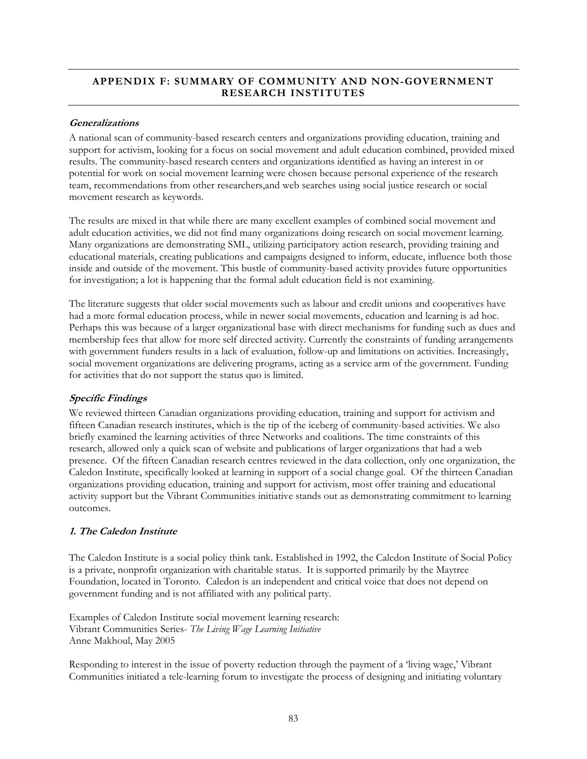# **APPENDIX F: SUMMARY OF COMMUNITY AND NON-GOVERNMENT RESEARCH INSTITUTES**

### **Generalizations**

A national scan of community-based research centers and organizations providing education, training and support for activism, looking for a focus on social movement and adult education combined, provided mixed results. The community-based research centers and organizations identified as having an interest in or potential for work on social movement learning were chosen because personal experience of the research team, recommendations from other researchers,and web searches using social justice research or social movement research as keywords.

The results are mixed in that while there are many excellent examples of combined social movement and adult education activities, we did not find many organizations doing research on social movement learning. Many organizations are demonstrating SML, utilizing participatory action research, providing training and educational materials, creating publications and campaigns designed to inform, educate, influence both those inside and outside of the movement. This bustle of community-based activity provides future opportunities for investigation; a lot is happening that the formal adult education field is not examining.

The literature suggests that older social movements such as labour and credit unions and cooperatives have had a more formal education process, while in newer social movements, education and learning is ad hoc. Perhaps this was because of a larger organizational base with direct mechanisms for funding such as dues and membership fees that allow for more self directed activity. Currently the constraints of funding arrangements with government funders results in a lack of evaluation, follow-up and limitations on activities. Increasingly, social movement organizations are delivering programs, acting as a service arm of the government. Funding for activities that do not support the status quo is limited.

# **Specific Findings**

We reviewed thirteen Canadian organizations providing education, training and support for activism and fifteen Canadian research institutes, which is the tip of the iceberg of community-based activities. We also briefly examined the learning activities of three Networks and coalitions. The time constraints of this research, allowed only a quick scan of website and publications of larger organizations that had a web presence. Of the fifteen Canadian research centres reviewed in the data collection, only one organization, the Caledon Institute, specifically looked at learning in support of a social change goal. Of the thirteen Canadian organizations providing education, training and support for activism, most offer training and educational activity support but the Vibrant Communities initiative stands out as demonstrating commitment to learning outcomes.

# **1. The Caledon Institute**

The Caledon Institute is a social policy think tank. Established in 1992, the Caledon Institute of Social Policy is a private, nonprofit organization with charitable status. It is supported primarily by the Maytree Foundation, located in Toronto. Caledon is an independent and critical voice that does not depend on government funding and is not affiliated with any political party.

Examples of Caledon Institute social movement learning research: Vibrant Communities Series- *The Living Wage Learning Initiative*  Anne Makhoul, May 2005

Responding to interest in the issue of poverty reduction through the payment of a 'living wage,' Vibrant Communities initiated a tele-learning forum to investigate the process of designing and initiating voluntary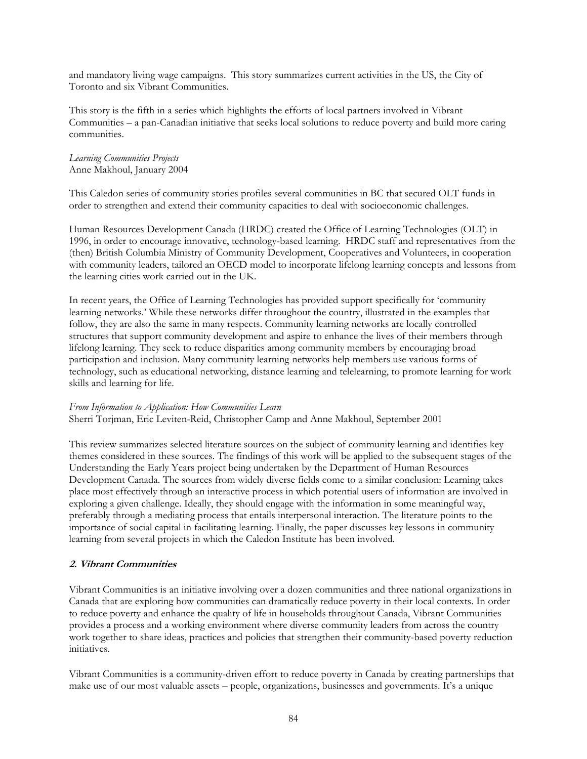and mandatory living wage campaigns. This story summarizes current activities in the US, the City of Toronto and six Vibrant Communities.

This story is the fifth in a series which highlights the efforts of local partners involved in Vibrant Communities – a pan-Canadian initiative that seeks local solutions to reduce poverty and build more caring communities.

# *Learning Communities Projects*  Anne Makhoul, January 2004

This Caledon series of community stories profiles several communities in BC that secured OLT funds in order to strengthen and extend their community capacities to deal with socioeconomic challenges.

Human Resources Development Canada (HRDC) created the Office of Learning Technologies (OLT) in 1996, in order to encourage innovative, technology-based learning. HRDC staff and representatives from the (then) British Columbia Ministry of Community Development, Cooperatives and Volunteers, in cooperation with community leaders, tailored an OECD model to incorporate lifelong learning concepts and lessons from the learning cities work carried out in the UK.

In recent years, the Office of Learning Technologies has provided support specifically for 'community learning networks.' While these networks differ throughout the country, illustrated in the examples that follow, they are also the same in many respects. Community learning networks are locally controlled structures that support community development and aspire to enhance the lives of their members through lifelong learning. They seek to reduce disparities among community members by encouraging broad participation and inclusion. Many community learning networks help members use various forms of technology, such as educational networking, distance learning and telelearning, to promote learning for work skills and learning for life.

#### *From Information to Application: How Communities Learn*  Sherri Torjman, Eric Leviten-Reid, Christopher Camp and Anne Makhoul, September 2001

This review summarizes selected literature sources on the subject of community learning and identifies key themes considered in these sources. The findings of this work will be applied to the subsequent stages of the Understanding the Early Years project being undertaken by the Department of Human Resources Development Canada. The sources from widely diverse fields come to a similar conclusion: Learning takes place most effectively through an interactive process in which potential users of information are involved in exploring a given challenge. Ideally, they should engage with the information in some meaningful way, preferably through a mediating process that entails interpersonal interaction. The literature points to the importance of social capital in facilitating learning. Finally, the paper discusses key lessons in community learning from several projects in which the Caledon Institute has been involved.

# **2. Vibrant Communities**

Vibrant Communities is an initiative involving over a dozen communities and three national organizations in Canada that are exploring how communities can dramatically reduce poverty in their local contexts. In order to reduce poverty and enhance the quality of life in households throughout Canada, Vibrant Communities provides a process and a working environment where diverse community leaders from across the country work together to share ideas, practices and policies that strengthen their community-based poverty reduction initiatives.

Vibrant Communities is a community-driven effort to reduce poverty in Canada by creating partnerships that make use of our most valuable assets – people, organizations, businesses and governments. It's a unique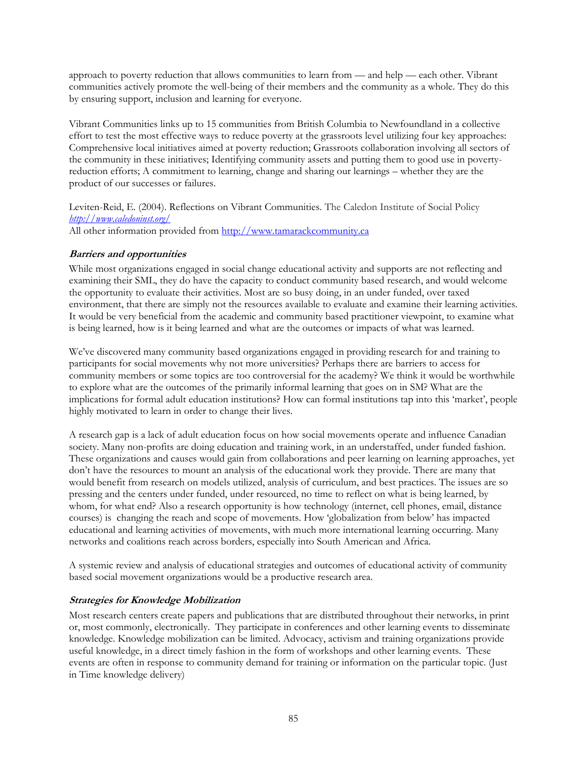approach to poverty reduction that allows communities to learn from — and help — each other. Vibrant communities actively promote the well-being of their members and the community as a whole. They do this by ensuring support, inclusion and learning for everyone.

Vibrant Communities links up to 15 communities from British Columbia to Newfoundland in a collective effort to test the most effective ways to reduce poverty at the grassroots level utilizing four key approaches: Comprehensive local initiatives aimed at poverty reduction; Grassroots collaboration involving all sectors of the community in these initiatives; Identifying community assets and putting them to good use in povertyreduction efforts; A commitment to learning, change and sharing our learnings – whether they are the product of our successes or failures.

Leviten-Reid, E. (2004). Reflections on Vibrant Communities. The Caledon Institute of Social Policy *http://www.caledoninst.org/* All other information provided from http://www.tamarackcommunity.ca

#### **Barriers and opportunities**

While most organizations engaged in social change educational activity and supports are not reflecting and examining their SML, they do have the capacity to conduct community based research, and would welcome the opportunity to evaluate their activities. Most are so busy doing, in an under funded, over taxed environment, that there are simply not the resources available to evaluate and examine their learning activities. It would be very beneficial from the academic and community based practitioner viewpoint, to examine what is being learned, how is it being learned and what are the outcomes or impacts of what was learned.

We've discovered many community based organizations engaged in providing research for and training to participants for social movements why not more universities? Perhaps there are barriers to access for community members or some topics are too controversial for the academy? We think it would be worthwhile to explore what are the outcomes of the primarily informal learning that goes on in SM? What are the implications for formal adult education institutions? How can formal institutions tap into this 'market', people highly motivated to learn in order to change their lives.

A research gap is a lack of adult education focus on how social movements operate and influence Canadian society. Many non-profits are doing education and training work, in an understaffed, under funded fashion. These organizations and causes would gain from collaborations and peer learning on learning approaches, yet don't have the resources to mount an analysis of the educational work they provide. There are many that would benefit from research on models utilized, analysis of curriculum, and best practices. The issues are so pressing and the centers under funded, under resourced, no time to reflect on what is being learned, by whom, for what end? Also a research opportunity is how technology (internet, cell phones, email, distance courses) is changing the reach and scope of movements. How 'globalization from below' has impacted educational and learning activities of movements, with much more international learning occurring. Many networks and coalitions reach across borders, especially into South American and Africa.

A systemic review and analysis of educational strategies and outcomes of educational activity of community based social movement organizations would be a productive research area.

# **Strategies for Knowledge Mobilization**

Most research centers create papers and publications that are distributed throughout their networks, in print or, most commonly, electronically. They participate in conferences and other learning events to disseminate knowledge. Knowledge mobilization can be limited. Advocacy, activism and training organizations provide useful knowledge, in a direct timely fashion in the form of workshops and other learning events. These events are often in response to community demand for training or information on the particular topic. (Just in Time knowledge delivery)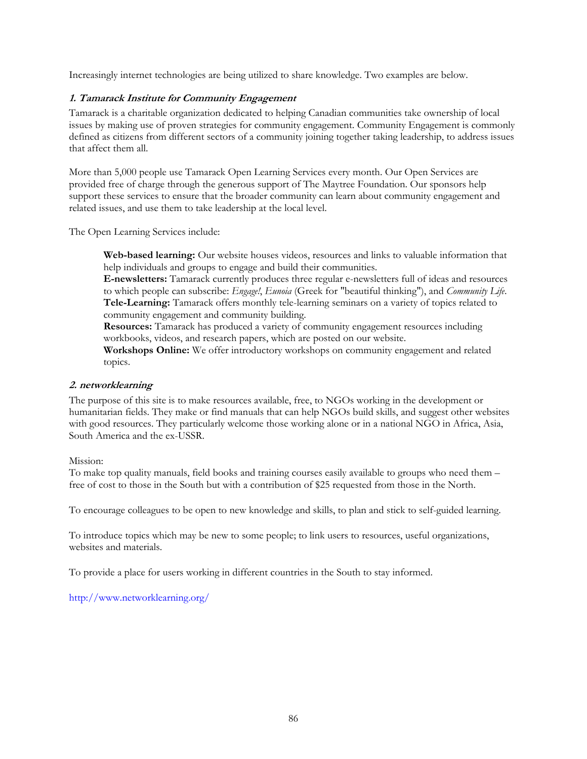Increasingly internet technologies are being utilized to share knowledge. Two examples are below.

# **1. Tamarack Institute for Community Engagement**

Tamarack is a charitable organization dedicated to helping Canadian communities take ownership of local issues by making use of proven strategies for community engagement. Community Engagement is commonly defined as citizens from different sectors of a community joining together taking leadership, to address issues that affect them all.

More than 5,000 people use Tamarack Open Learning Services every month. Our Open Services are provided free of charge through the generous support of The Maytree Foundation. Our sponsors help support these services to ensure that the broader community can learn about community engagement and related issues, and use them to take leadership at the local level.

The Open Learning Services include:

**Web-based learning:** Our website houses videos, resources and links to valuable information that help individuals and groups to engage and build their communities.

**E-newsletters:** Tamarack currently produces three regular e-newsletters full of ideas and resources to which people can subscribe: *Engage!*, *Eunoia* (Greek for "beautiful thinking"), and *Community Life*. **Tele-Learning:** Tamarack offers monthly tele-learning seminars on a variety of topics related to community engagement and community building.

**Resources:** Tamarack has produced a variety of community engagement resources including workbooks, videos, and research papers, which are posted on our website.

**Workshops Online:** We offer introductory workshops on community engagement and related topics.

# **2. networklearning**

The purpose of this site is to make resources available, free, to NGOs working in the development or humanitarian fields. They make or find manuals that can help NGOs build skills, and suggest other websites with good resources. They particularly welcome those working alone or in a national NGO in Africa, Asia, South America and the ex-USSR.

# Mission:

To make top quality manuals, field books and training courses easily available to groups who need them – free of cost to those in the South but with a contribution of \$25 requested from those in the North.

To encourage colleagues to be open to new knowledge and skills, to plan and stick to self-guided learning.

To introduce topics which may be new to some people; to link users to resources, useful organizations, websites and materials.

To provide a place for users working in different countries in the South to stay informed.

http://www.networklearning.org/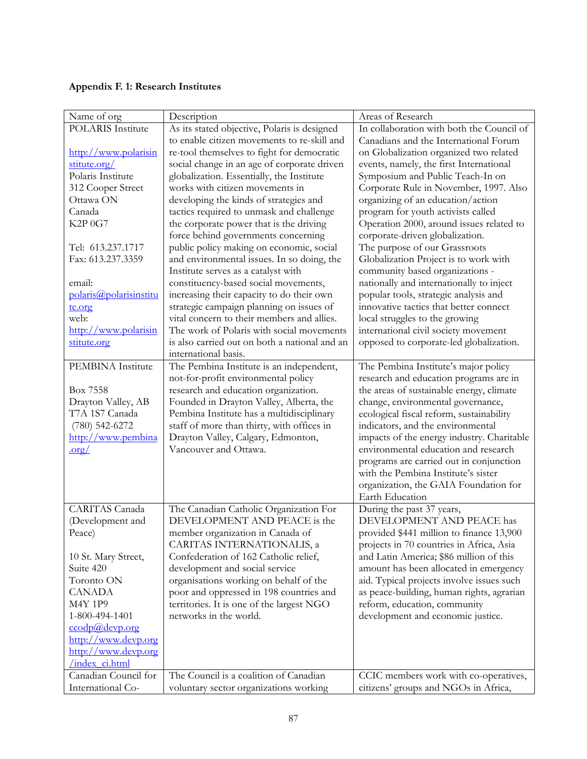# **Appendix F. 1: Research Institutes**

| Name of org              | Description                                   | Areas of Research                          |
|--------------------------|-----------------------------------------------|--------------------------------------------|
| <b>POLARIS</b> Institute | As its stated objective, Polaris is designed  | In collaboration with both the Council of  |
|                          | to enable citizen movements to re-skill and   | Canadians and the International Forum      |
| http://www.polarisin     | re-tool themselves to fight for democratic    | on Globalization organized two related     |
| stitute.org/             | social change in an age of corporate driven   | events, namely, the first International    |
| Polaris Institute        | globalization. Essentially, the Institute     | Symposium and Public Teach-In on           |
| 312 Cooper Street        | works with citizen movements in               | Corporate Rule in November, 1997. Also     |
| Ottawa ON                | developing the kinds of strategies and        | organizing of an education/action          |
| Canada                   | tactics required to unmask and challenge      | program for youth activists called         |
| K2P 0G7                  | the corporate power that is the driving       | Operation 2000, around issues related to   |
|                          | force behind governments concerning           | corporate-driven globalization.            |
| Tel: 613.237.1717        | public policy making on economic, social      | The purpose of our Grassroots              |
| Fax: 613.237.3359        | and environmental issues. In so doing, the    | Globalization Project is to work with      |
|                          | Institute serves as a catalyst with           | community based organizations -            |
| email:                   | constituency-based social movements,          | nationally and internationally to inject   |
| polaris@polarisinstitu   | increasing their capacity to do their own     | popular tools, strategic analysis and      |
| te.org                   | strategic campaign planning on issues of      | innovative tactics that better connect     |
| web:                     | vital concern to their members and allies.    | local struggles to the growing             |
| http://www.polarisin     | The work of Polaris with social movements     | international civil society movement       |
| stitute.org              | is also carried out on both a national and an | opposed to corporate-led globalization.    |
|                          | international basis.                          |                                            |
| PEMBINA Institute        | The Pembina Institute is an independent,      | The Pembina Institute's major policy       |
|                          | not-for-profit environmental policy           | research and education programs are in     |
| Box 7558                 | research and education organization.          | the areas of sustainable energy, climate   |
| Drayton Valley, AB       | Founded in Drayton Valley, Alberta, the       | change, environmental governance,          |
| T7A 1S7 Canada           | Pembina Institute has a multidisciplinary     | ecological fiscal reform, sustainability   |
| $(780)$ 542-6272         | staff of more than thirty, with offices in    | indicators, and the environmental          |
| http://www.pembina       | Drayton Valley, Calgary, Edmonton,            | impacts of the energy industry. Charitable |
| $.$ org $/$              | Vancouver and Ottawa.                         | environmental education and research       |
|                          |                                               | programs are carried out in conjunction    |
|                          |                                               | with the Pembina Institute's sister        |
|                          |                                               | organization, the GAIA Foundation for      |
|                          |                                               | Earth Education                            |
| CARITAS Canada           | The Canadian Catholic Organization For        | During the past 37 years,                  |
| (Development and         | DEVELOPMENT AND PEACE is the                  | DEVELOPMENT AND PEACE has                  |
| Peace)                   | member organization in Canada of              | provided \$441 million to finance 13,900   |
|                          | CARITAS INTERNATIONALIS, a                    | projects in 70 countries in Africa, Asia   |
| 10 St. Mary Street,      | Confederation of 162 Catholic relief,         | and Latin America; \$86 million of this    |
| Suite 420                | development and social service                | amount has been allocated in emergency     |
| Toronto ON               | organisations working on behalf of the        | aid. Typical projects involve issues such  |
| <b>CANADA</b>            | poor and oppressed in 198 countries and       | as peace-building, human rights, agrarian  |
| <b>M4Y 1P9</b>           | territories. It is one of the largest NGO     | reform, education, community               |
| 1-800-494-1401           | networks in the world.                        | development and economic justice.          |
| ccodp@devp.org           |                                               |                                            |
| http://www.devp.org      |                                               |                                            |
| http://www.devp.org      |                                               |                                            |
| index ci.html            |                                               |                                            |
| Canadian Council for     | The Council is a coalition of Canadian        | CCIC members work with co-operatives,      |
| International Co-        | voluntary sector organizations working        | citizens' groups and NGOs in Africa,       |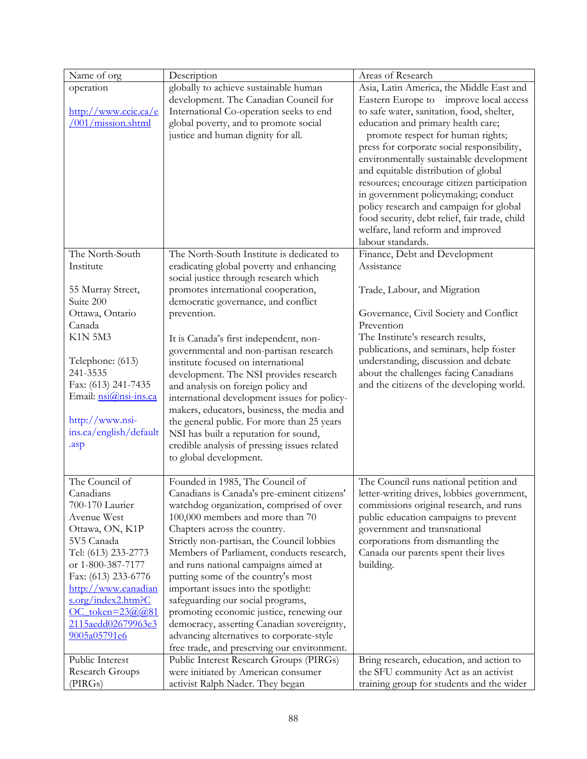| Name of org                                                                                                                                                                                                                                                                                | Description                                                                                                                                                                                                                                                                                                                                                                                                                                                                                                                                                                                                                                                                                          | Areas of Research                                                                                                                                                                                                                                                                                                                                                                                                                                                                                                                                                                      |
|--------------------------------------------------------------------------------------------------------------------------------------------------------------------------------------------------------------------------------------------------------------------------------------------|------------------------------------------------------------------------------------------------------------------------------------------------------------------------------------------------------------------------------------------------------------------------------------------------------------------------------------------------------------------------------------------------------------------------------------------------------------------------------------------------------------------------------------------------------------------------------------------------------------------------------------------------------------------------------------------------------|----------------------------------------------------------------------------------------------------------------------------------------------------------------------------------------------------------------------------------------------------------------------------------------------------------------------------------------------------------------------------------------------------------------------------------------------------------------------------------------------------------------------------------------------------------------------------------------|
| operation<br>http://www.ccic.ca/e<br>/001/mission.shtml                                                                                                                                                                                                                                    | globally to achieve sustainable human<br>development. The Canadian Council for<br>International Co-operation seeks to end<br>global poverty, and to promote social<br>justice and human dignity for all.                                                                                                                                                                                                                                                                                                                                                                                                                                                                                             | Asia, Latin America, the Middle East and<br>Eastern Europe to improve local access<br>to safe water, sanitation, food, shelter,<br>education and primary health care;<br>promote respect for human rights;<br>press for corporate social responsibility,<br>environmentally sustainable development<br>and equitable distribution of global<br>resources; encourage citizen participation<br>in government policymaking; conduct<br>policy research and campaign for global<br>food security, debt relief, fair trade, child<br>welfare, land reform and improved<br>labour standards. |
| The North-South<br>Institute<br>55 Murray Street,<br>Suite 200<br>Ottawa, Ontario<br>Canada<br><b>K1N 5M3</b><br>Telephone: (613)<br>241-3535<br>Fax: (613) 241-7435<br>Email: nsi@nsi-ins.ca<br>http://www.nsi-<br>ins.ca/english/default<br>.asp                                         | The North-South Institute is dedicated to<br>eradicating global poverty and enhancing<br>social justice through research which<br>promotes international cooperation,<br>democratic governance, and conflict<br>prevention.<br>It is Canada's first independent, non-<br>governmental and non-partisan research<br>institute focused on international<br>development. The NSI provides research<br>and analysis on foreign policy and<br>international development issues for policy-<br>makers, educators, business, the media and<br>the general public. For more than 25 years<br>NSI has built a reputation for sound,<br>credible analysis of pressing issues related<br>to global development. | Finance, Debt and Development<br>Assistance<br>Trade, Labour, and Migration<br>Governance, Civil Society and Conflict<br>Prevention<br>The Institute's research results,<br>publications, and seminars, help foster<br>understanding, discussion and debate<br>about the challenges facing Canadians<br>and the citizens of the developing world.                                                                                                                                                                                                                                      |
| The Council of<br>Canadians<br>700-170 Laurier<br>Avenue West<br>Ottawa, ON, K1P<br>5V5 Canada<br>Tel: (613) 233-2773<br>or 1-800-387-7177<br>Fax: (613) 233-6776<br>http://www.canadian<br>s.org/index2.htm?C<br>OC token=23@@81<br>2115aedd02679963e3<br>9005a05791e6<br>Public Interest | Founded in 1985, The Council of<br>Canadians is Canada's pre-eminent citizens'<br>watchdog organization, comprised of over<br>100,000 members and more than 70<br>Chapters across the country.<br>Strictly non-partisan, the Council lobbies<br>Members of Parliament, conducts research,<br>and runs national campaigns aimed at<br>putting some of the country's most<br>important issues into the spotlight:<br>safeguarding our social programs,<br>promoting economic justice, renewing our<br>democracy, asserting Canadian sovereignty,<br>advancing alternatives to corporate-style<br>free trade, and preserving our environment.<br>Public Interest Research Groups (PIRGs)                | The Council runs national petition and<br>letter-writing drives, lobbies government,<br>commissions original research, and runs<br>public education campaigns to prevent<br>government and transnational<br>corporations from dismantling the<br>Canada our parents spent their lives<br>building.<br>Bring research, education, and action to                                                                                                                                                                                                                                         |
| Research Groups<br>(PIRGs)                                                                                                                                                                                                                                                                 | were initiated by American consumer<br>activist Ralph Nader. They began                                                                                                                                                                                                                                                                                                                                                                                                                                                                                                                                                                                                                              | the SFU community Act as an activist<br>training group for students and the wider                                                                                                                                                                                                                                                                                                                                                                                                                                                                                                      |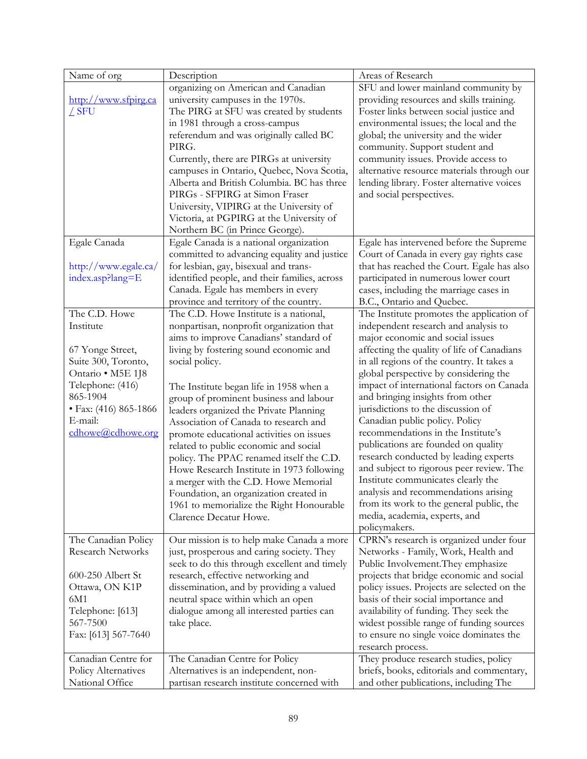| Name of org                                     | Description                                                                    | Areas of Research                                                              |
|-------------------------------------------------|--------------------------------------------------------------------------------|--------------------------------------------------------------------------------|
|                                                 | organizing on American and Canadian                                            | SFU and lower mainland community by                                            |
| http://www.sfpirg.ca                            | university campuses in the 1970s.                                              | providing resources and skills training.                                       |
| ∠ SFU                                           | The PIRG at SFU was created by students                                        | Foster links between social justice and                                        |
|                                                 | in 1981 through a cross-campus                                                 | environmental issues; the local and the                                        |
|                                                 | referendum and was originally called BC                                        | global; the university and the wider                                           |
|                                                 | PIRG.                                                                          | community. Support student and                                                 |
|                                                 | Currently, there are PIRGs at university                                       | community issues. Provide access to                                            |
|                                                 | campuses in Ontario, Quebec, Nova Scotia,                                      | alternative resource materials through our                                     |
|                                                 | Alberta and British Columbia. BC has three                                     | lending library. Foster alternative voices                                     |
|                                                 | PIRGs - SFPIRG at Simon Fraser                                                 | and social perspectives.                                                       |
|                                                 | University, VIPIRG at the University of                                        |                                                                                |
|                                                 | Victoria, at PGPIRG at the University of                                       |                                                                                |
|                                                 | Northern BC (in Prince George).                                                |                                                                                |
| Egale Canada                                    | Egale Canada is a national organization                                        | Egale has intervened before the Supreme                                        |
|                                                 | committed to advancing equality and justice                                    | Court of Canada in every gay rights case                                       |
| http://www.egale.ca/                            | for lesbian, gay, bisexual and trans-                                          | that has reached the Court. Egale has also                                     |
| index.asp?lang=E                                | identified people, and their families, across                                  | participated in numerous lower court                                           |
|                                                 | Canada. Egale has members in every                                             | cases, including the marriage cases in                                         |
|                                                 | province and territory of the country.                                         | B.C., Ontario and Quebec.                                                      |
| The C.D. Howe                                   | The C.D. Howe Institute is a national,                                         | The Institute promotes the application of                                      |
| Institute                                       | nonpartisan, nonprofit organization that                                       | independent research and analysis to                                           |
|                                                 | aims to improve Canadians' standard of                                         | major economic and social issues                                               |
| 67 Yonge Street,                                | living by fostering sound economic and                                         | affecting the quality of life of Canadians                                     |
| Suite 300, Toronto,                             | social policy.                                                                 | in all regions of the country. It takes a                                      |
| Ontario · M5E 1J8                               |                                                                                | global perspective by considering the                                          |
| Telephone: (416)                                | The Institute began life in 1958 when a                                        | impact of international factors on Canada                                      |
| 865-1904                                        | group of prominent business and labour                                         | and bringing insights from other                                               |
| • Fax: (416) 865-1866                           | leaders organized the Private Planning                                         | jurisdictions to the discussion of                                             |
| E-mail:                                         | Association of Canada to research and                                          | Canadian public policy. Policy                                                 |
| cdhowe@cdhowe.org                               | promote educational activities on issues                                       | recommendations in the Institute's                                             |
|                                                 | related to public economic and social                                          | publications are founded on quality                                            |
|                                                 | policy. The PPAC renamed itself the C.D.                                       | research conducted by leading experts                                          |
|                                                 | Howe Research Institute in 1973 following                                      | and subject to rigorous peer review. The                                       |
|                                                 | a merger with the C.D. Howe Memorial                                           | Institute communicates clearly the                                             |
|                                                 | Foundation, an organization created in                                         | analysis and recommendations arising                                           |
|                                                 | 1961 to memorialize the Right Honourable                                       | from its work to the general public, the                                       |
|                                                 | Clarence Decatur Howe.                                                         | media, academia, experts, and                                                  |
|                                                 |                                                                                | policymakers.                                                                  |
| The Canadian Policy<br><b>Research Networks</b> | Our mission is to help make Canada a more                                      | CPRN's research is organized under four                                        |
|                                                 | just, prosperous and caring society. They                                      | Networks - Family, Work, Health and                                            |
| 600-250 Albert St                               | seek to do this through excellent and timely                                   | Public Involvement. They emphasize<br>projects that bridge economic and social |
| Ottawa, ON K1P                                  | research, effective networking and<br>dissemination, and by providing a valued | policy issues. Projects are selected on the                                    |
| 6M1                                             | neutral space within which an open                                             | basis of their social importance and                                           |
| Telephone: [613]                                | dialogue among all interested parties can                                      | availability of funding. They seek the                                         |
| 567-7500                                        | take place.                                                                    | widest possible range of funding sources                                       |
| Fax: [613] 567-7640                             |                                                                                | to ensure no single voice dominates the                                        |
|                                                 |                                                                                | research process.                                                              |
| Canadian Centre for                             | The Canadian Centre for Policy                                                 | They produce research studies, policy                                          |
| Policy Alternatives                             | Alternatives is an independent, non-                                           | briefs, books, editorials and commentary,                                      |
| National Office                                 | partisan research institute concerned with                                     | and other publications, including The                                          |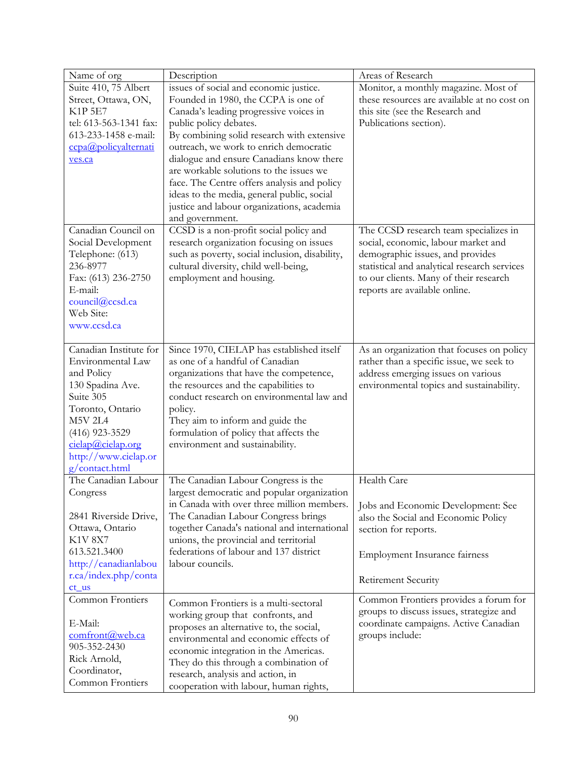| Name of org            | Description                                                                | Areas of Research                            |
|------------------------|----------------------------------------------------------------------------|----------------------------------------------|
| Suite 410, 75 Albert   | issues of social and economic justice.                                     | Monitor, a monthly magazine. Most of         |
| Street, Ottawa, ON,    | Founded in 1980, the CCPA is one of                                        | these resources are available at no cost on  |
| <b>K1P 5E7</b>         | Canada's leading progressive voices in                                     | this site (see the Research and              |
| tel: 613-563-1341 fax: | public policy debates.                                                     | Publications section).                       |
| 613-233-1458 e-mail:   | By combining solid research with extensive                                 |                                              |
| ccpa@policyalternati   | outreach, we work to enrich democratic                                     |                                              |
| ves.ca                 | dialogue and ensure Canadians know there                                   |                                              |
|                        | are workable solutions to the issues we                                    |                                              |
|                        | face. The Centre offers analysis and policy                                |                                              |
|                        | ideas to the media, general public, social                                 |                                              |
|                        | justice and labour organizations, academia                                 |                                              |
|                        | and government.                                                            |                                              |
| Canadian Council on    | CCSD is a non-profit social policy and                                     | The CCSD research team specializes in        |
| Social Development     | research organization focusing on issues                                   | social, economic, labour market and          |
| Telephone: (613)       | such as poverty, social inclusion, disability,                             | demographic issues, and provides             |
| 236-8977               | cultural diversity, child well-being,                                      | statistical and analytical research services |
| Fax: (613) 236-2750    | employment and housing.                                                    | to our clients. Many of their research       |
| E-mail:                |                                                                            | reports are available online.                |
| council@ccsd.ca        |                                                                            |                                              |
| Web Site:              |                                                                            |                                              |
| www.ccsd.ca            |                                                                            |                                              |
|                        |                                                                            |                                              |
| Canadian Institute for | Since 1970, CIELAP has established itself                                  | As an organization that focuses on policy    |
| Environmental Law      | as one of a handful of Canadian                                            | rather than a specific issue, we seek to     |
| and Policy             | organizations that have the competence,                                    | address emerging issues on various           |
| 130 Spadina Ave.       | the resources and the capabilities to                                      | environmental topics and sustainability.     |
| Suite 305              | conduct research on environmental law and                                  |                                              |
| Toronto, Ontario       | policy.                                                                    |                                              |
| M5V 2L4                | They aim to inform and guide the                                           |                                              |
| $(416)$ 923-3529       | formulation of policy that affects the                                     |                                              |
| cielap@cielap.org      | environment and sustainability.                                            |                                              |
| http://www.cielap.or   |                                                                            |                                              |
| g/contact.html         |                                                                            |                                              |
| The Canadian Labour    | The Canadian Labour Congress is the                                        | Health Care                                  |
| Congress               | largest democratic and popular organization                                |                                              |
|                        | in Canada with over three million members.                                 | Jobs and Economic Development: See           |
| 2841 Riverside Drive,  | The Canadian Labour Congress brings                                        | also the Social and Economic Policy          |
| Ottawa, Ontario        | together Canada's national and international                               | section for reports.                         |
| <b>K1V 8X7</b>         | unions, the provincial and territorial                                     |                                              |
| 613.521.3400           | federations of labour and 137 district                                     | Employment Insurance fairness                |
| http://canadianlabou   | labour councils.                                                           |                                              |
| r.ca/index.php/conta   |                                                                            |                                              |
| $ct_{us}$              |                                                                            | Retirement Security                          |
| Common Frontiers       | Common Frontiers is a multi-sectoral                                       | Common Frontiers provides a forum for        |
|                        | working group that confronts, and                                          | groups to discuss issues, strategize and     |
| E-Mail:                | proposes an alternative to, the social,                                    | coordinate campaigns. Active Canadian        |
| comfront@web.ca        | environmental and economic effects of                                      | groups include:                              |
| 905-352-2430           |                                                                            |                                              |
| Rick Arnold,           |                                                                            |                                              |
|                        | economic integration in the Americas.                                      |                                              |
| Coordinator,           | They do this through a combination of<br>research, analysis and action, in |                                              |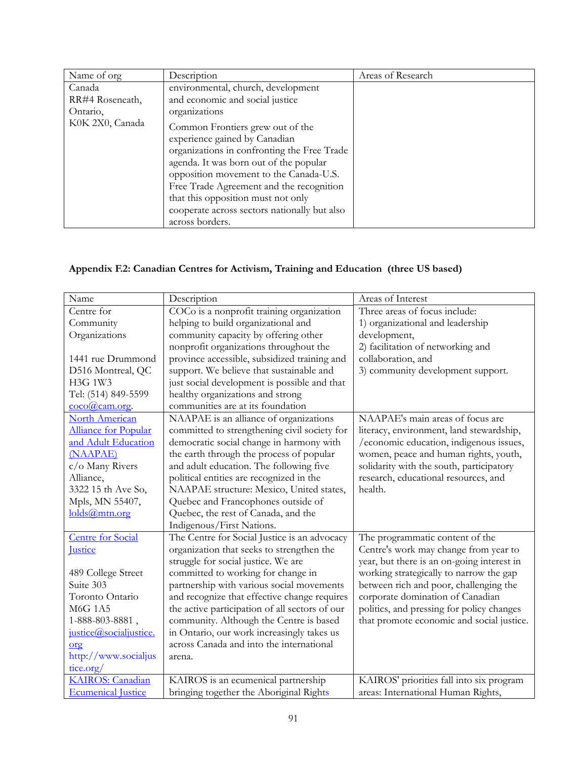| Name of org     | Description                                  | Areas of Research |
|-----------------|----------------------------------------------|-------------------|
| Canada          | environmental, church, development           |                   |
| RR#4 Roseneath, | and economic and social justice              |                   |
| Ontario,        | organizations                                |                   |
| K0K 2X0, Canada | Common Frontiers grew out of the             |                   |
|                 | experience gained by Canadian                |                   |
|                 | organizations in confronting the Free Trade  |                   |
|                 | agenda. It was born out of the popular       |                   |
|                 | opposition movement to the Canada-U.S.       |                   |
|                 | Free Trade Agreement and the recognition     |                   |
|                 | that this opposition must not only           |                   |
|                 | cooperate across sectors nationally but also |                   |
|                 | across borders.                              |                   |

# **Appendix F.2: Canadian Centres for Activism, Training and Education (three US based)**

| Name                           | Description                                    | Areas of Interest                          |
|--------------------------------|------------------------------------------------|--------------------------------------------|
| Centre for                     | COCo is a nonprofit training organization      | Three areas of focus include:              |
| Community                      | helping to build organizational and            | 1) organizational and leadership           |
| Organizations                  | community capacity by offering other           | development,                               |
|                                | nonprofit organizations throughout the         | 2) facilitation of networking and          |
| 1441 rue Drummond              | province accessible, subsidized training and   | collaboration, and                         |
| D516 Montreal, QC              | support. We believe that sustainable and       | 3) community development support.          |
| H3G 1W3                        | just social development is possible and that   |                                            |
| Tel: (514) 849-5599            | healthy organizations and strong               |                                            |
| $\frac{\text{coco@cam.org}}{}$ | communities are at its foundation              |                                            |
| <b>North American</b>          | NAAPAE is an alliance of organizations         | NAAPAE's main areas of focus are           |
| Alliance for Popular           | committed to strengthening civil society for   | literacy, environment, land stewardship,   |
| and Adult Education            | democratic social change in harmony with       | /economic education, indigenous issues,    |
| (NAAPAE)                       | the earth through the process of popular       | women, peace and human rights, youth,      |
| c/o Many Rivers                | and adult education. The following five        | solidarity with the south, participatory   |
| Alliance,                      | political entities are recognized in the       | research, educational resources, and       |
| 3322 15 th Ave So,             | NAAPAE structure: Mexico, United states,       | health.                                    |
| Mpls, MN 55407,                | Quebec and Francophones outside of             |                                            |
| holds@mtn.org                  | Quebec, the rest of Canada, and the            |                                            |
|                                | Indigenous/First Nations.                      |                                            |
| <b>Centre for Social</b>       | The Centre for Social Justice is an advocacy   | The programmatic content of the            |
| <b>Justice</b>                 | organization that seeks to strengthen the      | Centre's work may change from year to      |
|                                | struggle for social justice. We are            | year, but there is an on-going interest in |
| 489 College Street             | committed to working for change in             | working strategically to narrow the gap    |
| Suite 303                      | partnership with various social movements      | between rich and poor, challenging the     |
| Toronto Ontario                | and recognize that effective change requires   | corporate domination of Canadian           |
| <b>M6G 1A5</b>                 | the active participation of all sectors of our | politics, and pressing for policy changes  |
| 1-888-803-8881,                | community. Although the Centre is based        | that promote economic and social justice.  |
| justice@socialjustice.         | in Ontario, our work increasingly takes us     |                                            |
| org                            | across Canada and into the international       |                                            |
| http://www.socialjus           | arena.                                         |                                            |
| tice.org/                      |                                                |                                            |
| <b>KAIROS</b> : Canadian       | KAIROS is an ecumenical partnership            | KAIROS' priorities fall into six program   |
| <b>Ecumenical Justice</b>      | bringing together the Aboriginal Rights        | areas: International Human Rights,         |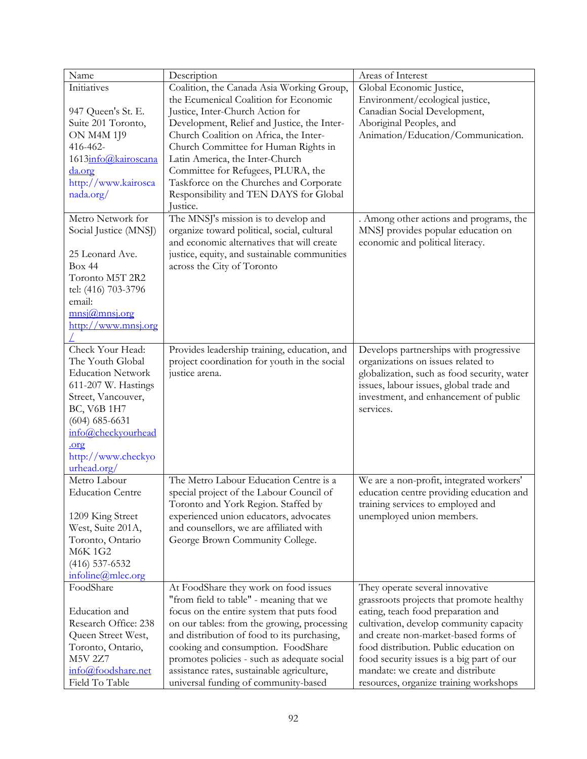| Name                                     | Description                                  | Areas of Interest                           |
|------------------------------------------|----------------------------------------------|---------------------------------------------|
| Initiatives                              | Coalition, the Canada Asia Working Group,    | Global Economic Justice,                    |
|                                          | the Ecumenical Coalition for Economic        | Environment/ecological justice,             |
| 947 Queen's St. E.                       | Justice, Inter-Church Action for             | Canadian Social Development,                |
| Suite 201 Toronto,                       | Development, Relief and Justice, the Inter-  | Aboriginal Peoples, and                     |
| <b>ON M4M 1J9</b>                        | Church Coalition on Africa, the Inter-       | Animation/Education/Communication.          |
| 416-462-                                 | Church Committee for Human Rights in         |                                             |
| 1613info@kairoscana                      | Latin America, the Inter-Church              |                                             |
| da.org                                   | Committee for Refugees, PLURA, the           |                                             |
| http://www.kairosca                      | Taskforce on the Churches and Corporate      |                                             |
| nada.org/                                | Responsibility and TEN DAYS for Global       |                                             |
|                                          | Justice.                                     |                                             |
| Metro Network for                        | The MNSJ's mission is to develop and         | . Among other actions and programs, the     |
| Social Justice (MNSJ)                    | organize toward political, social, cultural  | MNSJ provides popular education on          |
|                                          | and economic alternatives that will create   | economic and political literacy.            |
| 25 Leonard Ave.                          | justice, equity, and sustainable communities |                                             |
| Box 44                                   | across the City of Toronto                   |                                             |
| Toronto M5T 2R2                          |                                              |                                             |
| tel: (416) 703-3796                      |                                              |                                             |
| email:                                   |                                              |                                             |
| $\frac{mnsi(\omega) mnsi.org}{mnsi.org}$ |                                              |                                             |
| http://www.mnsj.org                      |                                              |                                             |
|                                          |                                              |                                             |
| Check Your Head:                         | Provides leadership training, education, and | Develops partnerships with progressive      |
| The Youth Global                         | project coordination for youth in the social | organizations on issues related to          |
| <b>Education Network</b>                 | justice arena.                               | globalization, such as food security, water |
| 611-207 W. Hastings                      |                                              | issues, labour issues, global trade and     |
| Street, Vancouver,                       |                                              | investment, and enhancement of public       |
| BC, V6B 1H7                              |                                              | services.                                   |
| $(604)$ 685-6631                         |                                              |                                             |
| info@checkyourhead                       |                                              |                                             |
| .org                                     |                                              |                                             |
| http://www.checkyo                       |                                              |                                             |
| urhead.org/                              |                                              |                                             |
| Metro Labour                             | The Metro Labour Education Centre is a       | We are a non-profit, integrated workers'    |
| <b>Education Centre</b>                  | special project of the Labour Council of     | education centre providing education and    |
|                                          | Toronto and York Region. Staffed by          | training services to employed and           |
| 1209 King Street                         | experienced union educators, advocates       | unemployed union members.                   |
| West, Suite 201A,                        | and counsellors, we are affiliated with      |                                             |
| Toronto, Ontario                         | George Brown Community College.              |                                             |
| <b>M6K1G2</b>                            |                                              |                                             |
| $(416)$ 537-6532                         |                                              |                                             |
| infoline@mlec.org                        |                                              |                                             |
| FoodShare                                | At FoodShare they work on food issues        | They operate several innovative             |
|                                          | "from field to table" - meaning that we      | grassroots projects that promote healthy    |
| Education and                            | focus on the entire system that puts food    | eating, teach food preparation and          |
| Research Office: 238                     | on our tables: from the growing, processing  | cultivation, develop community capacity     |
| Queen Street West,                       | and distribution of food to its purchasing,  | and create non-market-based forms of        |
| Toronto, Ontario,                        | cooking and consumption. FoodShare           | food distribution. Public education on      |
| <b>M5V 2Z7</b>                           | promotes policies - such as adequate social  | food security issues is a big part of our   |
| info@foodshare.net                       | assistance rates, sustainable agriculture,   | mandate: we create and distribute           |
| Field To Table                           | universal funding of community-based         | resources, organize training workshops      |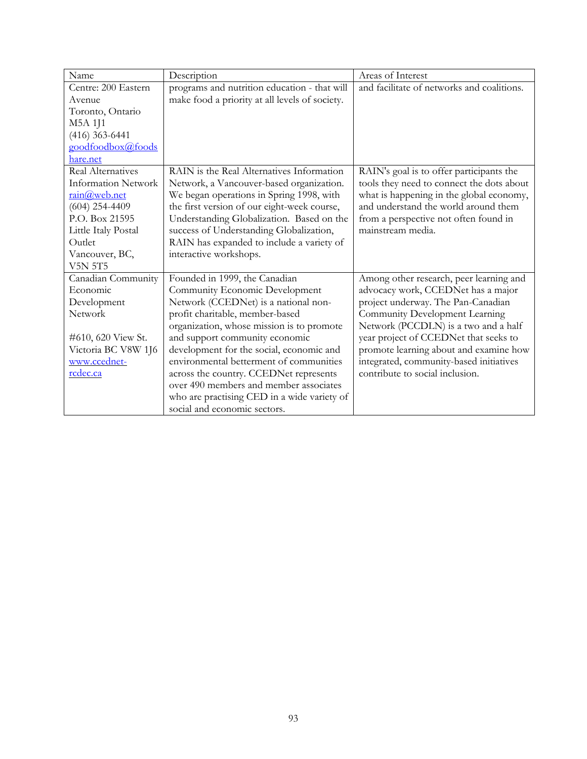| Name                       | Description                                    | Areas of Interest                          |
|----------------------------|------------------------------------------------|--------------------------------------------|
| Centre: 200 Eastern        | programs and nutrition education - that will   | and facilitate of networks and coalitions. |
| Avenue                     | make food a priority at all levels of society. |                                            |
| Toronto, Ontario           |                                                |                                            |
| M5A 1J1                    |                                                |                                            |
| $(416)$ 363-6441           |                                                |                                            |
| goodfoodbox@foods          |                                                |                                            |
| hare.net                   |                                                |                                            |
| Real Alternatives          | RAIN is the Real Alternatives Information      | RAIN's goal is to offer participants the   |
| <b>Information Network</b> | Network, a Vancouver-based organization.       | tools they need to connect the dots about  |
| $rain@$ web.net            | We began operations in Spring 1998, with       | what is happening in the global economy,   |
| $(604)$ 254-4409           | the first version of our eight-week course,    | and understand the world around them       |
| P.O. Box 21595             | Understanding Globalization. Based on the      | from a perspective not often found in      |
| Little Italy Postal        | success of Understanding Globalization,        | mainstream media.                          |
| Outlet                     | RAIN has expanded to include a variety of      |                                            |
| Vancouver, BC,             | interactive workshops.                         |                                            |
| <b>V5N 5T5</b>             |                                                |                                            |
| Canadian Community         | Founded in 1999, the Canadian                  | Among other research, peer learning and    |
| Economic                   | Community Economic Development                 | advocacy work, CCEDNet has a major         |
| Development                | Network (CCEDNet) is a national non-           | project underway. The Pan-Canadian         |
| Network                    | profit charitable, member-based                | Community Development Learning             |
|                            | organization, whose mission is to promote      | Network (PCCDLN) is a two and a half       |
| #610, 620 View St.         | and support community economic                 | year project of CCEDNet that seeks to      |
| Victoria BC V8W 1J6        | development for the social, economic and       | promote learning about and examine how     |
| www.ccednet-               | environmental betterment of communities        | integrated, community-based initiatives    |
| rcdec.ca                   | across the country. CCEDNet represents         | contribute to social inclusion.            |
|                            | over 490 members and member associates         |                                            |
|                            | who are practising CED in a wide variety of    |                                            |
|                            | social and economic sectors.                   |                                            |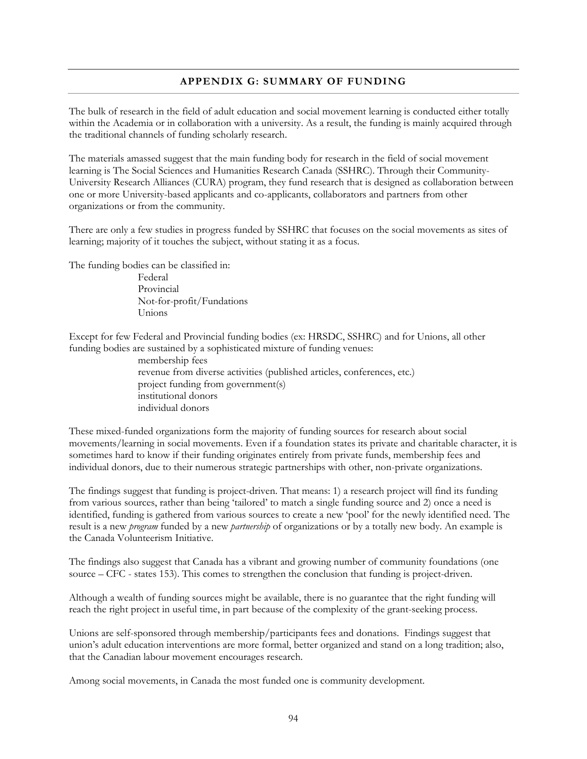# **APPENDIX G: SUMMARY OF FUNDING**

The bulk of research in the field of adult education and social movement learning is conducted either totally within the Academia or in collaboration with a university. As a result, the funding is mainly acquired through the traditional channels of funding scholarly research.

The materials amassed suggest that the main funding body for research in the field of social movement learning is The Social Sciences and Humanities Research Canada (SSHRC). Through their Community-University Research Alliances (CURA) program, they fund research that is designed as collaboration between one or more University-based applicants and co-applicants, collaborators and partners from other organizations or from the community.

There are only a few studies in progress funded by SSHRC that focuses on the social movements as sites of learning; majority of it touches the subject, without stating it as a focus.

The funding bodies can be classified in:

Federal Provincial Not-for-profit/Fundations Unions

Except for few Federal and Provincial funding bodies (ex: HRSDC, SSHRC) and for Unions, all other funding bodies are sustained by a sophisticated mixture of funding venues:

> membership fees revenue from diverse activities (published articles, conferences, etc.) project funding from government(s) institutional donors individual donors

These mixed-funded organizations form the majority of funding sources for research about social movements/learning in social movements. Even if a foundation states its private and charitable character, it is sometimes hard to know if their funding originates entirely from private funds, membership fees and individual donors, due to their numerous strategic partnerships with other, non-private organizations.

The findings suggest that funding is project-driven. That means: 1) a research project will find its funding from various sources, rather than being 'tailored' to match a single funding source and 2) once a need is identified, funding is gathered from various sources to create a new 'pool' for the newly identified need. The result is a new *program* funded by a new *partnership* of organizations or by a totally new body. An example is the Canada Volunteerism Initiative.

The findings also suggest that Canada has a vibrant and growing number of community foundations (one source – CFC - states 153). This comes to strengthen the conclusion that funding is project-driven.

Although a wealth of funding sources might be available, there is no guarantee that the right funding will reach the right project in useful time, in part because of the complexity of the grant-seeking process.

Unions are self-sponsored through membership/participants fees and donations. Findings suggest that union's adult education interventions are more formal, better organized and stand on a long tradition; also, that the Canadian labour movement encourages research.

Among social movements, in Canada the most funded one is community development.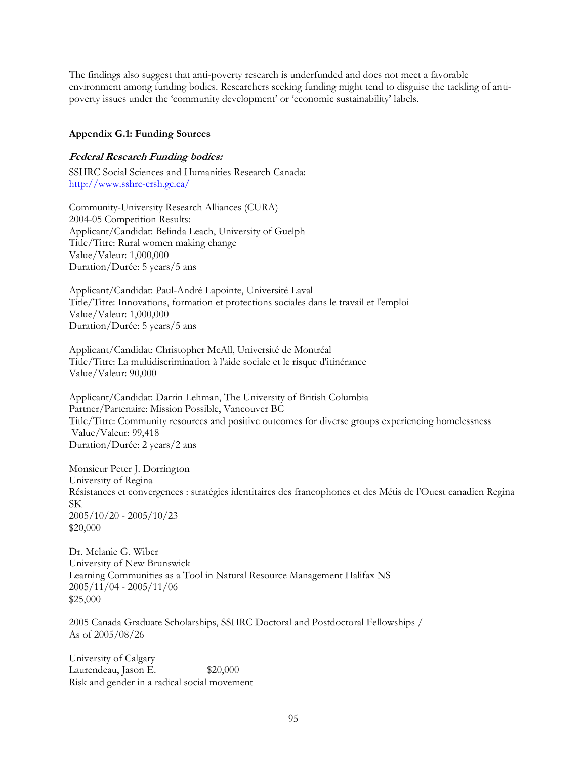The findings also suggest that anti-poverty research is underfunded and does not meet a favorable environment among funding bodies. Researchers seeking funding might tend to disguise the tackling of antipoverty issues under the 'community development' or 'economic sustainability' labels.

### **Appendix G.1: Funding Sources**

#### **Federal Research Funding bodies:**

SSHRC Social Sciences and Humanities Research Canada: http://www.sshrc-crsh.gc.ca/

Community-University Research Alliances (CURA) 2004-05 Competition Results: Applicant/Candidat: Belinda Leach, University of Guelph Title/Titre: Rural women making change Value/Valeur: 1,000,000 Duration/Durée: 5 years/5 ans

Applicant/Candidat: Paul-André Lapointe, Université Laval Title/Titre: Innovations, formation et protections sociales dans le travail et l'emploi Value/Valeur: 1,000,000 Duration/Durée: 5 years/5 ans

Applicant/Candidat: Christopher McAll, Université de Montréal Title/Titre: La multidiscrimination à l'aide sociale et le risque d'itinérance Value/Valeur: 90,000

Applicant/Candidat: Darrin Lehman, The University of British Columbia Partner/Partenaire: Mission Possible, Vancouver BC Title/Titre: Community resources and positive outcomes for diverse groups experiencing homelessness Value/Valeur: 99,418 Duration/Durée: 2 years/2 ans

Monsieur Peter J. Dorrington University of Regina Résistances et convergences : stratégies identitaires des francophones et des Métis de l'Ouest canadien Regina SK 2005/10/20 - 2005/10/23 \$20,000

Dr. Melanie G. Wiber University of New Brunswick Learning Communities as a Tool in Natural Resource Management Halifax NS 2005/11/04 - 2005/11/06 \$25,000

2005 Canada Graduate Scholarships, SSHRC Doctoral and Postdoctoral Fellowships / As of 2005/08/26

University of Calgary Laurendeau, Jason E.  $$20,000$ Risk and gender in a radical social movement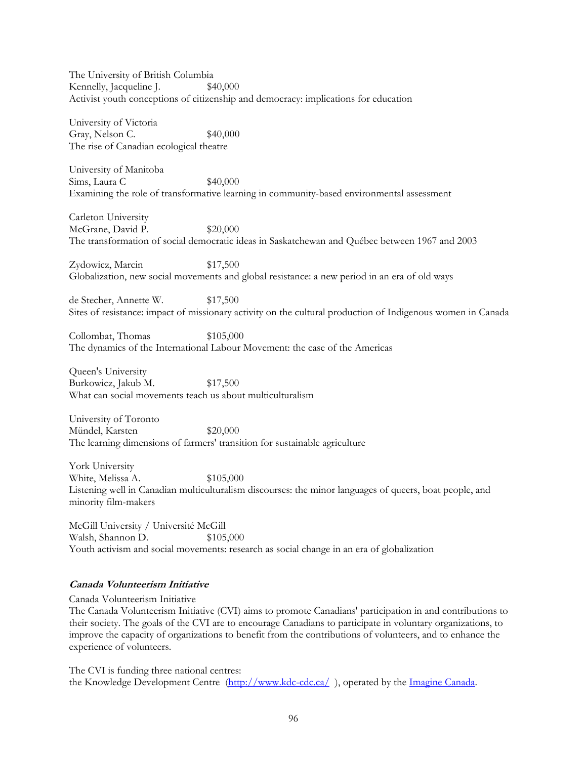The University of British Columbia Kennelly, Jacqueline J.  $$40,000$ Activist youth conceptions of citizenship and democracy: implications for education

University of Victoria Gray, Nelson C. \$40,000 The rise of Canadian ecological theatre

University of Manitoba  $Sims, Laura C$  \$40,000 Examining the role of transformative learning in community-based environmental assessment

Carleton University McGrane, David P.  $$20,000$ The transformation of social democratic ideas in Saskatchewan and Québec between 1967 and 2003

Zydowicz, Marcin \$17,500 Globalization, new social movements and global resistance: a new period in an era of old ways

de Stecher, Annette W.  $$17,500$ Sites of resistance: impact of missionary activity on the cultural production of Indigenous women in Canada

Collombat, Thomas \$105,000 The dynamics of the International Labour Movement: the case of the Americas

Queen's University Burkowicz, Jakub M.  $$17,500$ What can social movements teach us about multiculturalism

University of Toronto Mündel, Karsten \$20,000 The learning dimensions of farmers' transition for sustainable agriculture

York University White, Melissa A.  $$105,000$ Listening well in Canadian multiculturalism discourses: the minor languages of queers, boat people, and minority film-makers

McGill University / Université McGill Walsh, Shannon D. \$105,000 Youth activism and social movements: research as social change in an era of globalization

# **Canada Volunteerism Initiative**

Canada Volunteerism Initiative

The Canada Volunteerism Initiative (CVI) aims to promote Canadians' participation in and contributions to their society. The goals of the CVI are to encourage Canadians to participate in voluntary organizations, to improve the capacity of organizations to benefit from the contributions of volunteers, and to enhance the experience of volunteers.

The CVI is funding three national centres: the Knowledge Development Centre (http://www.kdc-cdc.ca/), operated by the Imagine Canada.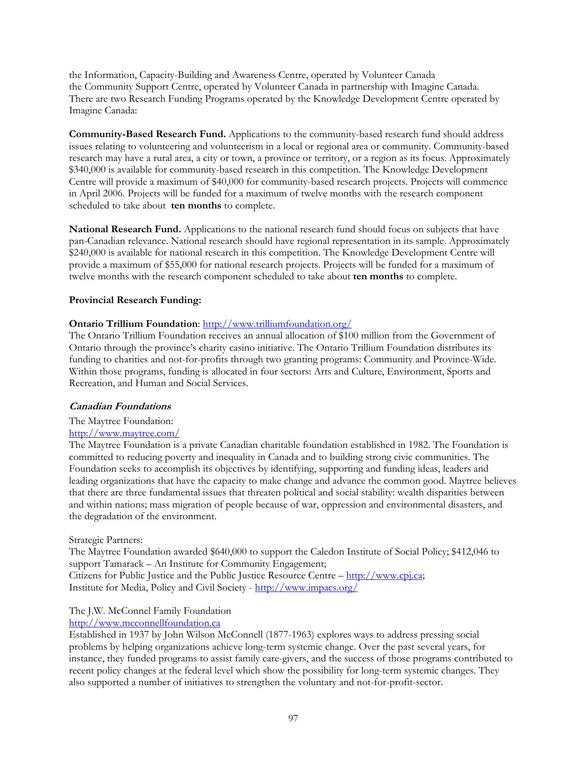the Information, Capacity-Building and Awareness Centre, operated by Volunteer Canada the Community Support Centre, operated by Volunteer Canada in partnership with Imagine Canada. There are two Research Funding Programs operated by the Knowledge Development Centre operated by Imagine Canada:

**Community-Based Research Fund.** Applications to the community-based research fund should address issues relating to volunteering and volunteerism in a local or regional area or community. Community-based research may have a rural area, a city or town, a province or territory, or a region as its focus. Approximately \$340,000 is available for community-based research in this competition. The Knowledge Development Centre will provide a maximum of \$40,000 for community-based research projects. Projects will commence in April 2006. Projects will be funded for a maximum of twelve months with the research component scheduled to take about **ten months** to complete.

**National Research Fund.** Applications to the national research fund should focus on subjects that have pan-Canadian relevance. National research should have regional representation in its sample. Approximately \$240,000 is available for national research in this competition. The Knowledge Development Centre will provide a maximum of \$55,000 for national research projects. Projects will be funded for a maximum of twelve months with the research component scheduled to take about **ten months** to complete.

# **Provincial Research Funding:**

# **Ontario Trillium Foundation**: http://www.trilliumfoundation.org/

The Ontario Trillium Foundation receives an annual allocation of \$100 million from the Government of Ontario through the province's charity casino initiative. The Ontario Trillium Foundation distributes its funding to charities and not-for-profits through two granting programs: Community and Province-Wide. Within those programs, funding is allocated in four sectors: Arts and Culture, Environment, Sports and Recreation, and Human and Social Services.

# **Canadian Foundations**

# The Maytree Foundation:

# http://www.maytree.com/

The Maytree Foundation is a private Canadian charitable foundation established in 1982. The Foundation is committed to reducing poverty and inequality in Canada and to building strong civic communities. The Foundation seeks to accomplish its objectives by identifying, supporting and funding ideas, leaders and leading organizations that have the capacity to make change and advance the common good. Maytree believes that there are three fundamental issues that threaten political and social stability: wealth disparities between and within nations; mass migration of people because of war, oppression and environmental disasters, and the degradation of the environment.

# Strategic Partners:

The Maytree Foundation awarded \$640,000 to support the Caledon Institute of Social Policy; \$412,046 to support Tamarack – An Institute for Community Engagement; Citizens for Public Justice and the Public Justice Resource Centre – http://www.cpj.ca; Institute for Media, Policy and Civil Society - http://www.impacs.org/

# The J.W. McConnel Family Foundation

# http://www.mcconnellfoundation.ca

Established in 1937 by John Wilson McConnell (1877-1963) explores ways to address pressing social problems by helping organizations achieve long-term systemic change. Over the past several years, for instance, they funded programs to assist family care-givers, and the success of those programs contributed to recent policy changes at the federal level which show the possibility for long-term systemic changes. They also supported a number of initiatives to strengthen the voluntary and not-for-profit-sector.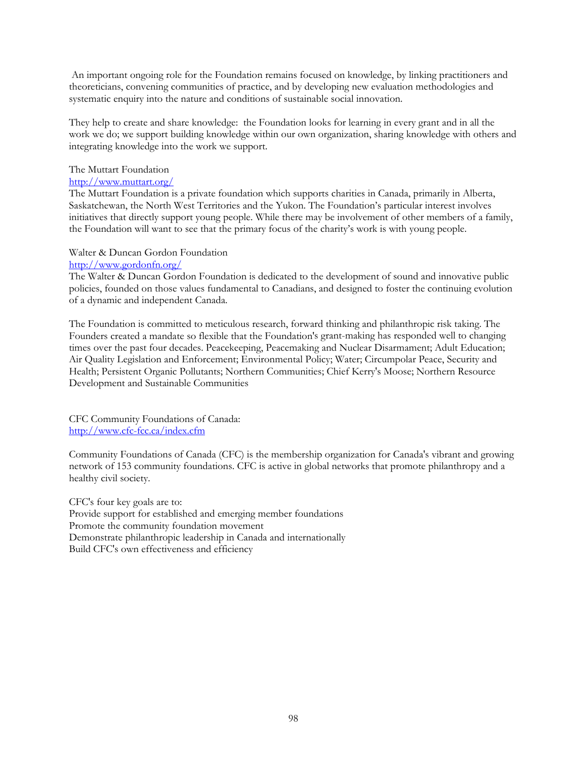An important ongoing role for the Foundation remains focused on knowledge, by linking practitioners and theoreticians, convening communities of practice, and by developing new evaluation methodologies and systematic enquiry into the nature and conditions of sustainable social innovation.

They help to create and share knowledge: the Foundation looks for learning in every grant and in all the work we do; we support building knowledge within our own organization, sharing knowledge with others and integrating knowledge into the work we support.

# The Muttart Foundation

# http://www.muttart.org/

The Muttart Foundation is a private foundation which supports charities in Canada, primarily in Alberta, Saskatchewan, the North West Territories and the Yukon. The Foundation's particular interest involves initiatives that directly support young people. While there may be involvement of other members of a family, the Foundation will want to see that the primary focus of the charity's work is with young people.

# Walter & Duncan Gordon Foundation

#### http://www.gordonfn.org/

The Walter & Duncan Gordon Foundation is dedicated to the development of sound and innovative public policies, founded on those values fundamental to Canadians, and designed to foster the continuing evolution of a dynamic and independent Canada.

The Foundation is committed to meticulous research, forward thinking and philanthropic risk taking. The Founders created a mandate so flexible that the Foundation's grant-making has responded well to changing times over the past four decades. Peacekeeping, Peacemaking and Nuclear Disarmament; Adult Education; Air Quality Legislation and Enforcement; Environmental Policy; Water; Circumpolar Peace, Security and Health; Persistent Organic Pollutants; Northern Communities; Chief Kerry's Moose; Northern Resource Development and Sustainable Communities

CFC Community Foundations of Canada: http://www.cfc-fcc.ca/index.cfm

Community Foundations of Canada (CFC) is the membership organization for Canada's vibrant and growing network of 153 community foundations. CFC is active in global networks that promote philanthropy and a healthy civil society.

CFC's four key goals are to: Provide support for established and emerging member foundations Promote the community foundation movement Demonstrate philanthropic leadership in Canada and internationally Build CFC's own effectiveness and efficiency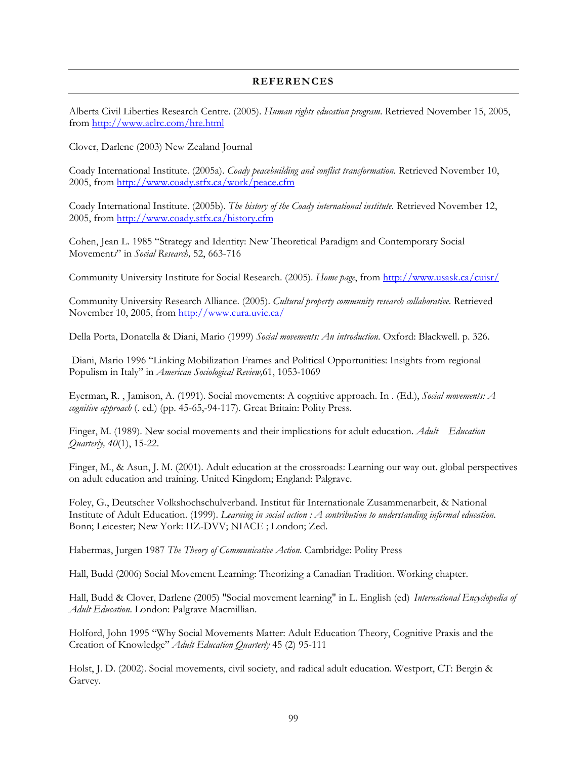# **REFERENCES**

Alberta Civil Liberties Research Centre. (2005). *Human rights education program*. Retrieved November 15, 2005, from http://www.aclrc.com/hre.html

Clover, Darlene (2003) New Zealand Journal

Coady International Institute. (2005a). *Coady peacebuilding and conflict transformation*. Retrieved November 10, 2005, from http://www.coady.stfx.ca/work/peace.cfm

Coady International Institute. (2005b). *The history of the Coady international institute*. Retrieved November 12, 2005, from http://www.coady.stfx.ca/history.cfm

Cohen, Jean L. 1985 "Strategy and Identity: New Theoretical Paradigm and Contemporary Social Movement*s*" in *Social Research,* 52, 663-716

Community University Institute for Social Research. (2005). *Home page*, from http://www.usask.ca/cuisr/

Community University Research Alliance. (2005). *Cultural property community research collaborative*. Retrieved November 10, 2005, from http://www.cura.uvic.ca/

Della Porta, Donatella & Diani, Mario (1999) *Social movements: An introduction*. Oxford: Blackwell. p. 326.

Diani, Mario 1996 "Linking Mobilization Frames and Political Opportunities: Insights from regional Populism in Italy" in *American Sociological Review,*61, 1053-1069

Eyerman, R. , Jamison, A. (1991). Social movements: A cognitive approach. In . (Ed.), *Social movements: A cognitive approach* (. ed.) (pp. 45-65,-94-117). Great Britain: Polity Press.

Finger, M. (1989). New social movements and their implications for adult education. *Adult Education Quarterly, 40*(1), 15-22.

Finger, M., & Asun, J. M. (2001). Adult education at the crossroads: Learning our way out. global perspectives on adult education and training. United Kingdom; England: Palgrave.

Foley, G., Deutscher Volkshochschulverband. Institut für Internationale Zusammenarbeit, & National Institute of Adult Education. (1999). *Learning in social action : A contribution to understanding informal education*. Bonn; Leicester; New York: IIZ-DVV; NIACE ; London; Zed.

Habermas, Jurgen 1987 *The Theory of Communicative Action*. Cambridge: Polity Press

Hall, Budd (2006) Social Movement Learning: Theorizing a Canadian Tradition. Working chapter.

Hall, Budd & Clover, Darlene (2005) "Social movement learning" in L. English (ed) *International Encyclopedia of Adult Education*. London: Palgrave Macmillian.

Holford, John 1995 "Why Social Movements Matter: Adult Education Theory, Cognitive Praxis and the Creation of Knowledge" *Adult Education Quarterly* 45 (2) 95-111

Holst, J. D. (2002). Social movements, civil society, and radical adult education. Westport, CT: Bergin & Garvey.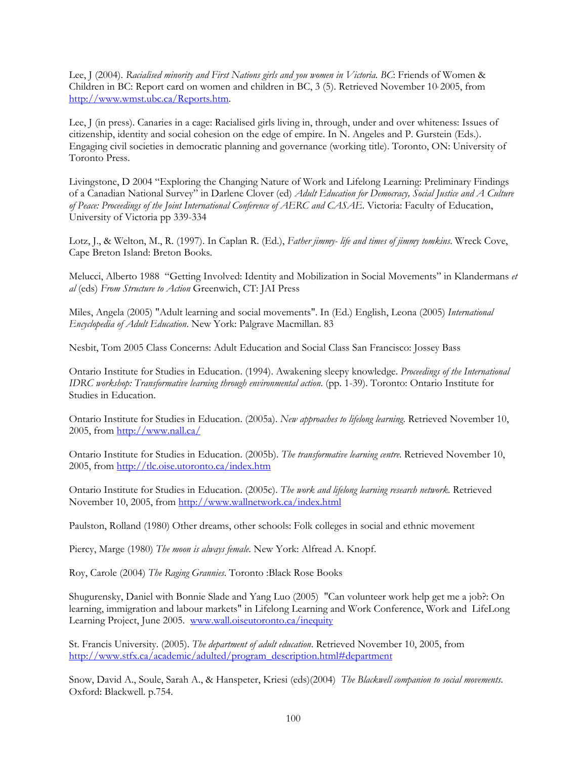Lee, J (2004). *Racialised minority and First Nations girls and you women in Victoria. BC*: Friends of Women & Children in BC: Report card on women and children in BC, 3 (5). Retrieved November 10, 2005, from http://www.wmst.ubc.ca/Reports.htm.

Lee, J (in press). Canaries in a cage: Racialised girls living in, through, under and over whiteness: Issues of citizenship, identity and social cohesion on the edge of empire. In N. Angeles and P. Gurstein (Eds.). Engaging civil societies in democratic planning and governance (working title). Toronto, ON: University of Toronto Press.

Livingstone, D 2004 "Exploring the Changing Nature of Work and Lifelong Learning: Preliminary Findings of a Canadian National Survey" in Darlene Clover (ed) *Adult Education for Democracy, Social Justice and A Culture of Peace: Proceedings of the Joint International Conference of AERC and CASAE*. Victoria: Faculty of Education, University of Victoria pp 339-334

Lotz, J., & Welton, M., R. (1997). In Caplan R. (Ed.), *Father jimmy- life and times of jimmy tomkins*. Wreck Cove, Cape Breton Island: Breton Books.

Melucci, Alberto 1988 "Getting Involved: Identity and Mobilization in Social Movements" in Klandermans *et al* (eds) *From Structure to Action* Greenwich, CT: JAI Press

Miles, Angela (2005) "Adult learning and social movements". In (Ed.) English, Leona (2005) *International Encyclopedia of Adult Education*. New York: Palgrave Macmillan. 83

Nesbit, Tom 2005 Class Concerns: Adult Education and Social Class San Francisco: Jossey Bass

Ontario Institute for Studies in Education. (1994). Awakening sleepy knowledge. *Proceedings of the International IDRC workshop: Transformative learning through environmental action*. (pp. 1-39). Toronto: Ontario Institute for Studies in Education.

Ontario Institute for Studies in Education. (2005a). *New approaches to lifelong learning*. Retrieved November 10, 2005, from http://www.nall.ca/

Ontario Institute for Studies in Education. (2005b). *The transformative learning centre*. Retrieved November 10, 2005, from http://tlc.oise.utoronto.ca/index.htm

Ontario Institute for Studies in Education. (2005c). *The work and lifelong learning research network*. Retrieved November 10, 2005, from http://www.wallnetwork.ca/index.html

Paulston, Rolland (1980) Other dreams, other schools: Folk colleges in social and ethnic movement

Piercy, Marge (1980) *The moon is always female*. New York: Alfread A. Knopf.

Roy, Carole (2004) *The Raging Grannies*. Toronto :Black Rose Books

Shugurensky, Daniel with Bonnie Slade and Yang Luo (2005) "Can volunteer work help get me a job?: On learning, immigration and labour markets" in Lifelong Learning and Work Conference, Work and LifeLong Learning Project, June 2005. www.wall.oiseutoronto.ca/inequity

St. Francis University. (2005). *The department of adult education*. Retrieved November 10, 2005, from http://www.stfx.ca/academic/adulted/program\_description.html#department

Snow, David A., Soule, Sarah A., & Hanspeter, Kriesi (eds)(2004) *The Blackwell companion to social movements*. Oxford: Blackwell. p.754.